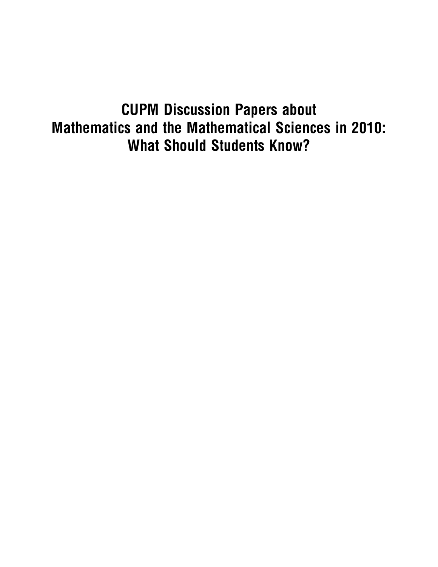# CUPM Discussion Papers about Mathematics and the Mathematical Sciences in 2010: What Should Students Know?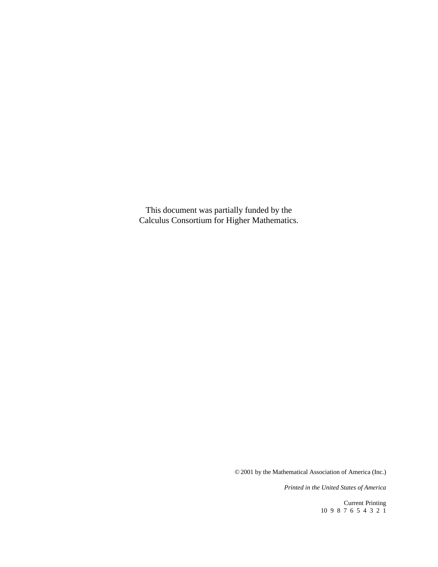This document was partially funded by the Calculus Consortium for Higher Mathematics.

© 2001 by the Mathematical Association of America (Inc.)

*Printed in the United States of America*

Current Printing 10 9 8 7 6 5 4 3 2 1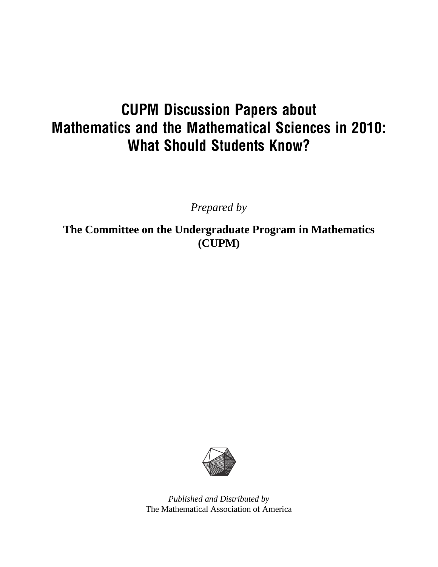# CUPM Discussion Papers about Mathematics and the Mathematical Sciences in 2010: What Should Students Know?

*Prepared by*

**The Committee on the Undergraduate Program in Mathematics (CUPM)**



*Published and Distributed by* The Mathematical Association of America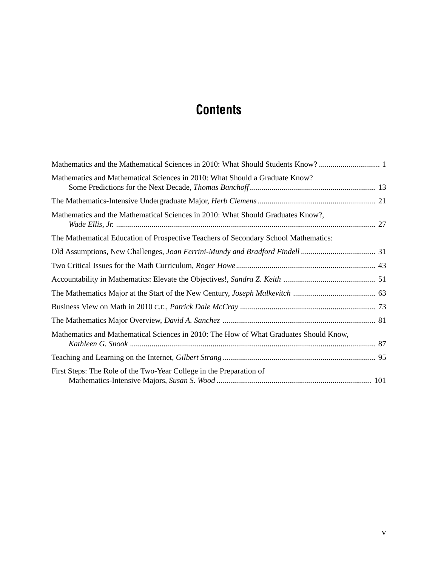## **Contents**

| Mathematics and Mathematical Sciences in 2010: What Should a Graduate Know?           |  |
|---------------------------------------------------------------------------------------|--|
|                                                                                       |  |
| Mathematics and the Mathematical Sciences in 2010: What Should Graduates Know?,       |  |
| The Mathematical Education of Prospective Teachers of Secondary School Mathematics:   |  |
|                                                                                       |  |
|                                                                                       |  |
|                                                                                       |  |
|                                                                                       |  |
|                                                                                       |  |
|                                                                                       |  |
| Mathematics and Mathematical Sciences in 2010: The How of What Graduates Should Know, |  |
|                                                                                       |  |
| First Steps: The Role of the Two-Year College in the Preparation of                   |  |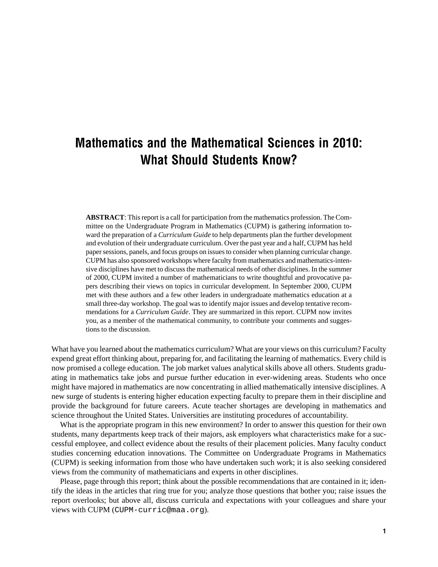## Mathematics and the Mathematical Sciences in 2010: What Should Students Know?

**ABSTRACT**: This report is a call for participation from the mathematics profession. The Committee on the Undergraduate Program in Mathematics (CUPM) is gathering information toward the preparation of a *Curriculum Guide* to help departments plan the further development and evolution of their undergraduate curriculum. Over the past year and a half, CUPM has held paper sessions, panels, and focus groups on issues to consider when planning curricular change. CUPM has also sponsored workshops where faculty from mathematics and mathematics-intensive disciplines have met to discuss the mathematical needs of other disciplines. In the summer of 2000, CUPM invited a number of mathematicians to write thoughtful and provocative papers describing their views on topics in curricular development. In September 2000, CUPM met with these authors and a few other leaders in undergraduate mathematics education at a small three-day workshop. The goal was to identify major issues and develop tentative recommendations for a *Curriculum Guide*. They are summarized in this report. CUPM now invites you, as a member of the mathematical community, to contribute your comments and suggestions to the discussion.

What have you learned about the mathematics curriculum? What are your views on this curriculum? Faculty expend great effort thinking about, preparing for, and facilitating the learning of mathematics. Every child is now promised a college education. The job market values analytical skills above all others. Students graduating in mathematics take jobs and pursue further education in ever-widening areas. Students who once might have majored in mathematics are now concentrating in allied mathematically intensive disciplines. A new surge of students is entering higher education expecting faculty to prepare them in their discipline and provide the background for future careers. Acute teacher shortages are developing in mathematics and science throughout the United States. Universities are instituting procedures of accountability.

What is the appropriate program in this new environment? In order to answer this question for their own students, many departments keep track of their majors, ask employers what characteristics make for a successful employee, and collect evidence about the results of their placement policies. Many faculty conduct studies concerning education innovations. The Committee on Undergraduate Programs in Mathematics (CUPM) is seeking information from those who have undertaken such work; it is also seeking considered views from the community of mathematicians and experts in other disciplines.

Please, page through this report; think about the possible recommendations that are contained in it; identify the ideas in the articles that ring true for you; analyze those questions that bother you; raise issues the report overlooks; but above all, discuss curricula and expectations with your colleagues and share your views with CUPM (CUPM-curric@maa.org).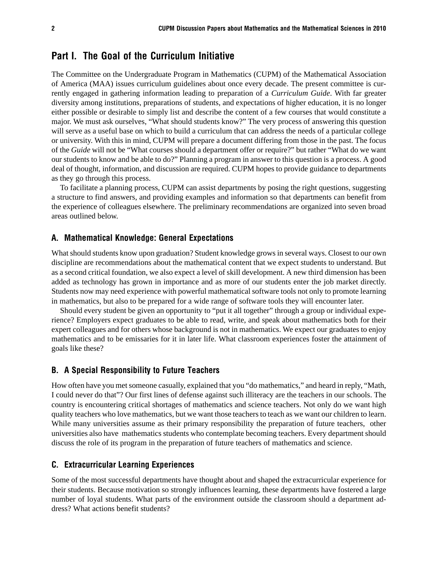## Part I. The Goal of the Curriculum Initiative

The Committee on the Undergraduate Program in Mathematics (CUPM) of the Mathematical Association of America (MAA) issues curriculum guidelines about once every decade. The present committee is currently engaged in gathering information leading to preparation of a *Curriculum Guide*. With far greater diversity among institutions, preparations of students, and expectations of higher education, it is no longer either possible or desirable to simply list and describe the content of a few courses that would constitute a major. We must ask ourselves, "What should students know?" The very process of answering this question will serve as a useful base on which to build a curriculum that can address the needs of a particular college or university. With this in mind, CUPM will prepare a document differing from those in the past. The focus of the *Guide* will not be "What courses should a department offer or require?" but rather "What do we want our students to know and be able to do?" Planning a program in answer to this question is a process. A good deal of thought, information, and discussion are required. CUPM hopes to provide guidance to departments as they go through this process.

To facilitate a planning process, CUPM can assist departments by posing the right questions, suggesting a structure to find answers, and providing examples and information so that departments can benefit from the experience of colleagues elsewhere. The preliminary recommendations are organized into seven broad areas outlined below.

### A. Mathematical Knowledge: General Expectations

What should students know upon graduation? Student knowledge grows in several ways. Closest to our own discipline are recommendations about the mathematical content that we expect students to understand. But as a second critical foundation, we also expect a level of skill development. A new third dimension has been added as technology has grown in importance and as more of our students enter the job market directly. Students now may need experience with powerful mathematical software tools not only to promote learning in mathematics, but also to be prepared for a wide range of software tools they will encounter later.

Should every student be given an opportunity to "put it all together" through a group or individual experience? Employers expect graduates to be able to read, write, and speak about mathematics both for their expert colleagues and for others whose background is not in mathematics. We expect our graduates to enjoy mathematics and to be emissaries for it in later life. What classroom experiences foster the attainment of goals like these?

### B. A Special Responsibility to Future Teachers

How often have you met someone casually, explained that you "do mathematics," and heard in reply, "Math, I could never do that"? Our first lines of defense against such illiteracy are the teachers in our schools. The country is encountering critical shortages of mathematics and science teachers. Not only do we want high quality teachers who love mathematics, but we want those teachers to teach as we want our children to learn. While many universities assume as their primary responsibility the preparation of future teachers, other universities also have mathematics students who contemplate becoming teachers. Every department should discuss the role of its program in the preparation of future teachers of mathematics and science.

### C. Extracurricular Learning Experiences

Some of the most successful departments have thought about and shaped the extracurricular experience for their students. Because motivation so strongly influences learning, these departments have fostered a large number of loyal students. What parts of the environment outside the classroom should a department address? What actions benefit students?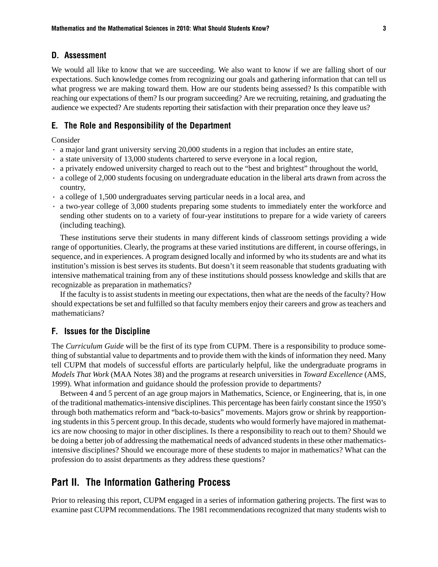### D. Assessment

We would all like to know that we are succeeding. We also want to know if we are falling short of our expectations. Such knowledge comes from recognizing our goals and gathering information that can tell us what progress we are making toward them. How are our students being assessed? Is this compatible with reaching our expectations of them? Is our program succeeding? Are we recruiting, retaining, and graduating the audience we expected? Are students reporting their satisfaction with their preparation once they leave us?

### E. The Role and Responsibility of the Department

Consider

- · a major land grant university serving 20,000 students in a region that includes an entire state,
- · a state university of 13,000 students chartered to serve everyone in a local region,
- · a privately endowed university charged to reach out to the "best and brightest" throughout the world,
- · a college of 2,000 students focusing on undergraduate education in the liberal arts drawn from across the country,
- · a college of 1,500 undergraduates serving particular needs in a local area, and
- · a two-year college of 3,000 students preparing some students to immediately enter the workforce and sending other students on to a variety of four-year institutions to prepare for a wide variety of careers (including teaching).

These institutions serve their students in many different kinds of classroom settings providing a wide range of opportunities. Clearly, the programs at these varied institutions are different, in course offerings, in sequence, and in experiences. A program designed locally and informed by who its students are and what its institution's mission is best serves its students. But doesn't it seem reasonable that students graduating with intensive mathematical training from any of these institutions should possess knowledge and skills that are recognizable as preparation in mathematics?

If the faculty is to assist students in meeting our expectations, then what are the needs of the faculty? How should expectations be set and fulfilled so that faculty members enjoy their careers and grow as teachers and mathematicians?

### F. Issues for the Discipline

The *Curriculum Guide* will be the first of its type from CUPM. There is a responsibility to produce something of substantial value to departments and to provide them with the kinds of information they need. Many tell CUPM that models of successful efforts are particularly helpful, like the undergraduate programs in *Models That Work* (MAA Notes 38) and the programs at research universities in *Toward Excellence* (AMS, 1999). What information and guidance should the profession provide to departments?

Between 4 and 5 percent of an age group majors in Mathematics, Science, or Engineering, that is, in one of the traditional mathematics-intensive disciplines. This percentage has been fairly constant since the 1950's through both mathematics reform and "back-to-basics" movements. Majors grow or shrink by reapportioning students in this 5 percent group. In this decade, students who would formerly have majored in mathematics are now choosing to major in other disciplines. Is there a responsibility to reach out to them? Should we be doing a better job of addressing the mathematical needs of advanced students in these other mathematicsintensive disciplines? Should we encourage more of these students to major in mathematics? What can the profession do to assist departments as they address these questions?

## Part II. The Information Gathering Process

Prior to releasing this report, CUPM engaged in a series of information gathering projects. The first was to examine past CUPM recommendations. The 1981 recommendations recognized that many students wish to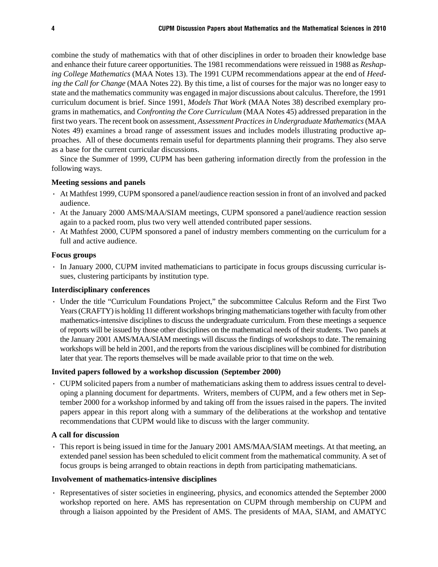combine the study of mathematics with that of other disciplines in order to broaden their knowledge base and enhance their future career opportunities. The 1981 recommendations were reissued in 1988 as *Reshaping College Mathematics* (MAA Notes 13). The 1991 CUPM recommendations appear at the end of *Heeding the Call for Change* (MAA Notes 22). By this time, a list of courses for the major was no longer easy to state and the mathematics community was engaged in major discussions about calculus. Therefore, the 1991 curriculum document is brief. Since 1991, *Models That Work* (MAA Notes 38) described exemplary programs in mathematics, and *Confronting the Core Curriculum* (MAA Notes 45) addressed preparation in the first two years. The recent book on assessment, *Assessment Practices in Undergraduate Mathematics* (MAA Notes 49) examines a broad range of assessment issues and includes models illustrating productive approaches. All of these documents remain useful for departments planning their programs. They also serve as a base for the current curricular discussions.

Since the Summer of 1999, CUPM has been gathering information directly from the profession in the following ways.

### **Meeting sessions and panels**

- · At Mathfest 1999, CUPM sponsored a panel/audience reaction session in front of an involved and packed audience.
- · At the January 2000 AMS/MAA/SIAM meetings, CUPM sponsored a panel/audience reaction session again to a packed room, plus two very well attended contributed paper sessions.
- · At Mathfest 2000, CUPM sponsored a panel of industry members commenting on the curriculum for a full and active audience.

### **Focus groups**

· In January 2000, CUPM invited mathematicians to participate in focus groups discussing curricular issues, clustering participants by institution type.

### **Interdisciplinary conferences**

· Under the title "Curriculum Foundations Project," the subcommittee Calculus Reform and the First Two Years (CRAFTY) is holding 11 different workshops bringing mathematicians together with faculty from other mathematics-intensive disciplines to discuss the undergraduate curriculum. From these meetings a sequence of reports will be issued by those other disciplines on the mathematical needs of their students. Two panels at the January 2001 AMS/MAA/SIAM meetings will discuss the findings of workshops to date. The remaining workshops will be held in 2001, and the reports from the various disciplines will be combined for distribution later that year. The reports themselves will be made available prior to that time on the web.

### **Invited papers followed by a workshop discussion (September 2000)**

· CUPM solicited papers from a number of mathematicians asking them to address issues central to developing a planning document for departments. Writers, members of CUPM, and a few others met in September 2000 for a workshop informed by and taking off from the issues raised in the papers. The invited papers appear in this report along with a summary of the deliberations at the workshop and tentative recommendations that CUPM would like to discuss with the larger community.

### **A call for discussion**

· This report is being issued in time for the January 2001 AMS/MAA/SIAM meetings. At that meeting, an extended panel session has been scheduled to elicit comment from the mathematical community. A set of focus groups is being arranged to obtain reactions in depth from participating mathematicians.

### **Involvement of mathematics-intensive disciplines**

· Representatives of sister societies in engineering, physics, and economics attended the September 2000 workshop reported on here. AMS has representation on CUPM through membership on CUPM and through a liaison appointed by the President of AMS. The presidents of MAA, SIAM, and AMATYC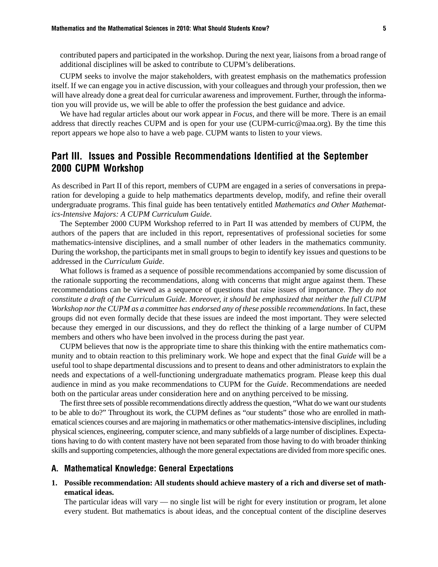contributed papers and participated in the workshop. During the next year, liaisons from a broad range of additional disciplines will be asked to contribute to CUPM's deliberations.

CUPM seeks to involve the major stakeholders, with greatest emphasis on the mathematics profession itself. If we can engage you in active discussion, with your colleagues and through your profession, then we will have already done a great deal for curricular awareness and improvement. Further, through the information you will provide us, we will be able to offer the profession the best guidance and advice.

We have had regular articles about our work appear in *Focus*, and there will be more. There is an email address that directly reaches CUPM and is open for your use (CUPM-curric@maa.org). By the time this report appears we hope also to have a web page. CUPM wants to listen to your views.

## Part III. Issues and Possible Recommendations Identified at the September 2000 CUPM Workshop

As described in Part II of this report, members of CUPM are engaged in a series of conversations in preparation for developing a guide to help mathematics departments develop, modify, and refine their overall undergraduate programs. This final guide has been tentatively entitled *Mathematics and Other Mathematics-Intensive Majors: A CUPM Curriculum Guide*.

The September 2000 CUPM Workshop referred to in Part II was attended by members of CUPM, the authors of the papers that are included in this report, representatives of professional societies for some mathematics-intensive disciplines, and a small number of other leaders in the mathematics community. During the workshop, the participants met in small groups to begin to identify key issues and questions to be addressed in the *Curriculum Guide*.

What follows is framed as a sequence of possible recommendations accompanied by some discussion of the rationale supporting the recommendations, along with concerns that might argue against them. These recommendations can be viewed as a sequence of questions that raise issues of importance. *They do not constitute a draft of the Curriculum Guide. Moreover, it should be emphasized that neither the full CUPM Workshop nor the CUPM as a committee has endorsed any of these possible recommendations*. In fact, these groups did not even formally decide that these issues are indeed the most important. They were selected because they emerged in our discussions, and they do reflect the thinking of a large number of CUPM members and others who have been involved in the process during the past year.

CUPM believes that now is the appropriate time to share this thinking with the entire mathematics community and to obtain reaction to this preliminary work. We hope and expect that the final *Guide* will be a useful tool to shape departmental discussions and to present to deans and other administrators to explain the needs and expectations of a well-functioning undergraduate mathematics program. Please keep this dual audience in mind as you make recommendations to CUPM for the *Guide*. Recommendations are needed both on the particular areas under consideration here and on anything perceived to be missing.

The first three sets of possible recommendations directly address the question, "What do we want our students to be able to do?" Throughout its work, the CUPM defines as "our students" those who are enrolled in mathematical sciences courses and are majoring in mathematics or other mathematics-intensive disciplines, including physical sciences, engineering, computer science, and many subfields of a large number of disciplines. Expectations having to do with content mastery have not been separated from those having to do with broader thinking skills and supporting competencies, although the more general expectations are divided from more specific ones.

### A. Mathematical Knowledge: General Expectations

**1. Possible recommendation: All students should achieve mastery of a rich and diverse set of mathematical ideas.**

The particular ideas will vary — no single list will be right for every institution or program, let alone every student. But mathematics is about ideas, and the conceptual content of the discipline deserves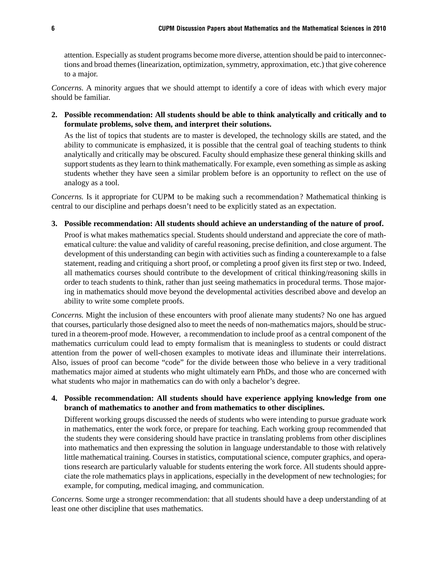attention. Especially as student programs become more diverse, attention should be paid to interconnections and broad themes (linearization, optimization, symmetry, approximation, etc.) that give coherence to a major.

*Concerns.* A minority argues that we should attempt to identify a core of ideas with which every major should be familiar.

**2. Possible recommendation: All students should be able to think analytically and critically and to formulate problems, solve them, and interpret their solutions.**

As the list of topics that students are to master is developed, the technology skills are stated, and the ability to communicate is emphasized, it is possible that the central goal of teaching students to think analytically and critically may be obscured. Faculty should emphasize these general thinking skills and support students as they learn to think mathematically. For example, even something as simple as asking students whether they have seen a similar problem before is an opportunity to reflect on the use of analogy as a tool.

*Concerns.* Is it appropriate for CUPM to be making such a recommendation? Mathematical thinking is central to our discipline and perhaps doesn't need to be explicitly stated as an expectation.

### **3. Possible recommendation: All students should achieve an understanding of the nature of proof.**

Proof is what makes mathematics special. Students should understand and appreciate the core of mathematical culture: the value and validity of careful reasoning, precise definition, and close argument. The development of this understanding can begin with activities such as finding a counterexample to a false statement, reading and critiquing a short proof, or completing a proof given its first step or two. Indeed, all mathematics courses should contribute to the development of critical thinking/reasoning skills in order to teach students to think, rather than just seeing mathematics in procedural terms. Those majoring in mathematics should move beyond the developmental activities described above and develop an ability to write some complete proofs.

*Concerns.* Might the inclusion of these encounters with proof alienate many students? No one has argued that courses, particularly those designed also to meet the needs of non-mathematics majors, should be structured in a theorem-proof mode. However, a recommendation to include proof as a central component of the mathematics curriculum could lead to empty formalism that is meaningless to students or could distract attention from the power of well-chosen examples to motivate ideas and illuminate their interrelations. Also, issues of proof can become "code" for the divide between those who believe in a very traditional mathematics major aimed at students who might ultimately earn PhDs, and those who are concerned with what students who major in mathematics can do with only a bachelor's degree.

### **4. Possible recommendation: All students should have experience applying knowledge from one branch of mathematics to another and from mathematics to other disciplines.**

Different working groups discussed the needs of students who were intending to pursue graduate work in mathematics, enter the work force, or prepare for teaching. Each working group recommended that the students they were considering should have practice in translating problems from other disciplines into mathematics and then expressing the solution in language understandable to those with relatively little mathematical training. Courses in statistics, computational science, computer graphics, and operations research are particularly valuable for students entering the work force. All students should appreciate the role mathematics plays in applications, especially in the development of new technologies; for example, for computing, medical imaging, and communication.

*Concerns.* Some urge a stronger recommendation: that all students should have a deep understanding of at least one other discipline that uses mathematics.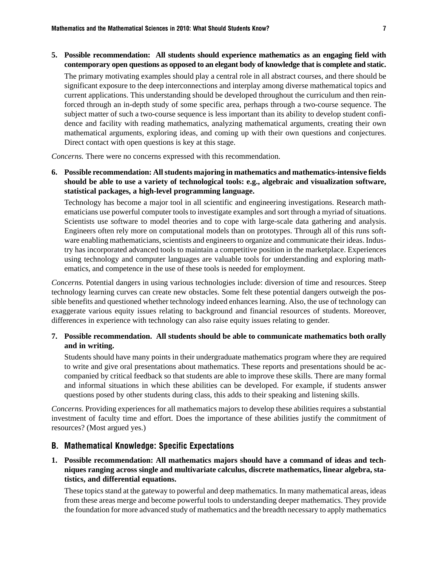### **5. Possible recommendation: All students should experience mathematics as an engaging field with contemporary open questions as opposed to an elegant body of knowledge that is complete and static.**

The primary motivating examples should play a central role in all abstract courses, and there should be significant exposure to the deep interconnections and interplay among diverse mathematical topics and current applications. This understanding should be developed throughout the curriculum and then reinforced through an in-depth study of some specific area, perhaps through a two-course sequence. The subject matter of such a two-course sequence is less important than its ability to develop student confidence and facility with reading mathematics, analyzing mathematical arguments, creating their own mathematical arguments, exploring ideas, and coming up with their own questions and conjectures. Direct contact with open questions is key at this stage.

*Concerns.* There were no concerns expressed with this recommendation.

**6. Possible recommendation: All students majoring in mathematics and mathematics-intensive fields should be able to use a variety of technological tools: e.g., algebraic and visualization software, statistical packages, a high-level programming language.**

Technology has become a major tool in all scientific and engineering investigations. Research mathematicians use powerful computer tools to investigate examples and sort through a myriad of situations. Scientists use software to model theories and to cope with large-scale data gathering and analysis. Engineers often rely more on computational models than on prototypes. Through all of this runs software enabling mathematicians, scientists and engineers to organize and communicate their ideas. Industry has incorporated advanced tools to maintain a competitive position in the marketplace. Experiences using technology and computer languages are valuable tools for understanding and exploring mathematics, and competence in the use of these tools is needed for employment.

*Concerns.* Potential dangers in using various technologies include: diversion of time and resources. Steep technology learning curves can create new obstacles. Some felt these potential dangers outweigh the possible benefits and questioned whether technology indeed enhances learning. Also, the use of technology can exaggerate various equity issues relating to background and financial resources of students. Moreover, differences in experience with technology can also raise equity issues relating to gender.

### **7. Possible recommendation. All students should be able to communicate mathematics both orally and in writing.**

Students should have many points in their undergraduate mathematics program where they are required to write and give oral presentations about mathematics. These reports and presentations should be accompanied by critical feedback so that students are able to improve these skills. There are many formal and informal situations in which these abilities can be developed. For example, if students answer questions posed by other students during class, this adds to their speaking and listening skills.

*Concerns.* Providing experiences for all mathematics majors to develop these abilities requires a substantial investment of faculty time and effort. Does the importance of these abilities justify the commitment of resources? (Most argued yes.)

### B. Mathematical Knowledge: Specific Expectations

**1. Possible recommendation: All mathematics majors should have a command of ideas and techniques ranging across single and multivariate calculus, discrete mathematics, linear algebra, statistics, and differential equations.**

These topics stand at the gateway to powerful and deep mathematics. In many mathematical areas, ideas from these areas merge and become powerful tools to understanding deeper mathematics. They provide the foundation for more advanced study of mathematics and the breadth necessary to apply mathematics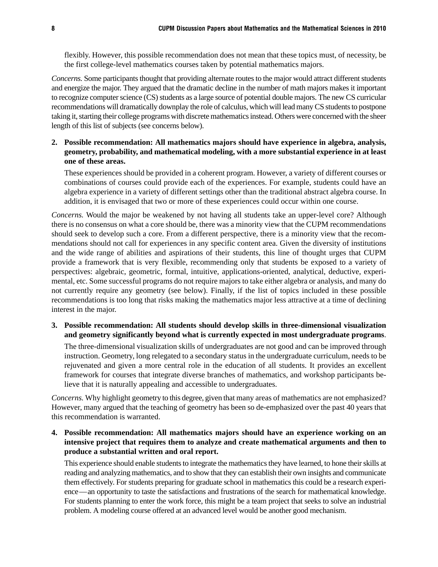flexibly. However, this possible recommendation does not mean that these topics must, of necessity, be the first college-level mathematics courses taken by potential mathematics majors.

*Concerns.* Some participants thought that providing alternate routes to the major would attract different students and energize the major. They argued that the dramatic decline in the number of math majors makes it important to recognize computer science (CS) students as a large source of potential double majors. The new CS curricular recommendations will dramatically downplay the role of calculus, which will lead many CS students to postpone taking it, starting their college programs with discrete mathematics instead. Others were concerned with the sheer length of this list of subjects (see concerns below).

**2. Possible recommendation: All mathematics majors should have experience in algebra, analysis, geometry, probability, and mathematical modeling, with a more substantial experience in at least one of these areas.**

These experiences should be provided in a coherent program. However, a variety of different courses or combinations of courses could provide each of the experiences. For example, students could have an algebra experience in a variety of different settings other than the traditional abstract algebra course. In addition, it is envisaged that two or more of these experiences could occur within one course.

*Concerns.* Would the major be weakened by not having all students take an upper-level core? Although there is no consensus on what a core should be, there was a minority view that the CUPM recommendations should seek to develop such a core. From a different perspective, there is a minority view that the recommendations should not call for experiences in any specific content area. Given the diversity of institutions and the wide range of abilities and aspirations of their students, this line of thought urges that CUPM provide a framework that is very flexible, recommending only that students be exposed to a variety of perspectives: algebraic, geometric, formal, intuitive, applications-oriented, analytical, deductive, experimental, etc. Some successful programs do not require majors to take either algebra or analysis, and many do not currently require any geometry (see below). Finally, if the list of topics included in these possible recommendations is too long that risks making the mathematics major less attractive at a time of declining interest in the major.

**3. Possible recommendation: All students should develop skills in three-dimensional visualization and geometry significantly beyond what is currently expected in most undergraduate programs**.

The three-dimensional visualization skills of undergraduates are not good and can be improved through instruction. Geometry, long relegated to a secondary status in the undergraduate curriculum, needs to be rejuvenated and given a more central role in the education of all students. It provides an excellent framework for courses that integrate diverse branches of mathematics, and workshop participants believe that it is naturally appealing and accessible to undergraduates.

*Concerns.* Why highlight geometry to this degree, given that many areas of mathematics are not emphasized? However, many argued that the teaching of geometry has been so de-emphasized over the past 40 years that this recommendation is warranted.

### **4. Possible recommendation: All mathematics majors should have an experience working on an intensive project that requires them to analyze and create mathematical arguments and then to produce a substantial written and oral report.**

This experience should enable students to integrate the mathematics they have learned, to hone their skills at reading and analyzing mathematics, and to show that they can establish their own insights and communicate them effectively. For students preparing for graduate school in mathematics this could be a research experience—an opportunity to taste the satisfactions and frustrations of the search for mathematical knowledge. For students planning to enter the work force, this might be a team project that seeks to solve an industrial problem. A modeling course offered at an advanced level would be another good mechanism.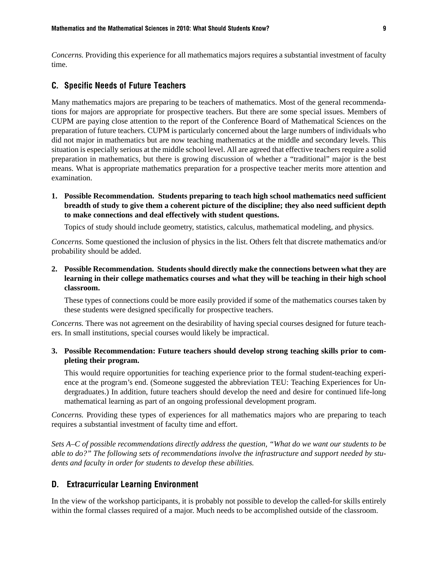*Concerns.* Providing this experience for all mathematics majors requires a substantial investment of faculty time.

#### C. Specific Needs of Future Teachers

Many mathematics majors are preparing to be teachers of mathematics. Most of the general recommendations for majors are appropriate for prospective teachers. But there are some special issues. Members of CUPM are paying close attention to the report of the Conference Board of Mathematical Sciences on the preparation of future teachers. CUPM is particularly concerned about the large numbers of individuals who did not major in mathematics but are now teaching mathematics at the middle and secondary levels. This situation is especially serious at the middle school level. All are agreed that effective teachers require a solid preparation in mathematics, but there is growing discussion of whether a "traditional" major is the best means. What is appropriate mathematics preparation for a prospective teacher merits more attention and examination.

**1. Possible Recommendation. Students preparing to teach high school mathematics need sufficient breadth of study to give them a coherent picture of the discipline; they also need sufficient depth to make connections and deal effectively with student questions.**

Topics of study should include geometry, statistics, calculus, mathematical modeling, and physics.

*Concerns.* Some questioned the inclusion of physics in the list. Others felt that discrete mathematics and/or probability should be added.

### **2. Possible Recommendation. Students should directly make the connections between what they are learning in their college mathematics courses and what they will be teaching in their high school classroom.**

These types of connections could be more easily provided if some of the mathematics courses taken by these students were designed specifically for prospective teachers.

*Concerns.* There was not agreement on the desirability of having special courses designed for future teachers. In small institutions, special courses would likely be impractical.

### **3. Possible Recommendation: Future teachers should develop strong teaching skills prior to completing their program.**

This would require opportunities for teaching experience prior to the formal student-teaching experience at the program's end. (Someone suggested the abbreviation TEU: Teaching Experiences for Undergraduates.) In addition, future teachers should develop the need and desire for continued life-long mathematical learning as part of an ongoing professional development program.

*Concerns.* Providing these types of experiences for all mathematics majors who are preparing to teach requires a substantial investment of faculty time and effort.

*Sets A–C of possible recommendations directly address the question, "What do we want our students to be able to do?" The following sets of recommendations involve the infrastructure and support needed by students and faculty in order for students to develop these abilities.*

### D. Extracurricular Learning Environment

In the view of the workshop participants, it is probably not possible to develop the called-for skills entirely within the formal classes required of a major. Much needs to be accomplished outside of the classroom.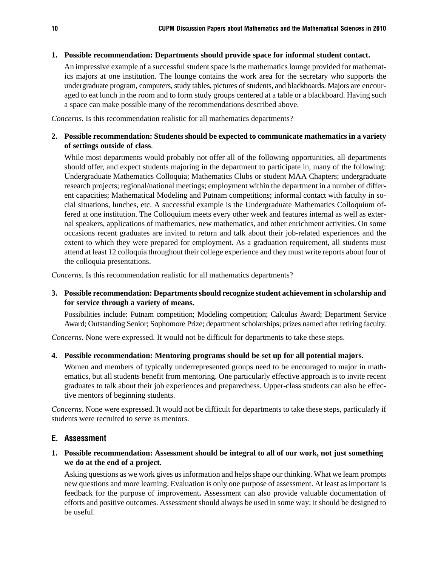### **1. Possible recommendation: Departments should provide space for informal student contact.**

An impressive example of a successful student space is the mathematics lounge provided for mathematics majors at one institution. The lounge contains the work area for the secretary who supports the undergraduate program, computers, study tables, pictures of students, and blackboards. Majors are encouraged to eat lunch in the room and to form study groups centered at a table or a blackboard. Having such a space can make possible many of the recommendations described above.

*Concerns.* Is this recommendation realistic for all mathematics departments?

### **2. Possible recommendation: Students should be expected to communicate mathematics in a variety of settings outside of class**.

While most departments would probably not offer all of the following opportunities, all departments should offer, and expect students majoring in the department to participate in, many of the following: Undergraduate Mathematics Colloquia; Mathematics Clubs or student MAA Chapters; undergraduate research projects; regional/national meetings; employment within the department in a number of different capacities; Mathematical Modeling and Putnam competitions; informal contact with faculty in social situations, lunches, etc. A successful example is the Undergraduate Mathematics Colloquium offered at one institution. The Colloquium meets every other week and features internal as well as external speakers, applications of mathematics, new mathematics, and other enrichment activities. On some occasions recent graduates are invited to return and talk about their job-related experiences and the extent to which they were prepared for employment. As a graduation requirement, all students must attend at least 12 colloquia throughout their college experience and they must write reports about four of the colloquia presentations.

*Concerns.* Is this recommendation realistic for all mathematics departments?

### **3. Possible recommendation: Departments should recognize student achievement in scholarship and for service through a variety of means.**

Possibilities include: Putnam competition; Modeling competition; Calculus Award; Department Service Award; Outstanding Senior; Sophomore Prize; department scholarships; prizes named after retiring faculty.

*Concerns*. None were expressed. It would not be difficult for departments to take these steps.

**4. Possible recommendation: Mentoring programs should be set up for all potential majors.**

Women and members of typically underrepresented groups need to be encouraged to major in mathematics, but all students benefit from mentoring. One particularly effective approach is to invite recent graduates to talk about their job experiences and preparedness. Upper-class students can also be effective mentors of beginning students.

*Concerns.* None were expressed. It would not be difficult for departments to take these steps, particularly if students were recruited to serve as mentors.

### E. Assessment

### **1. Possible recommendation: Assessment should be integral to all of our work, not just something we do at the end of a project.**

Asking questions as we work gives us information and helps shape our thinking. What we learn prompts new questions and more learning. Evaluation is only one purpose of assessment. At least as important is feedback for the purpose of improvement**.** Assessment can also provide valuable documentation of efforts and positive outcomes. Assessment should always be used in some way; it should be designed to be useful.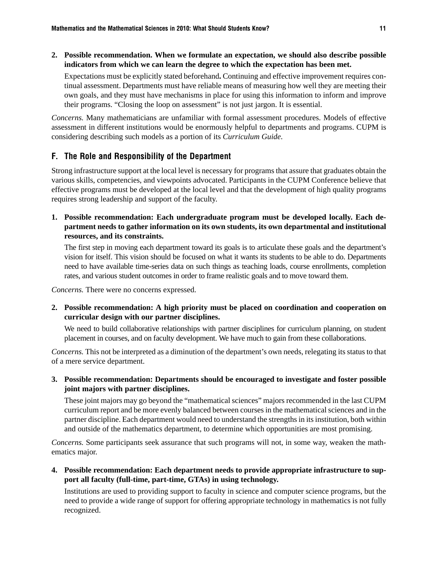**2. Possible recommendation. When we formulate an expectation, we should also describe possible indicators from which we can learn the degree to which the expectation has been met.**

Expectations must be explicitly stated beforehand**.** Continuing and effective improvement requires continual assessment. Departments must have reliable means of measuring how well they are meeting their own goals, and they must have mechanisms in place for using this information to inform and improve their programs. "Closing the loop on assessment" is not just jargon. It is essential.

*Concerns.* Many mathematicians are unfamiliar with formal assessment procedures. Models of effective assessment in different institutions would be enormously helpful to departments and programs. CUPM is considering describing such models as a portion of its *Curriculum Guide*.

### F. The Role and Responsibility of the Department

Strong infrastructure support at the local level is necessary for programs that assure that graduates obtain the various skills, competencies, and viewpoints advocated. Participants in the CUPM Conference believe that effective programs must be developed at the local level and that the development of high quality programs requires strong leadership and support of the faculty.

**1. Possible recommendation: Each undergraduate program must be developed locally. Each department needs to gather information on its own students, its own departmental and institutional resources, and its constraints.**

The first step in moving each department toward its goals is to articulate these goals and the department's vision for itself. This vision should be focused on what it wants its students to be able to do. Departments need to have available time-series data on such things as teaching loads, course enrollments, completion rates, and various student outcomes in order to frame realistic goals and to move toward them.

*Concerns.* There were no concerns expressed.

**2. Possible recommendation: A high priority must be placed on coordination and cooperation on curricular design with our partner disciplines.**

We need to build collaborative relationships with partner disciplines for curriculum planning, on student placement in courses, and on faculty development. We have much to gain from these collaborations.

*Concerns.* This not be interpreted as a diminution of the department's own needs, relegating its status to that of a mere service department.

**3. Possible recommendation: Departments should be encouraged to investigate and foster possible joint majors with partner disciplines.**

These joint majors may go beyond the "mathematical sciences" majors recommended in the last CUPM curriculum report and be more evenly balanced between courses in the mathematical sciences and in the partner discipline. Each department would need to understand the strengths in its institution, both within and outside of the mathematics department, to determine which opportunities are most promising.

*Concerns.* Some participants seek assurance that such programs will not, in some way, weaken the mathematics major.

**4. Possible recommendation: Each department needs to provide appropriate infrastructure to support all faculty (full-time, part-time, GTAs) in using technology.**

Institutions are used to providing support to faculty in science and computer science programs, but the need to provide a wide range of support for offering appropriate technology in mathematics is not fully recognized.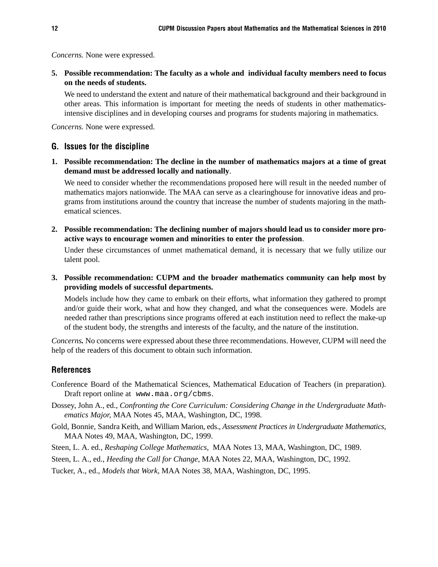*Concerns.* None were expressed.

**5. Possible recommendation: The faculty as a whole and individual faculty members need to focus on the needs of students.**

We need to understand the extent and nature of their mathematical background and their background in other areas. This information is important for meeting the needs of students in other mathematicsintensive disciplines and in developing courses and programs for students majoring in mathematics.

*Concerns.* None were expressed.

### G. Issues for the discipline

**1. Possible recommendation: The decline in the number of mathematics majors at a time of great demand must be addressed locally and nationally**.

We need to consider whether the recommendations proposed here will result in the needed number of mathematics majors nationwide. The MAA can serve as a clearinghouse for innovative ideas and programs from institutions around the country that increase the number of students majoring in the mathematical sciences.

**2. Possible recommendation: The declining number of majors should lead us to consider more proactive ways to encourage women and minorities to enter the profession**.

Under these circumstances of unmet mathematical demand, it is necessary that we fully utilize our talent pool.

**3. Possible recommendation: CUPM and the broader mathematics community can help most by providing models of successful departments.**

Models include how they came to embark on their efforts, what information they gathered to prompt and/or guide their work, what and how they changed, and what the consequences were. Models are needed rather than prescriptions since programs offered at each institution need to reflect the make-up of the student body, the strengths and interests of the faculty, and the nature of the institution.

*Concerns.* No concerns were expressed about these three recommendations. However, CUPM will need the help of the readers of this document to obtain such information.

### References

- Conference Board of the Mathematical Sciences, Mathematical Education of Teachers (in preparation). Draft report online at www.maa.org/cbms.
- Dossey, John A., ed., *Confronting the Core Curriculum: Considering Change in the Undergraduate Mathematics Major,* MAA Notes 45, MAA, Washington, DC, 1998.
- Gold, Bonnie, Sandra Keith, and William Marion, eds., *Assessment Practices in Undergraduate Mathematics,* MAA Notes 49, MAA, Washington, DC, 1999.
- Steen, L. A. ed., *Reshaping College Mathematics,* MAA Notes 13, MAA, Washington, DC, 1989.
- Steen, L. A., ed., *Heeding the Call for Change,* MAA Notes 22, MAA, Washington, DC, 1992.

Tucker, A., ed., *Models that Work,* MAA Notes 38, MAA, Washington, DC, 1995.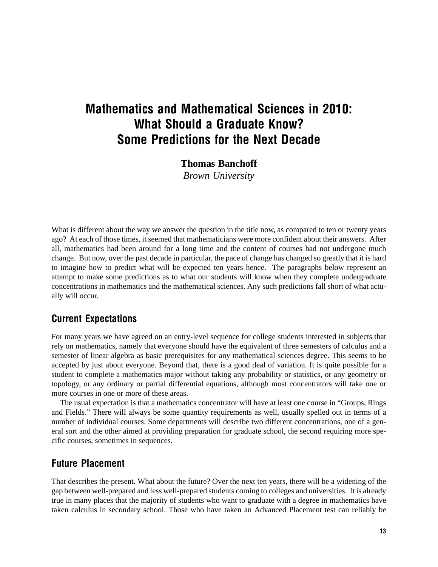## Mathematics and Mathematical Sciences in 2010: What Should a Graduate Know? Some Predictions for the Next Decade

**Thomas Banchoff**

*Brown University*

What is different about the way we answer the question in the title now, as compared to ten or twenty years ago? At each of those times, it seemed that mathematicians were more confident about their answers. After all, mathematics had been around for a long time and the content of courses had not undergone much change. But now, over the past decade in particular, the pace of change has changed so greatly that it is hard to imagine how to predict what will be expected ten years hence. The paragraphs below represent an attempt to make some predictions as to what our students will know when they complete undergraduate concentrations in mathematics and the mathematical sciences. Any such predictions fall short of what actually will occur.

## Current Expectations

For many years we have agreed on an entry-level sequence for college students interested in subjects that rely on mathematics, namely that everyone should have the equivalent of three semesters of calculus and a semester of linear algebra as basic prerequisites for any mathematical sciences degree. This seems to be accepted by just about everyone. Beyond that, there is a good deal of variation. It is quite possible for a student to complete a mathematics major without taking any probability or statistics, or any geometry or topology, or any ordinary or partial differential equations, although most concentrators will take one or more courses in one or more of these areas.

The usual expectation is that a mathematics concentrator will have at least one course in "Groups, Rings and Fields." There will always be some quantity requirements as well, usually spelled out in terms of a number of individual courses. Some departments will describe two different concentrations, one of a general sort and the other aimed at providing preparation for graduate school, the second requiring more specific courses, sometimes in sequences.

## Future Placement

That describes the present. What about the future? Over the next ten years, there will be a widening of the gap between well-prepared and less well-prepared students coming to colleges and universities. It is already true in many places that the majority of students who want to graduate with a degree in mathematics have taken calculus in secondary school. Those who have taken an Advanced Placement test can reliably be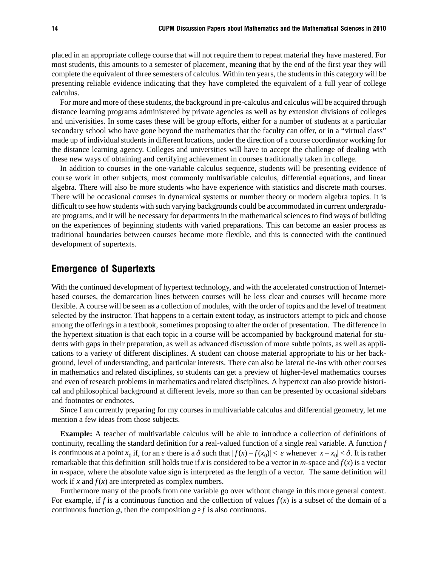placed in an appropriate college course that will not require them to repeat material they have mastered. For most students, this amounts to a semester of placement, meaning that by the end of the first year they will complete the equivalent of three semesters of calculus. Within ten years, the students in this category will be presenting reliable evidence indicating that they have completed the equivalent of a full year of college calculus.

For more and more of these students, the background in pre-calculus and calculus will be acquired through distance learning programs administered by private agencies as well as by extension divisions of colleges and univerisities. In some cases these will be group efforts, either for a number of students at a particular secondary school who have gone beyond the mathematics that the faculty can offer, or in a "virtual class" made up of individual students in different locations, under the direction of a course coordinator working for the distance learning agency. Colleges and universities will have to accept the challenge of dealing with these new ways of obtaining and certifying achievement in courses traditionally taken in college.

In addition to courses in the one-variable calculus sequence, students will be presenting evidence of course work in other subjects, most commonly multivariable calculus, differential equations, and linear algebra. There will also be more students who have experience with statistics and discrete math courses. There will be occasional courses in dynamical systems or number theory or modern algebra topics. It is difficult to see how students with such varying backgrounds could be accommodated in current undergraduate programs, and it will be necessary for departments in the mathematical sciences to find ways of building on the experiences of beginning students with varied preparations. This can become an easier process as traditional boundaries between courses become more flexible, and this is connected with the continued development of supertexts.

## Emergence of Supertexts

With the continued development of hypertext technology, and with the accelerated construction of Internetbased courses, the demarcation lines between courses will be less clear and courses will become more flexible. A course will be seen as a collection of modules, with the order of topics and the level of treatment selected by the instructor. That happens to a certain extent today, as instructors attempt to pick and choose among the offerings in a textbook, sometimes proposing to alter the order of presentation. The difference in the hypertext situation is that each topic in a course will be accompanied by background material for students with gaps in their preparation, as well as advanced discussion of more subtle points, as well as applications to a variety of different disciplines. A student can choose material appropriate to his or her background, level of understanding, and particular interests. There can also be lateral tie-ins with other courses in mathematics and related disciplines, so students can get a preview of higher-level mathematics courses and even of research problems in mathematics and related disciplines. A hypertext can also provide historical and philosophical background at different levels, more so than can be presented by occasional sidebars and footnotes or endnotes.

Since I am currently preparing for my courses in multivariable calculus and differential geometry, let me mention a few ideas from those subjects.

**Example:** A teacher of multivariable calculus will be able to introduce a collection of definitions of continuity, recalling the standard definition for a real-valued function of a single real variable. A function *f* is continuous at a point  $x_0$  if, for an  $\varepsilon$  there is a  $\delta$  such that  $|f(x) - f(x_0)| < \varepsilon$  whenever  $|x - x_0| < \delta$ . It is rather remarkable that this definition still holds true if *x* is considered to be a vector in *m*-space and  $f(x)$  is a vector in *n*-space, where the absolute value sign is interpreted as the length of a vector. The same definition will work if *x* and *f*(*x*) are interpreted as complex numbers.

Furthermore many of the proofs from one variable go over without change in this more general context. For example, if *f* is a continuous function and the collection of values  $f(x)$  is a subset of the domain of a continuous function *g*, then the composition  $g \circ f$  is also continuous.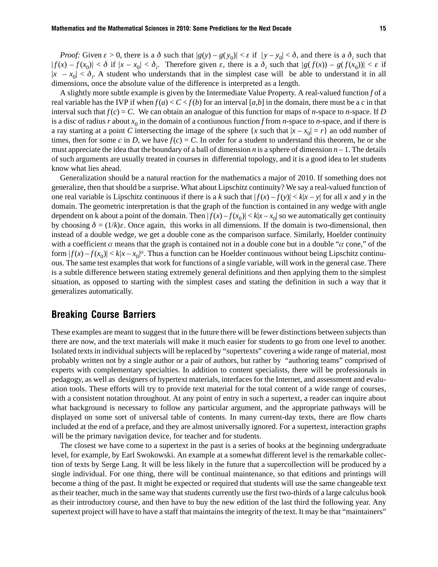*Proof:* Given  $\varepsilon > 0$ , there is a  $\delta$  such that  $|g(y) - g(y_0)| < \varepsilon$  if  $|y - y_0| < \delta$ , and there is a  $\delta_i$  such that  $|f(x) - f(x_0)| < \delta$  if  $|x - x_0| < \delta_i$ . Therefore given  $\varepsilon$ , there is a  $\delta_i$  such that  $|g(f(x)) - g(f(x_0))| < \varepsilon$  if  $|x - x_0| < \delta_i$ . A student who understands that in the simplest case will be able to understand it in all dimensions, once the absolute value of the difference is interpreted as a length.

A slightly more subtle example is given by the Intermediate Value Property. A real-valued function *f* of a real variable has the IVP if when  $f(a) < C < f(b)$  for an interval [a, b] in the domain, there must be a c in that interval such that  $f(c) = C$ . We can obtain an analogue of this function for maps of *n*-space to *n*-space. If *D* is a disc of radius *r* about  $x_0$  in the domain of a contiunous function *f* from *n*-space to *n*-space, and if there is a ray starting at a point *C* intersecting the image of the sphere  $\{x \text{ such that } |x - x_0| = r\}$  an odd number of times, then for some *c* in *D*, we have  $f(c) = C$ . In order for a student to understand this theorem, he or she must appreciate the idea that the boundary of a ball of dimension *n* is a sphere of dimension  $n-1$ . The details of such arguments are usually treated in courses in differential topology, and it is a good idea to let students know what lies ahead.

Generalization should be a natural reaction for the mathematics a major of 2010. If something does not generalize, then that should be a surprise. What about Lipschitz continuity? We say a real-valued function of one real variable is Lipschitz continuous if there is a *k* such that  $|f(x) - f(y)| < k|x - y|$  for all *x* and *y* in the domain. The geometric interpretation is that the graph of the function is contained in any wedge with angle dependent on k about a point of the domain. Then  $|f(x) - f(x_0)| < k|x - x_0|$  so we automatically get continuity by choosing  $\delta = (1/k)\varepsilon$ . Once again, this works in all dimensions. If the domain is two-dimensional, then instead of a double wedge, we get a double cone as the comparison surface. Similarly, Hoelder continuity with a coefficient  $\alpha$  means that the graph is contained not in a double cone but in a double " $\alpha$  cone," of the form  $|f(x) - f(x_0)| < k|x - x_0|^\alpha$ . Thus a function can be Hoelder continuous without being Lipschitz continuous. The same test examples that work for functions of a single variable, will work in the general case. There is a subtle difference between stating extremely general definitions and then applying them to the simplest situation, as opposed to starting with the simplest cases and stating the definition in such a way that it generalizes automatically.

### Breaking Course Barriers

These examples are meant to suggest that in the future there will be fewer distinctions between subjects than there are now, and the text materials will make it much easier for students to go from one level to another. Isolated texts in individual subjects will be replaced by "supertexts" covering a wide range of material, most probably written not by a single author or a pair of authors, but rather by "authoring teams" comprised of experts with complementary specialties. In addition to content specialists, there will be professionals in pedagogy, as well as designers of hypertext materials, interfaces for the Internet, and assessment and evaluation tools. These efforts will try to provide text material for the total content of a wide range of courses, with a consistent notation throughout. At any point of entry in such a supertext, a reader can inquire about what background is necessary to follow any particular argument, and the appropriate pathways will be displayed on some sort of universal table of contents. In many current-day texts, there are flow charts included at the end of a preface, and they are almost universally ignored. For a supertext, interaction graphs will be the primary navigation device, for teacher and for students.

The closest we have come to a supertext in the past is a series of books at the beginning undergraduate level, for example, by Earl Swokowski. An example at a somewhat different level is the remarkable collection of texts by Serge Lang. It will be less likely in the future that a supercollection will be produced by a single individual. For one thing, there will be continual maintenance, so that editions and printings will become a thing of the past. It might be expected or required that students will use the same changeable text as their teacher, much in the same way that students currently use the first two-thirds of a large calculus book as their introductory course, and then have to buy the new edition of the last third the following year. Any supertext project will have to have a staff that maintains the integrity of the text. It may be that "maintainers"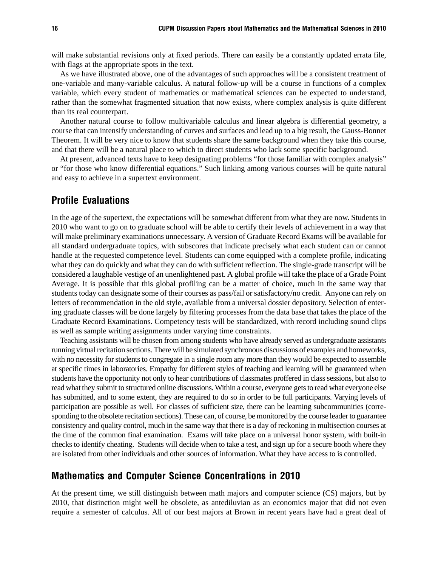will make substantial revisions only at fixed periods. There can easily be a constantly updated errata file, with flags at the appropriate spots in the text.

As we have illustrated above, one of the advantages of such approaches will be a consistent treatment of one-variable and many-variable calculus. A natural follow-up will be a course in functions of a complex variable, which every student of mathematics or mathematical sciences can be expected to understand, rather than the somewhat fragmented situation that now exists, where complex analysis is quite different than its real counterpart.

Another natural course to follow multivariable calculus and linear algebra is differential geometry, a course that can intensify understanding of curves and surfaces and lead up to a big result, the Gauss-Bonnet Theorem. It will be very nice to know that students share the same background when they take this course, and that there will be a natural place to which to direct students who lack some specific background.

At present, advanced texts have to keep designating problems "for those familiar with complex analysis" or "for those who know differential equations." Such linking among various courses will be quite natural and easy to achieve in a supertext environment.

## Profile Evaluations

In the age of the supertext, the expectations will be somewhat different from what they are now. Students in 2010 who want to go on to graduate school will be able to certify their levels of achievement in a way that will make preliminary examinations unnecessary. A version of Graduate Record Exams will be available for all standard undergraduate topics, with subscores that indicate precisely what each student can or cannot handle at the requested competence level. Students can come equipped with a complete profile, indicating what they can do quickly and what they can do with sufficient reflection. The single-grade transcript will be considered a laughable vestige of an unenlightened past. A global profile will take the place of a Grade Point Average. It is possible that this global profiling can be a matter of choice, much in the same way that students today can designate some of their courses as pass/fail or satisfactory/no credit. Anyone can rely on letters of recommendation in the old style, available from a universal dossier depository. Selection of entering graduate classes will be done largely by filtering processes from the data base that takes the place of the Graduate Record Examinations. Competency tests will be standardized, with record including sound clips as well as sample writing assignments under varying time constraints.

Teaching assistants will be chosen from among students who have already served as undergraduate assistants running virtual recitation sections. There will be simulated synchronous discussions of examples and homeworks, with no necessity for students to congregate in a single room any more than they would be expected to assemble at specific times in laboratories. Empathy for different styles of teaching and learning will be guaranteed when students have the opportunity not only to hear contributions of classmates proffered in class sessions, but also to read what they submit to structured online discussions. Within a course, everyone gets to read what everyone else has submitted, and to some extent, they are required to do so in order to be full participants. Varying levels of participation are possible as well. For classes of sufficient size, there can be learning subcommunities (corresponding to the obsolete recitation sections). These can, of course, be monitored by the course leader to guarantee consistency and quality control, much in the same way that there is a day of reckoning in multisection courses at the time of the common final examination. Exams will take place on a universal honor system, with built-in checks to identify cheating. Students will decide when to take a test, and sign up for a secure booth where they are isolated from other individuals and other sources of information. What they have access to is controlled.

## Mathematics and Computer Science Concentrations in 2010

At the present time, we still distinguish between math majors and computer science (CS) majors, but by 2010, that distinction might well be obsolete, as antediluvian as an economics major that did not even require a semester of calculus. All of our best majors at Brown in recent years have had a great deal of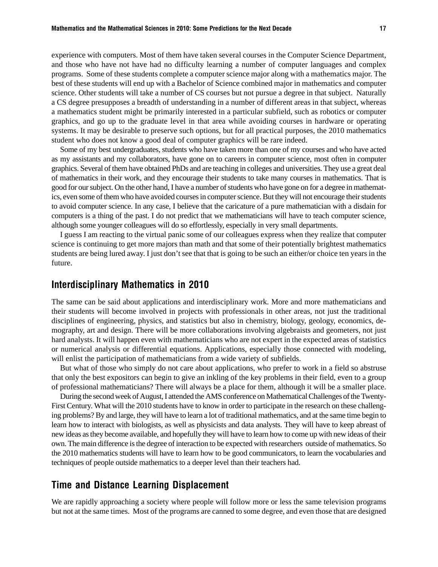experience with computers. Most of them have taken several courses in the Computer Science Department, and those who have not have had no difficulty learning a number of computer languages and complex programs. Some of these students complete a computer science major along with a mathematics major. The best of these students will end up with a Bachelor of Science combined major in mathematics and computer science. Other students will take a number of CS courses but not pursue a degree in that subject. Naturally a CS degree presupposes a breadth of understanding in a number of different areas in that subject, whereas a mathematics student might be primarily interested in a particular subfield, such as robotics or computer graphics, and go up to the graduate level in that area while avoiding courses in hardware or operating systems. It may be desirable to preserve such options, but for all practical purposes, the 2010 mathematics student who does not know a good deal of computer graphics will be rare indeed.

Some of my best undergraduates, students who have taken more than one of my courses and who have acted as my assistants and my collaborators, have gone on to careers in computer science, most often in computer graphics. Several of them have obtained PhDs and are teaching in colleges and universities. They use a great deal of mathematics in their work, and they encourage their students to take many courses in mathematics. That is good for our subject. On the other hand, I have a number of students who have gone on for a degree in mathematics, even some of them who have avoided courses in computer science. But they will not encourage their students to avoid computer science. In any case, I believe that the caricature of a pure mathematician with a disdain for computers is a thing of the past. I do not predict that we mathematicians will have to teach computer science, although some younger colleagues will do so effortlessly, especially in very small departments.

I guess I am reacting to the virtual panic some of our colleagues express when they realize that computer science is continuing to get more majors than math and that some of their potentially brightest mathematics students are being lured away. I just don't see that that is going to be such an either/or choice ten years in the future.

## Interdisciplinary Mathematics in 2010

The same can be said about applications and interdisciplinary work. More and more mathematicians and their students will become involved in projects with professionals in other areas, not just the traditional disciplines of engineering, physics, and statistics but also in chemistry, biology, geology, economics, demography, art and design. There will be more collaborations involving algebraists and geometers, not just hard analysts. It will happen even with mathematicians who are not expert in the expected areas of statistics or numerical analysis or differential equations. Applications, especially those connected with modeling, will enlist the participation of mathematicians from a wide variety of subfields.

But what of those who simply do not care about applications, who prefer to work in a field so abstruse that only the best expositors can begin to give an inkling of the key problems in their field, even to a group of professional mathematicians? There will always be a place for them, although it will be a smaller place.

During the second week of August, I attended the AMS conference on Mathematical Challenges of the Twenty-First Century. What will the 2010 students have to know in order to participate in the research on these challenging problems? By and large, they will have to learn a lot of traditional mathematics, and at the same time begin to learn how to interact with biologists, as well as physicists and data analysts. They will have to keep abreast of new ideas as they become available, and hopefully they will have to learn how to come up with new ideas of their own. The main difference is the degree of interaction to be expected with researchers outside of mathematics. So the 2010 mathematics students will have to learn how to be good communicators, to learn the vocabularies and techniques of people outside mathematics to a deeper level than their teachers had.

### Time and Distance Learning Displacement

We are rapidly approaching a society where people will follow more or less the same television programs but not at the same times. Most of the programs are canned to some degree, and even those that are designed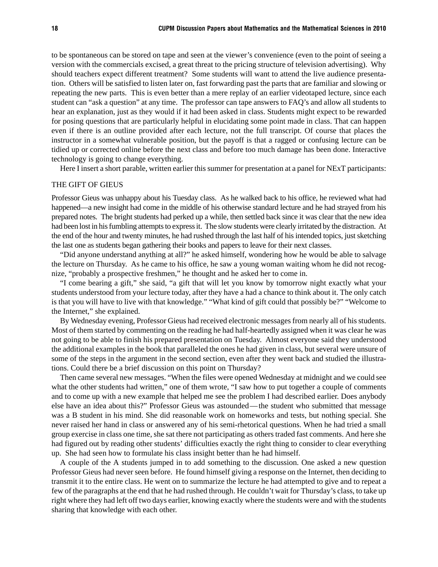to be spontaneous can be stored on tape and seen at the viewer's convenience (even to the point of seeing a version with the commercials excised, a great threat to the pricing structure of television advertising). Why should teachers expect different treatment? Some students will want to attend the live audience presentation. Others will be satisfied to listen later on, fast forwarding past the parts that are familiar and slowing or repeating the new parts. This is even better than a mere replay of an earlier videotaped lecture, since each student can "ask a question" at any time. The professor can tape answers to FAQ's and allow all students to hear an explanation, just as they would if it had been asked in class. Students might expect to be rewarded for posing questions that are particularly helpful in elucidating some point made in class. That can happen even if there is an outline provided after each lecture, not the full transcript. Of course that places the instructor in a somewhat vulnerable position, but the payoff is that a ragged or confusing lecture can be tidied up or corrected online before the next class and before too much damage has been done. Interactive technology is going to change everything.

Here I insert a short parable, written earlier this summer for presentation at a panel for NExT participants:

#### THE GIFT OF GIEUS

Professor Gieus was unhappy about his Tuesday class. As he walked back to his office, he reviewed what had happened—a new insight had come in the middle of his otherwise standard lecture and he had strayed from his prepared notes. The bright students had perked up a while, then settled back since it was clear that the new idea had been lost in his fumbling attempts to express it. The slow students were clearly irritated by the distraction. At the end of the hour and twenty minutes, he had rushed through the last half of his intended topics, just sketching the last one as students began gathering their books and papers to leave for their next classes.

"Did anyone understand anything at all?" he asked himself, wondering how he would be able to salvage the lecture on Thursday. As he came to his office, he saw a young woman waiting whom he did not recognize, "probably a prospective freshmen," he thought and he asked her to come in.

"I come bearing a gift," she said, "a gift that will let you know by tomorrow night exactly what your students understood from your lecture today, after they have a had a chance to think about it. The only catch is that you will have to live with that knowledge." "What kind of gift could that possibly be?" "Welcome to the Internet," she explained.

By Wednesday evening, Professor Gieus had received electronic messages from nearly all of his students. Most of them started by commenting on the reading he had half-heartedly assigned when it was clear he was not going to be able to finish his prepared presentation on Tuesday. Almost everyone said they understood the additional examples in the book that paralleled the ones he had given in class, but several were unsure of some of the steps in the argument in the second section, even after they went back and studied the illustrations. Could there be a brief discussion on this point on Thursday?

Then came several new messages. "When the files were opened Wednesday at midnight and we could see what the other students had written," one of them wrote, "I saw how to put together a couple of comments and to come up with a new example that helped me see the problem I had described earlier. Does anybody else have an idea about this?" Professor Gieus was astounded— the student who submitted that message was a B student in his mind. She did reasonable work on homeworks and tests, but nothing special. She never raised her hand in class or answered any of his semi-rhetorical questions. When he had tried a small group exercise in class one time, she sat there not participating as others traded fast comments. And here she had figured out by reading other students' difficulties exactly the right thing to consider to clear everything up. She had seen how to formulate his class insight better than he had himself.

A couple of the A students jumped in to add something to the discussion. One asked a new question Professor Gieus had never seen before. He found himself giving a response on the Internet, then deciding to transmit it to the entire class. He went on to summarize the lecture he had attempted to give and to repeat a few of the paragraphs at the end that he had rushed through. He couldn't wait for Thursday's class, to take up right where they had left off two days earlier, knowing exactly where the students were and with the students sharing that knowledge with each other.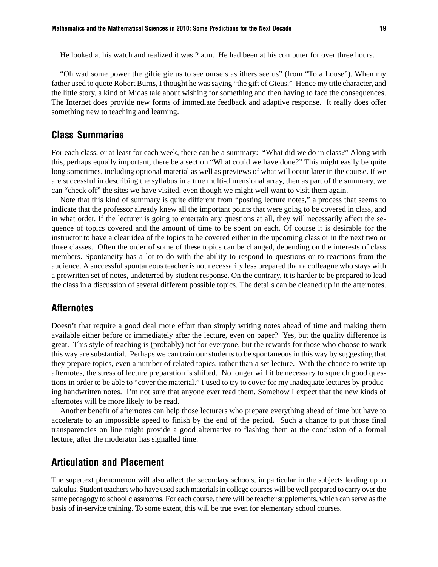He looked at his watch and realized it was 2 a.m. He had been at his computer for over three hours.

"Oh wad some power the giftie gie us to see oursels as ithers see us" (from "To a Louse"). When my father used to quote Robert Burns, I thought he was saying "the gift of Gieus." Hence my title character, and the little story, a kind of Midas tale about wishing for something and then having to face the consequences. The Internet does provide new forms of immediate feedback and adaptive response. It really does offer something new to teaching and learning.

## Class Summaries

For each class, or at least for each week, there can be a summary: "What did we do in class?" Along with this, perhaps equally important, there be a section "What could we have done?" This might easily be quite long sometimes, including optional material as well as previews of what will occur later in the course. If we are successful in describing the syllabus in a true multi-dimensional array, then as part of the summary, we can "check off" the sites we have visited, even though we might well want to visit them again.

Note that this kind of summary is quite different from "posting lecture notes," a process that seems to indicate that the professor already knew all the important points that were going to be covered in class, and in what order. If the lecturer is going to entertain any questions at all, they will necessarily affect the sequence of topics covered and the amount of time to be spent on each. Of course it is desirable for the instructor to have a clear idea of the topics to be covered either in the upcoming class or in the next two or three classes. Often the order of some of these topics can be changed, depending on the interests of class members. Spontaneity has a lot to do with the ability to respond to questions or to reactions from the audience. A successful spontaneous teacher is not necessarily less prepared than a colleague who stays with a prewritten set of notes, undeterred by student response. On the contrary, it is harder to be prepared to lead the class in a discussion of several different possible topics. The details can be cleaned up in the afternotes.

### **Afternotes**

Doesn't that require a good deal more effort than simply writing notes ahead of time and making them available either before or immediately after the lecture, even on paper? Yes, but the quality difference is great. This style of teaching is (probably) not for everyone, but the rewards for those who choose to work this way are substantial. Perhaps we can train our students to be spontaneous in this way by suggesting that they prepare topics, even a number of related topics, rather than a set lecture. With the chance to write up afternotes, the stress of lecture preparation is shifted. No longer will it be necessary to squelch good questions in order to be able to "cover the material." I used to try to cover for my inadequate lectures by producing handwritten notes. I'm not sure that anyone ever read them. Somehow I expect that the new kinds of afternotes will be more likely to be read.

Another benefit of afternotes can help those lecturers who prepare everything ahead of time but have to accelerate to an impossible speed to finish by the end of the period. Such a chance to put those final transparencies on line might provide a good alternative to flashing them at the conclusion of a formal lecture, after the moderator has signalled time.

## Articulation and Placement

The supertext phenomenon will also affect the secondary schools, in particular in the subjects leading up to calculus. Student teachers who have used such materials in college courses will be well prepared to carry over the same pedagogy to school classrooms. For each course, there will be teacher supplements, which can serve as the basis of in-service training. To some extent, this will be true even for elementary school courses.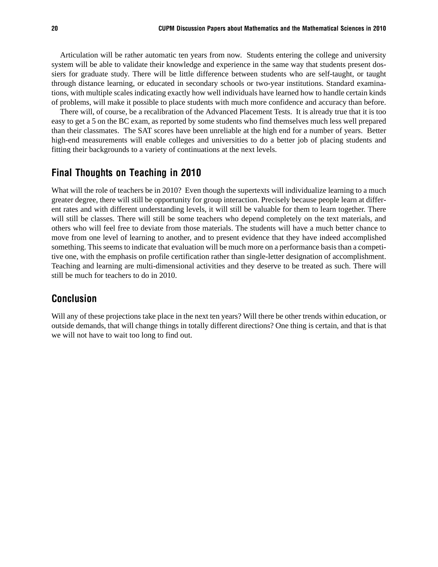Articulation will be rather automatic ten years from now. Students entering the college and university system will be able to validate their knowledge and experience in the same way that students present dossiers for graduate study. There will be little difference between students who are self-taught, or taught through distance learning, or educated in secondary schools or two-year institutions. Standard examinations, with multiple scales indicating exactly how well individuals have learned how to handle certain kinds of problems, will make it possible to place students with much more confidence and accuracy than before.

There will, of course, be a recalibration of the Advanced Placement Tests. It is already true that it is too easy to get a 5 on the BC exam, as reported by some students who find themselves much less well prepared than their classmates. The SAT scores have been unreliable at the high end for a number of years. Better high-end measurements will enable colleges and universities to do a better job of placing students and fitting their backgrounds to a variety of continuations at the next levels.

## Final Thoughts on Teaching in 2010

What will the role of teachers be in 2010? Even though the supertexts will individualize learning to a much greater degree, there will still be opportunity for group interaction. Precisely because people learn at different rates and with different understanding levels, it will still be valuable for them to learn together. There will still be classes. There will still be some teachers who depend completely on the text materials, and others who will feel free to deviate from those materials. The students will have a much better chance to move from one level of learning to another, and to present evidence that they have indeed accomplished something. This seems to indicate that evaluation will be much more on a performance basis than a competitive one, with the emphasis on profile certification rather than single-letter designation of accomplishment. Teaching and learning are multi-dimensional activities and they deserve to be treated as such. There will still be much for teachers to do in 2010.

## Conclusion

Will any of these projections take place in the next ten years? Will there be other trends within education, or outside demands, that will change things in totally different directions? One thing is certain, and that is that we will not have to wait too long to find out.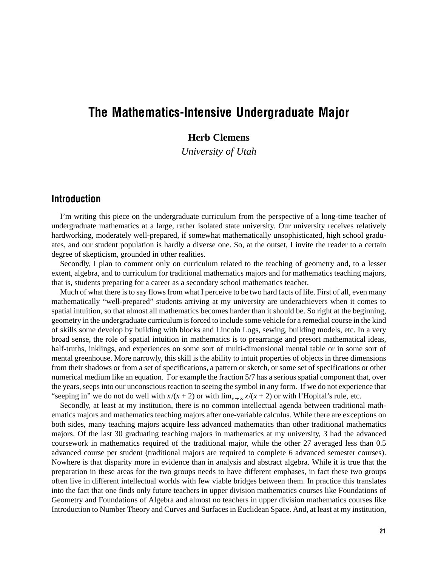## The Mathematics-Intensive Undergraduate Major

## **Herb Clemens**

*University of Utah*

## Introduction

I'm writing this piece on the undergraduate curriculum from the perspective of a long-time teacher of undergraduate mathematics at a large, rather isolated state university. Our university receives relatively hardworking, moderately well-prepared, if somewhat mathematically unsophisticated, high school graduates, and our student population is hardly a diverse one. So, at the outset, I invite the reader to a certain degree of skepticism, grounded in other realities.

Secondly, I plan to comment only on curriculum related to the teaching of geometry and, to a lesser extent, algebra, and to curriculum for traditional mathematics majors and for mathematics teaching majors, that is, students preparing for a career as a secondary school mathematics teacher.

Much of what there is to say flows from what I perceive to be two hard facts of life. First of all, even many mathematically "well-prepared" students arriving at my university are underachievers when it comes to spatial intuition, so that almost all mathematics becomes harder than it should be. So right at the beginning, geometry in the undergraduate curriculum is forced to include some vehicle for a remedial course in the kind of skills some develop by building with blocks and Lincoln Logs, sewing, building models, etc. In a very broad sense, the role of spatial intuition in mathematics is to prearrange and presort mathematical ideas, half-truths, inklings, and experiences on some sort of multi-dimensional mental table or in some sort of mental greenhouse. More narrowly, this skill is the ability to intuit properties of objects in three dimensions from their shadows or from a set of specifications, a pattern or sketch, or some set of specifications or other numerical medium like an equation. For example the fraction 5/7 has a serious spatial component that, over the years, seeps into our unconscious reaction to seeing the symbol in any form. If we do not experience that "seeping in" we do not do well with  $x/(x + 2)$  or with  $\lim_{x\to\infty} x/(x + 2)$  or with l'Hopital's rule, etc.

Secondly, at least at my institution, there is no common intellectual agenda between traditional mathematics majors and mathematics teaching majors after one-variable calculus. While there are exceptions on both sides, many teaching majors acquire less advanced mathematics than other traditional mathematics majors. Of the last 30 graduating teaching majors in mathematics at my university, 3 had the advanced coursework in mathematics required of the traditional major, while the other 27 averaged less than 0.5 advanced course per student (traditional majors are required to complete 6 advanced semester courses). Nowhere is that disparity more in evidence than in analysis and abstract algebra. While it is true that the preparation in these areas for the two groups needs to have different emphases, in fact these two groups often live in different intellectual worlds with few viable bridges between them. In practice this translates into the fact that one finds only future teachers in upper division mathematics courses like Foundations of Geometry and Foundations of Algebra and almost no teachers in upper division mathematics courses like Introduction to Number Theory and Curves and Surfaces in Euclidean Space. And, at least at my institution,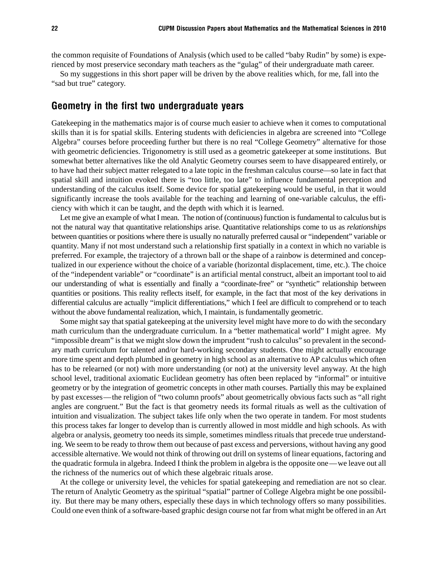the common requisite of Foundations of Analysis (which used to be called "baby Rudin" by some) is experienced by most preservice secondary math teachers as the "gulag" of their undergraduate math career.

So my suggestions in this short paper will be driven by the above realities which, for me, fall into the "sad but true" category.

### Geometry in the first two undergraduate years

Gatekeeping in the mathematics major is of course much easier to achieve when it comes to computational skills than it is for spatial skills. Entering students with deficiencies in algebra are screened into "College Algebra" courses before proceeding further but there is no real "College Geometry" alternative for those with geometric deficiencies. Trigonometry is still used as a geometric gatekeeper at some institutions. But somewhat better alternatives like the old Analytic Geometry courses seem to have disappeared entirely, or to have had their subject matter relegated to a late topic in the freshman calculus course—so late in fact that spatial skill and intuition evoked there is "too little, too late" to influence fundamental perception and understanding of the calculus itself. Some device for spatial gatekeeping would be useful, in that it would significantly increase the tools available for the teaching and learning of one-variable calculus, the efficiency with which it can be taught, and the depth with which it is learned.

Let me give an example of what I mean. The notion of (continuous) function is fundamental to calculus but is not the natural way that quantitative relationships arise. Quantitative relationships come to us as *relationships* between quantities or positions where there is usually no naturally preferred causal or "independent" variable or quantity. Many if not most understand such a relationship first spatially in a context in which no variable is preferred. For example, the trajectory of a thrown ball or the shape of a rainbow is determined and conceptualized in our experience without the choice of a variable (horizontal displacement, time, etc.). The choice of the "independent variable" or "coordinate" is an artificial mental construct, albeit an important tool to aid our understanding of what is essentially and finally a "coordinate-free" or "synthetic" relationship between quantities or positions. This reality reflects itself, for example, in the fact that most of the key derivations in differential calculus are actually "implicit differentiations," which I feel are difficult to comprehend or to teach without the above fundamental realization, which, I maintain, is fundamentally geometric.

Some might say that spatial gatekeeping at the university level might have more to do with the secondary math curriculum than the undergraduate curriculum. In a "better mathematical world" I might agree. My "impossible dream" is that we might slow down the imprudent "rush to calculus" so prevalent in the secondary math curriculum for talented and/or hard-working secondary students. One might actually encourage more time spent and depth plumbed in geometry in high school as an alternative to AP calculus which often has to be relearned (or not) with more understanding (or not) at the university level anyway. At the high school level, traditional axiomatic Euclidean geometry has often been replaced by "informal" or intuitive geometry or by the integration of geometric concepts in other math courses. Partially this may be explained by past excesses—the religion of "two column proofs" about geometrically obvious facts such as "all right angles are congruent." But the fact is that geometry needs its formal rituals as well as the cultivation of intuition and visualization. The subject takes life only when the two operate in tandem. For most students this process takes far longer to develop than is currently allowed in most middle and high schools. As with algebra or analysis, geometry too needs its simple, sometimes mindless rituals that precede true understanding. We seem to be ready to throw them out because of past excess and perversions, without having any good accessible alternative. We would not think of throwing out drill on systems of linear equations, factoring and the quadratic formula in algebra. Indeed I think the problem in algebra is the opposite one—we leave out all the richness of the numerics out of which these algebraic rituals arose.

At the college or university level, the vehicles for spatial gatekeeping and remediation are not so clear. The return of Analytic Geometry as the spiritual "spatial" partner of College Algebra might be one possibility. But there may be many others, especially these days in which technology offers so many possibilities. Could one even think of a software-based graphic design course not far from what might be offered in an Art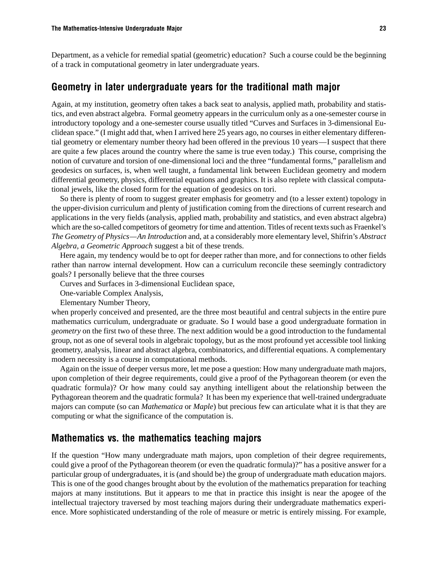Department, as a vehicle for remedial spatial (geometric) education? Such a course could be the beginning of a track in computational geometry in later undergraduate years.

### Geometry in later undergraduate years for the traditional math major

Again, at my institution, geometry often takes a back seat to analysis, applied math, probability and statistics, and even abstract algebra. Formal geometry appears in the curriculum only as a one-semester course in introductory topology and a one-semester course usually titled "Curves and Surfaces in 3-dimensional Euclidean space." (I might add that, when I arrived here 25 years ago, no courses in either elementary differential geometry or elementary number theory had been offered in the previous 10 years—I suspect that there are quite a few places around the country where the same is true even today.) This course, comprising the notion of curvature and torsion of one-dimensional loci and the three "fundamental forms," parallelism and geodesics on surfaces, is, when well taught, a fundamental link between Euclidean geometry and modern differential geometry, physics, differential equations and graphics. It is also replete with classical computational jewels, like the closed form for the equation of geodesics on tori.

So there is plenty of room to suggest greater emphasis for geometry and (to a lesser extent) topology in the upper-division curriculum and plenty of justification coming from the directions of current research and applications in the very fields (analysis, applied math, probability and statistics, and even abstract algebra) which are the so-called competitors of geometry for time and attention. Titles of recent texts such as Fraenkel's *The Geometry of Physics—An Introduction* and, at a considerably more elementary level, Shifrin's *Abstract Algebra, a Geometric Approach* suggest a bit of these trends.

Here again, my tendency would be to opt for deeper rather than more, and for connections to other fields rather than narrow internal development. How can a curriculum reconcile these seemingly contradictory goals? I personally believe that the three courses

Curves and Surfaces in 3-dimensional Euclidean space,

One-variable Complex Analysis,

Elementary Number Theory,

when properly conceived and presented, are the three most beautiful and central subjects in the entire pure mathematics curriculum, undergraduate or graduate. So I would base a good undergraduate formation in *geometry* on the first two of these three. The next addition would be a good introduction to the fundamental group, not as one of several tools in algebraic topology, but as the most profound yet accessible tool linking geometry, analysis, linear and abstract algebra, combinatorics, and differential equations. A complementary modern necessity is a course in computational methods.

Again on the issue of deeper versus more, let me pose a question: How many undergraduate math majors, upon completion of their degree requirements, could give a proof of the Pythagorean theorem (or even the quadratic formula)? Or how many could say anything intelligent about the relationship between the Pythagorean theorem and the quadratic formula? It has been my experience that well-trained undergraduate majors can compute (so can *Mathematica* or *Maple*) but precious few can articulate what it is that they are computing or what the significance of the computation is.

## Mathematics vs. the mathematics teaching majors

If the question "How many undergraduate math majors, upon completion of their degree requirements, could give a proof of the Pythagorean theorem (or even the quadratic formula)?" has a positive answer for a particular group of undergraduates, it is (and should be) the group of undergraduate math education majors. This is one of the good changes brought about by the evolution of the mathematics preparation for teaching majors at many institutions. But it appears to me that in practice this insight is near the apogee of the intellectual trajectory traversed by most teaching majors during their undergraduate mathematics experience. More sophisticated understanding of the role of measure or metric is entirely missing. For example,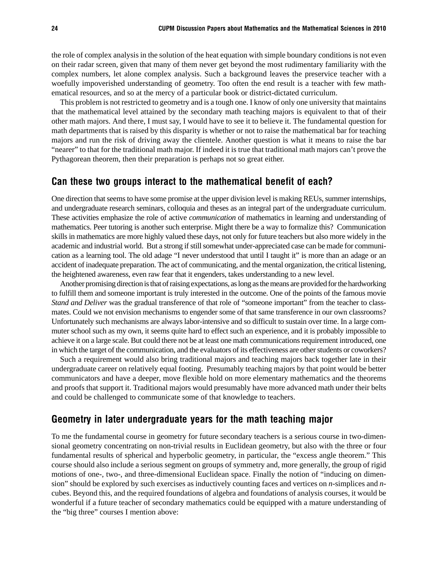the role of complex analysis in the solution of the heat equation with simple boundary conditions is not even on their radar screen, given that many of them never get beyond the most rudimentary familiarity with the complex numbers, let alone complex analysis. Such a background leaves the preservice teacher with a woefully impoverished understanding of geometry. Too often the end result is a teacher with few mathematical resources, and so at the mercy of a particular book or district-dictated curriculum.

This problem is not restricted to geometry and is a tough one. I know of only one university that maintains that the mathematical level attained by the secondary math teaching majors is equivalent to that of their other math majors. And there, I must say, I would have to see it to believe it. The fundamental question for math departments that is raised by this disparity is whether or not to raise the mathematical bar for teaching majors and run the risk of driving away the clientele. Another question is what it means to raise the bar "nearer" to that for the traditional math major. If indeed it is true that traditional math majors can't prove the Pythagorean theorem, then their preparation is perhaps not so great either.

### Can these two groups interact to the mathematical benefit of each?

One direction that seems to have some promise at the upper division level is making REUs, summer internships, and undergraduate research seminars, colloquia and theses as an integral part of the undergraduate curriculum. These activities emphasize the role of active *communication* of mathematics in learning and understanding of mathematics. Peer tutoring is another such enterprise. Might there be a way to formalize this? Communication skills in mathematics are more highly valued these days, not only for future teachers but also more widely in the academic and industrial world. But a strong if still somewhat under-appreciated case can be made for communication as a learning tool. The old adage "I never understood that until I taught it" is more than an adage or an accident of inadequate preparation. The act of communicating, and the mental organization, the critical listening, the heightened awareness, even raw fear that it engenders, takes understanding to a new level.

Another promising direction is that of raising expectations, as long as the means are provided for the hardworking to fulfill them and someone important is truly interested in the outcome. One of the points of the famous movie *Stand and Deliver* was the gradual transference of that role of "someone important" from the teacher to classmates. Could we not envision mechanisms to engender some of that same transference in our own classrooms? Unfortunately such mechanisms are always labor-intensive and so difficult to sustain over time. In a large commuter school such as my own, it seems quite hard to effect such an experience, and it is probably impossible to achieve it on a large scale. But could there not be at least one math communications requirement introduced, one in which the target of the communication, and the evaluators of its effectiveness are other students or coworkers?

Such a requirement would also bring traditional majors and teaching majors back together late in their undergraduate career on relatively equal footing. Presumably teaching majors by that point would be better communicators and have a deeper, move flexible hold on more elementary mathematics and the theorems and proofs that support it. Traditional majors would presumably have more advanced math under their belts and could be challenged to communicate some of that knowledge to teachers.

## Geometry in later undergraduate years for the math teaching major

To me the fundamental course in geometry for future secondary teachers is a serious course in two-dimensional geometry concentrating on non-trivial results in Euclidean geometry, but also with the three or four fundamental results of spherical and hyperbolic geometry, in particular, the "excess angle theorem." This course should also include a serious segment on groups of symmetry and, more generally, the group of rigid motions of one-, two-, and three-dimensional Euclidean space. Finally the notion of "inducing on dimension" should be explored by such exercises as inductively counting faces and vertices on *n*-simplices and *n*cubes. Beyond this, and the required foundations of algebra and foundations of analysis courses, it would be wonderful if a future teacher of secondary mathematics could be equipped with a mature understanding of the "big three" courses I mention above: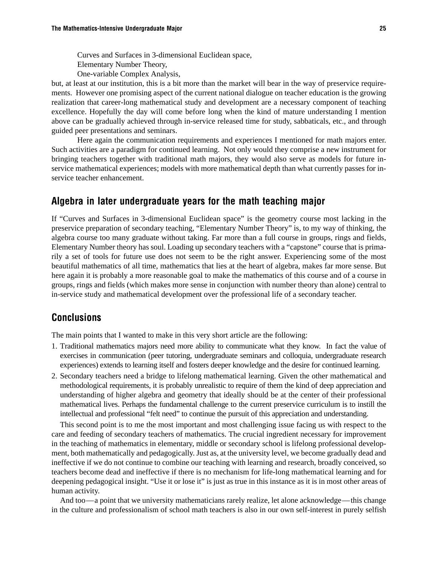Curves and Surfaces in 3-dimensional Euclidean space, Elementary Number Theory, One-variable Complex Analysis,

but, at least at our institution, this is a bit more than the market will bear in the way of preservice requirements. However one promising aspect of the current national dialogue on teacher education is the growing realization that career-long mathematical study and development are a necessary component of teaching excellence. Hopefully the day will come before long when the kind of mature understanding I mention above can be gradually achieved through in-service released time for study, sabbaticals, etc., and through guided peer presentations and seminars.

Here again the communication requirements and experiences I mentioned for math majors enter. Such activities are a paradigm for continued learning. Not only would they comprise a new instrument for bringing teachers together with traditional math majors, they would also serve as models for future inservice mathematical experiences; models with more mathematical depth than what currently passes for inservice teacher enhancement.

## Algebra in later undergraduate years for the math teaching major

If "Curves and Surfaces in 3-dimensional Euclidean space" is the geometry course most lacking in the preservice preparation of secondary teaching, "Elementary Number Theory" is, to my way of thinking, the algebra course too many graduate without taking. Far more than a full course in groups, rings and fields, Elementary Number theory has soul. Loading up secondary teachers with a "capstone" course that is primarily a set of tools for future use does not seem to be the right answer. Experiencing some of the most beautiful mathematics of all time, mathematics that lies at the heart of algebra, makes far more sense. But here again it is probably a more reasonable goal to make the mathematics of this course and of a course in groups, rings and fields (which makes more sense in conjunction with number theory than alone) central to in-service study and mathematical development over the professional life of a secondary teacher.

### **Conclusions**

The main points that I wanted to make in this very short article are the following:

- 1. Traditional mathematics majors need more ability to communicate what they know. In fact the value of exercises in communication (peer tutoring, undergraduate seminars and colloquia, undergraduate research experiences) extends to learning itself and fosters deeper knowledge and the desire for continued learning.
- 2. Secondary teachers need a bridge to lifelong mathematical learning. Given the other mathematical and methodological requirements, it is probably unrealistic to require of them the kind of deep appreciation and understanding of higher algebra and geometry that ideally should be at the center of their professional mathematical lives. Perhaps the fundamental challenge to the current preservice curriculum is to instill the intellectual and professional "felt need" to continue the pursuit of this appreciation and understanding.

This second point is to me the most important and most challenging issue facing us with respect to the care and feeding of secondary teachers of mathematics. The crucial ingredient necessary for improvement in the teaching of mathematics in elementary, middle or secondary school is lifelong professional development, both mathematically and pedagogically. Just as, at the university level, we become gradually dead and ineffective if we do not continue to combine our teaching with learning and research, broadly conceived, so teachers become dead and ineffective if there is no mechanism for life-long mathematical learning and for deepening pedagogical insight. "Use it or lose it" is just as true in this instance as it is in most other areas of human activity.

And too—a point that we university mathematicians rarely realize, let alone acknowledge—this change in the culture and professionalism of school math teachers is also in our own self-interest in purely selfish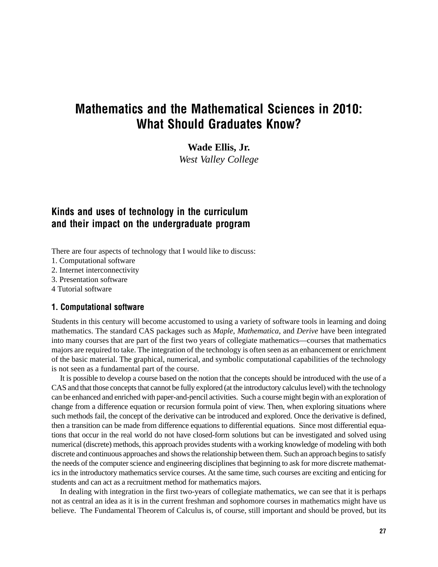## Mathematics and the Mathematical Sciences in 2010: What Should Graduates Know?

**Wade Ellis, Jr.**

*West Valley College*

## Kinds and uses of technology in the curriculum and their impact on the undergraduate program

There are four aspects of technology that I would like to discuss:

- 1. Computational software
- 2. Internet interconnectivity
- 3. Presentation software
- 4 Tutorial software

### 1. Computational software

Students in this century will become accustomed to using a variety of software tools in learning and doing mathematics. The standard CAS packages such as *Maple*, *Mathematica*, and *Derive* have been integrated into many courses that are part of the first two years of collegiate mathematics—courses that mathematics majors are required to take. The integration of the technology is often seen as an enhancement or enrichment of the basic material. The graphical, numerical, and symbolic computational capabilities of the technology is not seen as a fundamental part of the course.

It is possible to develop a course based on the notion that the concepts should be introduced with the use of a CAS and that those concepts that cannot be fully explored (at the introductory calculus level) with the technology can be enhanced and enriched with paper-and-pencil activities. Such a course might begin with an exploration of change from a difference equation or recursion formula point of view. Then, when exploring situations where such methods fail, the concept of the derivative can be introduced and explored. Once the derivative is defined, then a transition can be made from difference equations to differential equations. Since most differential equations that occur in the real world do not have closed-form solutions but can be investigated and solved using numerical (discrete) methods, this approach provides students with a working knowledge of modeling with both discrete and continuous approaches and shows the relationship between them. Such an approach begins to satisfy the needs of the computer science and engineering disciplines that beginning to ask for more discrete mathematics in the introductory mathematics service courses. At the same time, such courses are exciting and enticing for students and can act as a recruitment method for mathematics majors.

In dealing with integration in the first two-years of collegiate mathematics, we can see that it is perhaps not as central an idea as it is in the current freshman and sophomore courses in mathematics might have us believe. The Fundamental Theorem of Calculus is, of course, still important and should be proved, but its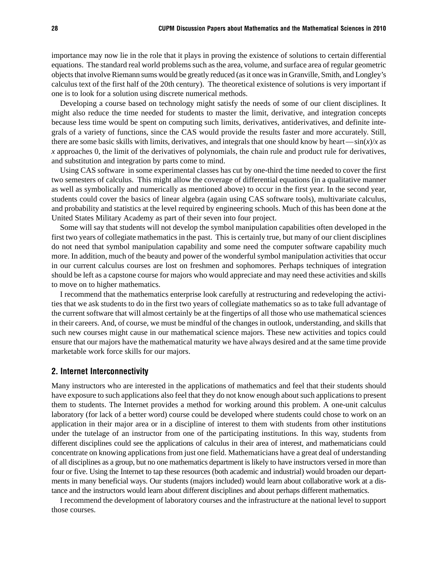importance may now lie in the role that it plays in proving the existence of solutions to certain differential equations. The standard real world problems such as the area, volume, and surface area of regular geometric objects that involve Riemann sums would be greatly reduced (as it once was in Granville, Smith, and Longley's calculus text of the first half of the 20th century). The theoretical existence of solutions is very important if one is to look for a solution using discrete numerical methods.

Developing a course based on technology might satisfy the needs of some of our client disciplines. It might also reduce the time needed for students to master the limit, derivative, and integration concepts because less time would be spent on computing such limits, derivatives, antiderivatives, and definite integrals of a variety of functions, since the CAS would provide the results faster and more accurately. Still, there are some basic skills with limits, derivatives, and integrals that one should know by heart— $\sin(x)/x$  as *x* approaches 0, the limit of the derivatives of polynomials, the chain rule and product rule for derivatives, and substitution and integration by parts come to mind.

Using CAS software in some experimental classes has cut by one-third the time needed to cover the first two semesters of calculus. This might allow the coverage of differential equations (in a qualitative manner as well as symbolically and numerically as mentioned above) to occur in the first year. In the second year, students could cover the basics of linear algebra (again using CAS software tools), multivariate calculus, and probability and statistics at the level required by engineering schools. Much of this has been done at the United States Military Academy as part of their seven into four project.

Some will say that students will not develop the symbol manipulation capabilities often developed in the first two years of collegiate mathematics in the past. This is certainly true, but many of our client disciplines do not need that symbol manipulation capability and some need the computer software capability much more. In addition, much of the beauty and power of the wonderful symbol manipulation activities that occur in our current calculus courses are lost on freshmen and sophomores. Perhaps techniques of integration should be left as a capstone course for majors who would appreciate and may need these activities and skills to move on to higher mathematics.

I recommend that the mathematics enterprise look carefully at restructuring and redeveloping the activities that we ask students to do in the first two years of collegiate mathematics so as to take full advantage of the current software that will almost certainly be at the fingertips of all those who use mathematical sciences in their careers. And, of course, we must be mindful of the changes in outlook, understanding, and skills that such new courses might cause in our mathematical science majors. These new activities and topics could ensure that our majors have the mathematical maturity we have always desired and at the same time provide marketable work force skills for our majors.

### 2. Internet Interconnectivity

Many instructors who are interested in the applications of mathematics and feel that their students should have exposure to such applications also feel that they do not know enough about such applications to present them to students. The Internet provides a method for working around this problem. A one-unit calculus laboratory (for lack of a better word) course could be developed where students could chose to work on an application in their major area or in a discipline of interest to them with students from other institutions under the tutelage of an instructor from one of the participating institutions. In this way, students from different disciplines could see the applications of calculus in their area of interest, and mathematicians could concentrate on knowing applications from just one field. Mathematicians have a great deal of understanding of all disciplines as a group, but no one mathematics department is likely to have instructors versed in more than four or five. Using the Internet to tap these resources (both academic and industrial) would broaden our departments in many beneficial ways. Our students (majors included) would learn about collaborative work at a distance and the instructors would learn about different disciplines and about perhaps different mathematics.

I recommend the development of laboratory courses and the infrastructure at the national level to support those courses.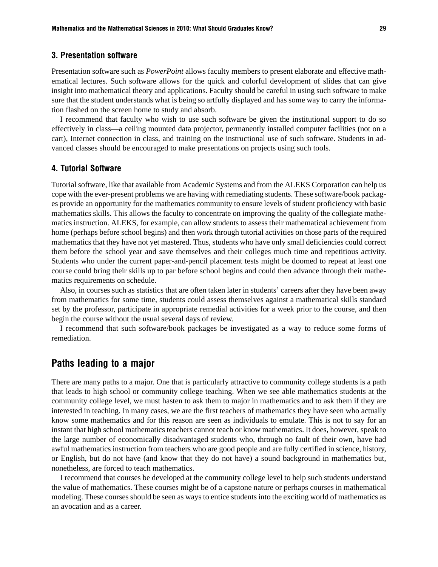### 3. Presentation software

Presentation software such as *PowerPoint* allows faculty members to present elaborate and effective mathematical lectures. Such software allows for the quick and colorful development of slides that can give insight into mathematical theory and applications. Faculty should be careful in using such software to make sure that the student understands what is being so artfully displayed and has some way to carry the information flashed on the screen home to study and absorb.

I recommend that faculty who wish to use such software be given the institutional support to do so effectively in class—a ceiling mounted data projector, permanently installed computer facilities (not on a cart), Internet connection in class, and training on the instructional use of such software. Students in advanced classes should be encouraged to make presentations on projects using such tools.

### 4. Tutorial Software

Tutorial software, like that available from Academic Systems and from the ALEKS Corporation can help us cope with the ever-present problems we are having with remediating students. These software/book packages provide an opportunity for the mathematics community to ensure levels of student proficiency with basic mathematics skills. This allows the faculty to concentrate on improving the quality of the collegiate mathematics instruction. ALEKS, for example, can allow students to assess their mathematical achievement from home (perhaps before school begins) and then work through tutorial activities on those parts of the required mathematics that they have not yet mastered. Thus, students who have only small deficiencies could correct them before the school year and save themselves and their colleges much time and repetitious activity. Students who under the current paper-and-pencil placement tests might be doomed to repeat at least one course could bring their skills up to par before school begins and could then advance through their mathematics requirements on schedule.

Also, in courses such as statistics that are often taken later in students' careers after they have been away from mathematics for some time, students could assess themselves against a mathematical skills standard set by the professor, participate in appropriate remedial activities for a week prior to the course, and then begin the course without the usual several days of review.

I recommend that such software/book packages be investigated as a way to reduce some forms of remediation.

## Paths leading to a major

There are many paths to a major. One that is particularly attractive to community college students is a path that leads to high school or community college teaching. When we see able mathematics students at the community college level, we must hasten to ask them to major in mathematics and to ask them if they are interested in teaching. In many cases, we are the first teachers of mathematics they have seen who actually know some mathematics and for this reason are seen as individuals to emulate. This is not to say for an instant that high school mathematics teachers cannot teach or know mathematics. It does, however, speak to the large number of economically disadvantaged students who, through no fault of their own, have had awful mathematics instruction from teachers who are good people and are fully certified in science, history, or English, but do not have (and know that they do not have) a sound background in mathematics but, nonetheless, are forced to teach mathematics.

I recommend that courses be developed at the community college level to help such students understand the value of mathematics. These courses might be of a capstone nature or perhaps courses in mathematical modeling. These courses should be seen as ways to entice students into the exciting world of mathematics as an avocation and as a career.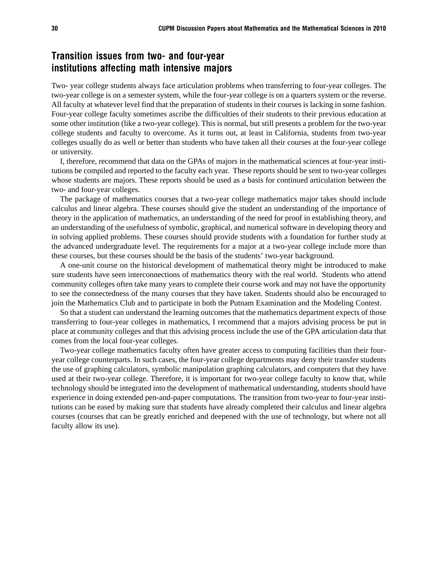## Transition issues from two- and four-year institutions affecting math intensive majors

Two- year college students always face articulation problems when transferring to four-year colleges. The two-year college is on a semester system, while the four-year college is on a quarters system or the reverse. All faculty at whatever level find that the preparation of students in their courses is lacking in some fashion. Four-year college faculty sometimes ascribe the difficulties of their students to their previous education at some other institution (like a two-year college). This is normal, but still presents a problem for the two-year college students and faculty to overcome. As it turns out, at least in California, students from two-year colleges usually do as well or better than students who have taken all their courses at the four-year college or university.

I, therefore, recommend that data on the GPAs of majors in the mathematical sciences at four-year institutions be compiled and reported to the faculty each year. These reports should be sent to two-year colleges whose students are majors. These reports should be used as a basis for continued articulation between the two- and four-year colleges.

The package of mathematics courses that a two-year college mathematics major takes should include calculus and linear algebra. These courses should give the student an understanding of the importance of theory in the application of mathematics, an understanding of the need for proof in establishing theory, and an understanding of the usefulness of symbolic, graphical, and numerical software in developing theory and in solving applied problems. These courses should provide students with a foundation for further study at the advanced undergraduate level. The requirements for a major at a two-year college include more than these courses, but these courses should be the basis of the students' two-year background.

A one-unit course on the historical development of mathematical theory might be introduced to make sure students have seen interconnections of mathematics theory with the real world. Students who attend community colleges often take many years to complete their course work and may not have the opportunity to see the connectedness of the many courses that they have taken. Students should also be encouraged to join the Mathematics Club and to participate in both the Putnam Examination and the Modeling Contest.

So that a student can understand the learning outcomes that the mathematics department expects of those transferring to four-year colleges in mathematics, I recommend that a majors advising process be put in place at community colleges and that this advising process include the use of the GPA articulation data that comes from the local four-year colleges.

Two-year college mathematics faculty often have greater access to computing facilities than their fouryear college counterparts. In such cases, the four-year college departments may deny their transfer students the use of graphing calculators, symbolic manipulation graphing calculators, and computers that they have used at their two-year college. Therefore, it is important for two-year college faculty to know that, while technology should be integrated into the development of mathematical understanding, students should have experience in doing extended pen-and-paper computations. The transition from two-year to four-year institutions can be eased by making sure that students have already completed their calculus and linear algebra courses (courses that can be greatly enriched and deepened with the use of technology, but where not all faculty allow its use).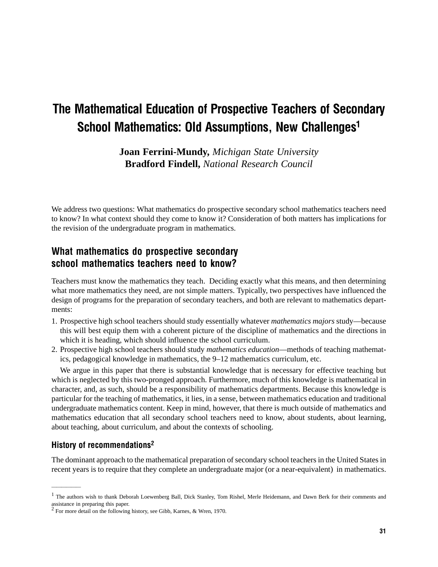# The Mathematical Education of Prospective Teachers of Secondary School Mathematics: Old Assumptions, New Challenges<sup>1</sup>

**Joan Ferrini-Mundy,** *Michigan State University* **Bradford Findell,** *National Research Council*

We address two questions: What mathematics do prospective secondary school mathematics teachers need to know? In what context should they come to know it? Consideration of both matters has implications for the revision of the undergraduate program in mathematics.

# What mathematics do prospective secondary school mathematics teachers need to know?

Teachers must know the mathematics they teach. Deciding exactly what this means, and then determining what more mathematics they need, are not simple matters. Typically, two perspectives have influenced the design of programs for the preparation of secondary teachers, and both are relevant to mathematics departments:

- 1. Prospective high school teachers should study essentially whatever *mathematics majors* study—because this will best equip them with a coherent picture of the discipline of mathematics and the directions in which it is heading, which should influence the school curriculum.
- 2. Prospective high school teachers should study *mathematics education*—methods of teaching mathematics, pedagogical knowledge in mathematics, the 9–12 mathematics curriculum, etc.

We argue in this paper that there is substantial knowledge that is necessary for effective teaching but which is neglected by this two-pronged approach. Furthermore, much of this knowledge is mathematical in character, and, as such, should be a responsibility of mathematics departments. Because this knowledge is particular for the teaching of mathematics, it lies, in a sense, between mathematics education and traditional undergraduate mathematics content. Keep in mind, however, that there is much outside of mathematics and mathematics education that all secondary school teachers need to know, about students, about learning, about teaching, about curriculum, and about the contexts of schooling.

### History of recommendations2

——————

The dominant approach to the mathematical preparation of secondary school teachers in the United States in recent years is to require that they complete an undergraduate major (or a near-equivalent) in mathematics.

<sup>&</sup>lt;sup>1</sup> The authors wish to thank Deborah Loewenberg Ball, Dick Stanley, Tom Rishel, Merle Heidemann, and Dawn Berk for their comments and assistance in preparing this paper. 2 For more detail on the following history, see Gibb, Karnes, & Wren, 1970.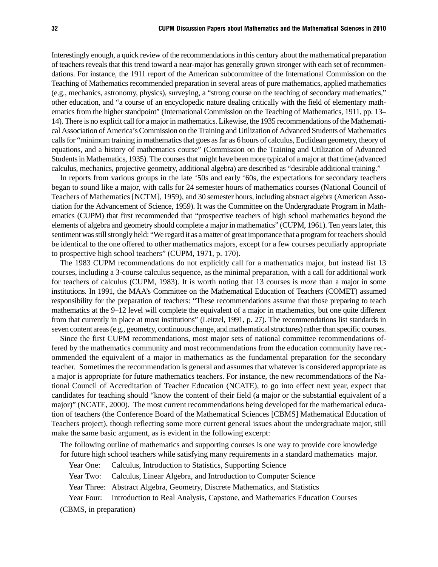Interestingly enough, a quick review of the recommendations in this century about the mathematical preparation of teachers reveals that this trend toward a near-major has generally grown stronger with each set of recommendations. For instance, the 1911 report of the American subcommittee of the International Commission on the Teaching of Mathematics recommended preparation in several areas of pure mathematics, applied mathematics (e.g., mechanics, astronomy, physics), surveying, a "strong course on the teaching of secondary mathematics," other education, and "a course of an encyclopedic nature dealing critically with the field of elementary mathematics from the higher standpoint" (International Commission on the Teaching of Mathematics, 1911, pp. 13– 14). There is no explicit call for a major in mathematics. Likewise, the 1935 recommendations of the Mathematical Association of America's Commission on the Training and Utilization of Advanced Students of Mathematics calls for "minimum training in mathematics that goes as far as 6 hours of calculus, Euclidean geometry, theory of equations, and a history of mathematics course" (Commission on the Training and Utilization of Advanced Students in Mathematics, 1935). The courses that might have been more typical of a major at that time (advanced calculus, mechanics, projective geometry, additional algebra) are described as "desirable additional training."

In reports from various groups in the late '50s and early '60s, the expectations for secondary teachers began to sound like a major, with calls for 24 semester hours of mathematics courses (National Council of Teachers of Mathematics [NCTM], 1959), and 30 semester hours, including abstract algebra (American Association for the Advancement of Science, 1959). It was the Committee on the Undergraduate Program in Mathematics (CUPM) that first recommended that "prospective teachers of high school mathematics beyond the elements of algebra and geometry should complete a major in mathematics" (CUPM, 1961). Ten years later, this sentiment was still strongly held: "We regard it as a matter of great importance that a program for teachers should be identical to the one offered to other mathematics majors, except for a few courses peculiarly appropriate to prospective high school teachers" (CUPM, 1971, p. 170).

The 1983 CUPM recommendations do not explicitly call for a mathematics major, but instead list 13 courses, including a 3-course calculus sequence, as the minimal preparation, with a call for additional work for teachers of calculus (CUPM, 1983). It is worth noting that 13 courses is *more* than a major in some institutions. In 1991, the MAA's Committee on the Mathematical Education of Teachers (COMET) assumed responsibility for the preparation of teachers: "These recommendations assume that those preparing to teach mathematics at the 9–12 level will complete the equivalent of a major in mathematics, but one quite different from that currently in place at most institutions" (Leitzel, 1991, p. 27). The recommendations list standards in seven content areas (e.g., geometry, continuous change, and mathematical structures) rather than specific courses.

Since the first CUPM recommendations, most major sets of national committee recommendations offered by the mathematics community and most recommendations from the education community have recommended the equivalent of a major in mathematics as the fundamental preparation for the secondary teacher. Sometimes the recommendation is general and assumes that whatever is considered appropriate as a major is appropriate for future mathematics teachers. For instance, the new recommendations of the National Council of Accreditation of Teacher Education (NCATE), to go into effect next year, expect that candidates for teaching should "know the content of their field (a major or the substantial equivalent of a major)" (NCATE, 2000). The most current recommendations being developed for the mathematical education of teachers (the Conference Board of the Mathematical Sciences [CBMS] Mathematical Education of Teachers project), though reflecting some more current general issues about the undergraduate major, still make the same basic argument, as is evident in the following excerpt:

The following outline of mathematics and supporting courses is one way to provide core knowledge for future high school teachers while satisfying many requirements in a standard mathematics major.

Year One: Calculus, Introduction to Statistics, Supporting Science

Year Two: Calculus, Linear Algebra, and Introduction to Computer Science

Year Three: Abstract Algebra, Geometry, Discrete Mathematics, and Statistics

Year Four: Introduction to Real Analysis, Capstone, and Mathematics Education Courses

(CBMS, in preparation)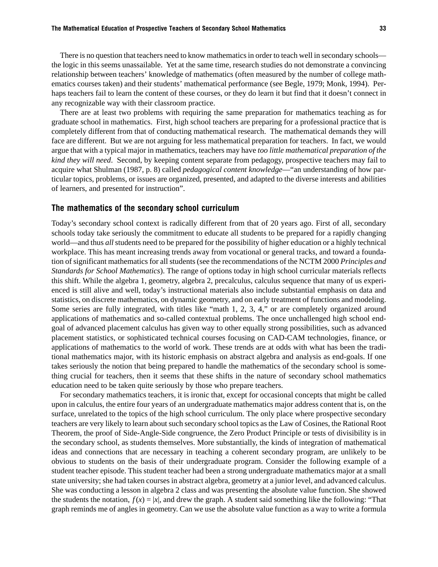There is no question that teachers need to know mathematics in order to teach well in secondary schools the logic in this seems unassailable. Yet at the same time, research studies do not demonstrate a convincing relationship between teachers' knowledge of mathematics (often measured by the number of college mathematics courses taken) and their students' mathematical performance (see Begle, 1979; Monk, 1994). Perhaps teachers fail to learn the content of these courses, or they do learn it but find that it doesn't connect in any recognizable way with their classroom practice.

There are at least two problems with requiring the same preparation for mathematics teaching as for graduate school in mathematics. First, high school teachers are preparing for a professional practice that is completely different from that of conducting mathematical research. The mathematical demands they will face are different. But we are not arguing for less mathematical preparation for teachers. In fact, we would argue that with a typical major in mathematics, teachers may have *too little mathematical preparation of the kind they will need*. Second, by keeping content separate from pedagogy, prospective teachers may fail to acquire what Shulman (1987, p. 8) called *pedagogical content knowledge*—"an understanding of how particular topics, problems, or issues are organized, presented, and adapted to the diverse interests and abilities of learners, and presented for instruction".

#### The mathematics of the secondary school curriculum

Today's secondary school context is radically different from that of 20 years ago. First of all, secondary schools today take seriously the commitment to educate all students to be prepared for a rapidly changing world—and thus *all* students need to be prepared for the possibility of higher education or a highly technical workplace. This has meant increasing trends away from vocational or general tracks, and toward a foundation of significant mathematics for all students (see the recommendations of the NCTM 2000 *Principles and Standards for School Mathematics*). The range of options today in high school curricular materials reflects this shift. While the algebra 1, geometry, algebra 2, precalculus, calculus sequence that many of us experienced is still alive and well, today's instructional materials also include substantial emphasis on data and statistics, on discrete mathematics, on dynamic geometry, and on early treatment of functions and modeling. Some series are fully integrated, with titles like "math 1, 2, 3, 4," or are completely organized around applications of mathematics and so-called contextual problems. The once unchallenged high school endgoal of advanced placement calculus has given way to other equally strong possibilities, such as advanced placement statistics, or sophisticated technical courses focusing on CAD-CAM technologies, finance, or applications of mathematics to the world of work. These trends are at odds with what has been the traditional mathematics major, with its historic emphasis on abstract algebra and analysis as end-goals. If one takes seriously the notion that being prepared to handle the mathematics of the secondary school is something crucial for teachers, then it seems that these shifts in the nature of secondary school mathematics education need to be taken quite seriously by those who prepare teachers.

For secondary mathematics teachers, it is ironic that, except for occasional concepts that might be called upon in calculus, the entire four years of an undergraduate mathematics major address content that is, on the surface, unrelated to the topics of the high school curriculum. The only place where prospective secondary teachers are very likely to learn about such secondary school topics as the Law of Cosines, the Rational Root Theorem, the proof of Side-Angle-Side congruence, the Zero Product Principle or tests of divisibility is in the secondary school, as students themselves. More substantially, the kinds of integration of mathematical ideas and connections that are necessary in teaching a coherent secondary program, are unlikely to be obvious to students on the basis of their undergraduate program. Consider the following example of a student teacher episode. This student teacher had been a strong undergraduate mathematics major at a small state university; she had taken courses in abstract algebra, geometry at a junior level, and advanced calculus. She was conducting a lesson in algebra 2 class and was presenting the absolute value function. She showed the students the notation,  $f(x) = |x|$ , and drew the graph. A student said something like the following: "That graph reminds me of angles in geometry. Can we use the absolute value function as a way to write a formula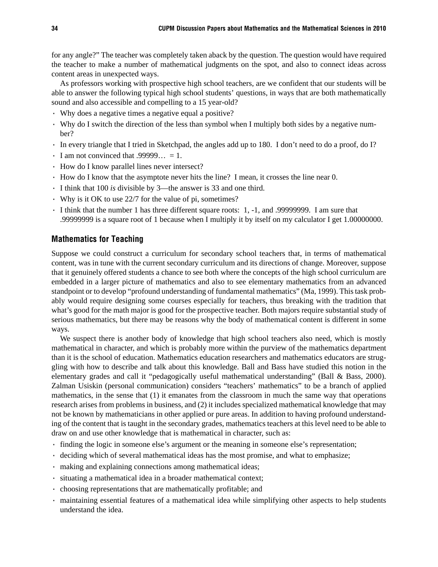for any angle?" The teacher was completely taken aback by the question. The question would have required the teacher to make a number of mathematical judgments on the spot, and also to connect ideas across content areas in unexpected ways.

As professors working with prospective high school teachers, are we confident that our students will be able to answer the following typical high school students' questions, in ways that are both mathematically sound and also accessible and compelling to a 15 year-old?

- · Why does a negative times a negative equal a positive?
- · Why do I switch the direction of the less than symbol when I multiply both sides by a negative number?
- · In every triangle that I tried in Sketchpad, the angles add up to 180. I don't need to do a proof, do I?
- $\cdot$  I am not convinced that .99999... = 1.
- · How do I know parallel lines never intersect?
- · How do I know that the asymptote never hits the line? I mean, it crosses the line near 0.
- · I think that 100 *is* divisible by 3—the answer is 33 and one third.
- · Why is it OK to use 22/7 for the value of pi, sometimes?
- · I think that the number 1 has three different square roots: 1, -1, and .99999999. I am sure that .99999999 is a square root of 1 because when I multiply it by itself on my calculator I get 1.00000000.

#### Mathematics for Teaching

Suppose we could construct a curriculum for secondary school teachers that, in terms of mathematical content, was in tune with the current secondary curriculum and its directions of change. Moreover, suppose that it genuinely offered students a chance to see both where the concepts of the high school curriculum are embedded in a larger picture of mathematics and also to see elementary mathematics from an advanced standpoint or to develop "profound understanding of fundamental mathematics" (Ma, 1999). This task probably would require designing some courses especially for teachers, thus breaking with the tradition that what's good for the math major is good for the prospective teacher. Both majors require substantial study of serious mathematics, but there may be reasons why the body of mathematical content is different in some ways.

We suspect there is another body of knowledge that high school teachers also need, which is mostly mathematical in character, and which is probably more within the purview of the mathematics department than it is the school of education. Mathematics education researchers and mathematics educators are struggling with how to describe and talk about this knowledge. Ball and Bass have studied this notion in the elementary grades and call it "pedagogically useful mathematical understanding" (Ball & Bass, 2000). Zalman Usiskin (personal communication) considers "teachers' mathematics" to be a branch of applied mathematics, in the sense that (1) it emanates from the classroom in much the same way that operations research arises from problems in business, and (2) it includes specialized mathematical knowledge that may not be known by mathematicians in other applied or pure areas. In addition to having profound understanding of the content that is taught in the secondary grades, mathematics teachers at this level need to be able to draw on and use other knowledge that is mathematical in character, such as:

- · finding the logic in someone else's argument or the meaning in someone else's representation;
- · deciding which of several mathematical ideas has the most promise, and what to emphasize;
- · making and explaining connections among mathematical ideas;
- · situating a mathematical idea in a broader mathematical context;
- · choosing representations that are mathematically profitable; and
- · maintaining essential features of a mathematical idea while simplifying other aspects to help students understand the idea.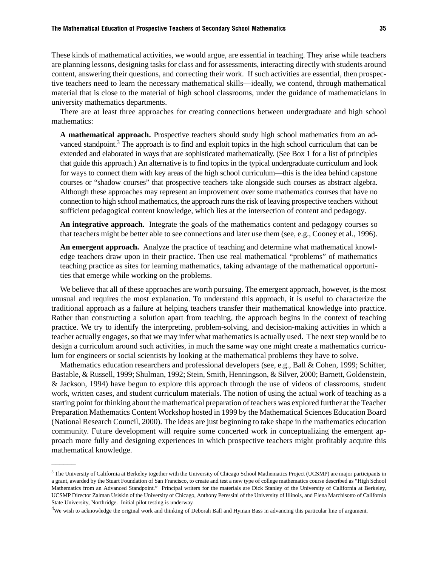These kinds of mathematical activities, we would argue, are essential in teaching. They arise while teachers are planning lessons, designing tasks for class and for assessments, interacting directly with students around content, answering their questions, and correcting their work. If such activities are essential, then prospective teachers need to learn the necessary mathematical skills—ideally, we contend, through mathematical material that is close to the material of high school classrooms, under the guidance of mathematicians in university mathematics departments.

There are at least three approaches for creating connections between undergraduate and high school mathematics:

**A mathematical approach.** Prospective teachers should study high school mathematics from an advanced standpoint.3 The approach is to find and exploit topics in the high school curriculum that can be extended and elaborated in ways that are sophisticated mathematically. (See Box 1 for a list of principles that guide this approach.) An alternative is to find topics in the typical undergraduate curriculum and look for ways to connect them with key areas of the high school curriculum—this is the idea behind capstone courses or "shadow courses" that prospective teachers take alongside such courses as abstract algebra. Although these approaches may represent an improvement over some mathematics courses that have no connection to high school mathematics, the approach runs the risk of leaving prospective teachers without sufficient pedagogical content knowledge, which lies at the intersection of content and pedagogy.

**An integrative approach.** Integrate the goals of the mathematics content and pedagogy courses so that teachers might be better able to see connections and later use them (see, e.g., Cooney et al., 1996).

**An emergent approach.** Analyze the practice of teaching and determine what mathematical knowledge teachers draw upon in their practice. Then use real mathematical "problems" of mathematics teaching practice as sites for learning mathematics, taking advantage of the mathematical opportunities that emerge while working on the problems.

We believe that all of these approaches are worth pursuing. The emergent approach, however, is the most unusual and requires the most explanation. To understand this approach, it is useful to characterize the traditional approach as a failure at helping teachers transfer their mathematical knowledge into practice. Rather than constructing a solution apart from teaching, the approach begins in the context of teaching practice. We try to identify the interpreting, problem-solving, and decision-making activities in which a teacher actually engages, so that we may infer what mathematics is actually used. The next step would be to design a curriculum around such activities, in much the same way one might create a mathematics curriculum for engineers or social scientists by looking at the mathematical problems they have to solve.

Mathematics education researchers and professional developers (see, e.g., Ball & Cohen, 1999; Schifter, Bastable, & Russell, 1999; Shulman, 1992; Stein, Smith, Henningson, & Silver, 2000; Barnett, Goldenstein, & Jackson, 1994) have begun to explore this approach through the use of videos of classrooms, student work, written cases, and student curriculum materials. The notion of using the actual work of teaching as a starting point for thinking about the mathematical preparation of teachers was explored further at the Teacher Preparation Mathematics Content Workshop hosted in 1999 by the Mathematical Sciences Education Board (National Research Council, 2000). The ideas are just beginning to take shape in the mathematics education community. Future development will require some concerted work in conceptualizing the emergent approach more fully and designing experiences in which prospective teachers might profitably acquire this mathematical knowledge.

——————

<sup>&</sup>lt;sup>3</sup> The University of California at Berkeley together with the University of Chicago School Mathematics Project (UCSMP) are major participants in a grant, awarded by the Stuart Foundation of San Francisco, to create and test a new type of college mathematics course described as "High School Mathematics from an Advanced Standpoint." Principal writers for the materials are Dick Stanley of the University of California at Berkeley, UCSMP Director Zalman Usiskin of the University of Chicago, Anthony Peressini of the University of Illinois, and Elena Marchisotto of California State University, Northridge. Initial pilot testing is underway.

 $4W$ e wish to acknowledge the original work and thinking of Deborah Ball and Hyman Bass in advancing this particular line of argument.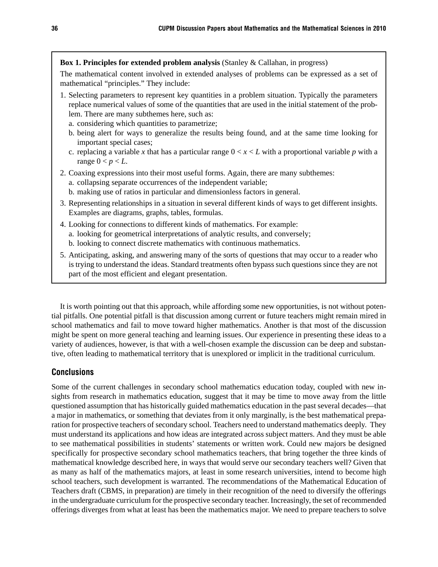#### **Box 1. Principles for extended problem analysis** (Stanley & Callahan, in progress)

The mathematical content involved in extended analyses of problems can be expressed as a set of mathematical "principles." They include:

- 1. Selecting parameters to represent key quantities in a problem situation. Typically the parameters replace numerical values of some of the quantities that are used in the initial statement of the problem. There are many subthemes here, such as:
	- a. considering which quantities to parametrize;
	- b. being alert for ways to generalize the results being found, and at the same time looking for important special cases;
	- c. replacing a variable x that has a particular range  $0 < x < L$  with a proportional variable p with a range  $0 < p < L$ .
- 2. Coaxing expressions into their most useful forms. Again, there are many subthemes: a. collapsing separate occurrences of the independent variable;
	- b. making use of ratios in particular and dimensionless factors in general.
- 3. Representing relationships in a situation in several different kinds of ways to get different insights. Examples are diagrams, graphs, tables, formulas.
- 4. Looking for connections to different kinds of mathematics. For example: a. looking for geometrical interpretations of analytic results, and conversely; b. looking to connect discrete mathematics with continuous mathematics.
- 5. Anticipating, asking, and answering many of the sorts of questions that may occur to a reader who is trying to understand the ideas. Standard treatments often bypass such questions since they are not part of the most efficient and elegant presentation.

It is worth pointing out that this approach, while affording some new opportunities, is not without potential pitfalls. One potential pitfall is that discussion among current or future teachers might remain mired in school mathematics and fail to move toward higher mathematics. Another is that most of the discussion might be spent on more general teaching and learning issues. Our experience in presenting these ideas to a variety of audiences, however, is that with a well-chosen example the discussion can be deep and substantive, often leading to mathematical territory that is unexplored or implicit in the traditional curriculum.

## **Conclusions**

Some of the current challenges in secondary school mathematics education today, coupled with new insights from research in mathematics education, suggest that it may be time to move away from the little questioned assumption that has historically guided mathematics education in the past several decades—that a major in mathematics, or something that deviates from it only marginally, is the best mathematical preparation for prospective teachers of secondary school. Teachers need to understand mathematics deeply. They must understand its applications and how ideas are integrated across subject matters. And they must be able to see mathematical possibilities in students' statements or written work. Could new majors be designed specifically for prospective secondary school mathematics teachers, that bring together the three kinds of mathematical knowledge described here, in ways that would serve our secondary teachers well? Given that as many as half of the mathematics majors, at least in some research universities, intend to become high school teachers, such development is warranted. The recommendations of the Mathematical Education of Teachers draft (CBMS, in preparation) are timely in their recognition of the need to diversify the offerings in the undergraduate curriculum for the prospective secondary teacher. Increasingly, the set of recommended offerings diverges from what at least has been the mathematics major. We need to prepare teachers to solve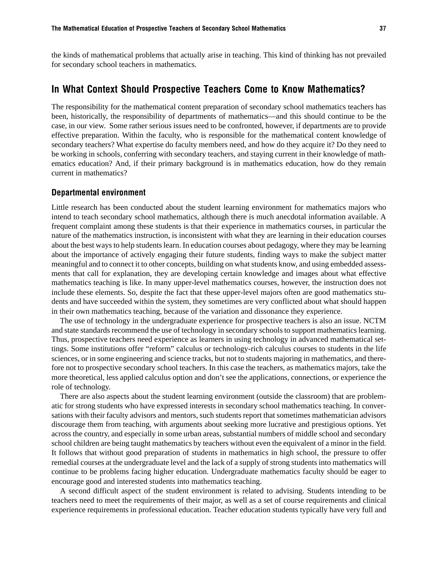the kinds of mathematical problems that actually arise in teaching. This kind of thinking has not prevailed for secondary school teachers in mathematics.

# In What Context Should Prospective Teachers Come to Know Mathematics?

The responsibility for the mathematical content preparation of secondary school mathematics teachers has been, historically, the responsibility of departments of mathematics—and this should continue to be the case, in our view. Some rather serious issues need to be confronted, however, if departments are to provide effective preparation. Within the faculty, who is responsible for the mathematical content knowledge of secondary teachers? What expertise do faculty members need, and how do they acquire it? Do they need to be working in schools, conferring with secondary teachers, and staying current in their knowledge of mathematics education? And, if their primary background is in mathematics education, how do they remain current in mathematics?

#### Departmental environment

Little research has been conducted about the student learning environment for mathematics majors who intend to teach secondary school mathematics, although there is much anecdotal information available. A frequent complaint among these students is that their experience in mathematics courses, in particular the nature of the mathematics instruction, is inconsistent with what they are learning in their education courses about the best ways to help students learn. In education courses about pedagogy, where they may be learning about the importance of actively engaging their future students, finding ways to make the subject matter meaningful and to connect it to other concepts, building on what students know, and using embedded assessments that call for explanation, they are developing certain knowledge and images about what effective mathematics teaching is like. In many upper-level mathematics courses, however, the instruction does not include these elements. So, despite the fact that these upper-level majors often are good mathematics students and have succeeded within the system, they sometimes are very conflicted about what should happen in their own mathematics teaching, because of the variation and dissonance they experience.

The use of technology in the undergraduate experience for prospective teachers is also an issue. NCTM and state standards recommend the use of technology in secondary schools to support mathematics learning. Thus, prospective teachers need experience as learners in using technology in advanced mathematical settings. Some institutions offer "reform" calculus or technology-rich calculus courses to students in the life sciences, or in some engineering and science tracks, but not to students majoring in mathematics, and therefore not to prospective secondary school teachers. In this case the teachers, as mathematics majors, take the more theoretical, less applied calculus option and don't see the applications, connections, or experience the role of technology.

There are also aspects about the student learning environment (outside the classroom) that are problematic for strong students who have expressed interests in secondary school mathematics teaching. In conversations with their faculty advisors and mentors, such students report that sometimes mathematician advisors discourage them from teaching, with arguments about seeking more lucrative and prestigious options. Yet across the country, and especially in some urban areas, substantial numbers of middle school and secondary school children are being taught mathematics by teachers without even the equivalent of a minor in the field. It follows that without good preparation of students in mathematics in high school, the pressure to offer remedial courses at the undergraduate level and the lack of a supply of strong students into mathematics will continue to be problems facing higher education. Undergraduate mathematics faculty should be eager to encourage good and interested students into mathematics teaching.

A second difficult aspect of the student environment is related to advising. Students intending to be teachers need to meet the requirements of their major, as well as a set of course requirements and clinical experience requirements in professional education. Teacher education students typically have very full and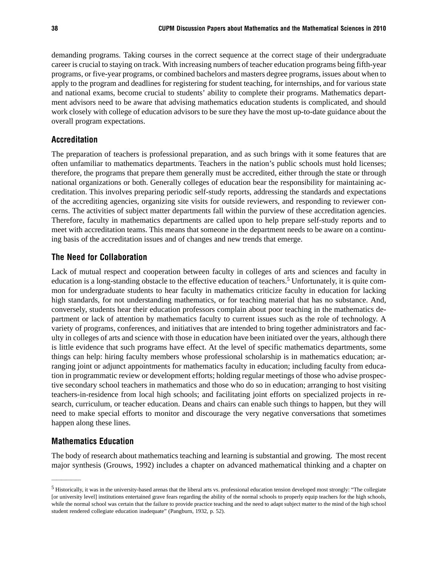demanding programs. Taking courses in the correct sequence at the correct stage of their undergraduate career is crucial to staying on track. With increasing numbers of teacher education programs being fifth-year programs, or five-year programs, or combined bachelors and masters degree programs, issues about when to apply to the program and deadlines for registering for student teaching, for internships, and for various state and national exams, become crucial to students' ability to complete their programs. Mathematics department advisors need to be aware that advising mathematics education students is complicated, and should work closely with college of education advisors to be sure they have the most up-to-date guidance about the overall program expectations.

#### Accreditation

The preparation of teachers is professional preparation, and as such brings with it some features that are often unfamiliar to mathematics departments. Teachers in the nation's public schools must hold licenses; therefore, the programs that prepare them generally must be accredited, either through the state or through national organizations or both. Generally colleges of education bear the responsibility for maintaining accreditation. This involves preparing periodic self-study reports, addressing the standards and expectations of the accrediting agencies, organizing site visits for outside reviewers, and responding to reviewer concerns. The activities of subject matter departments fall within the purview of these accreditation agencies. Therefore, faculty in mathematics departments are called upon to help prepare self-study reports and to meet with accreditation teams. This means that someone in the department needs to be aware on a continuing basis of the accreditation issues and of changes and new trends that emerge.

#### The Need for Collaboration

Lack of mutual respect and cooperation between faculty in colleges of arts and sciences and faculty in education is a long-standing obstacle to the effective education of teachers.5 Unfortunately, it is quite common for undergraduate students to hear faculty in mathematics criticize faculty in education for lacking high standards, for not understanding mathematics, or for teaching material that has no substance. And, conversely, students hear their education professors complain about poor teaching in the mathematics department or lack of attention by mathematics faculty to current issues such as the role of technology. A variety of programs, conferences, and initiatives that are intended to bring together administrators and faculty in colleges of arts and science with those in education have been initiated over the years, although there is little evidence that such programs have effect. At the level of specific mathematics departments, some things can help: hiring faculty members whose professional scholarship is in mathematics education; arranging joint or adjunct appointments for mathematics faculty in education; including faculty from education in programmatic review or development efforts; holding regular meetings of those who advise prospective secondary school teachers in mathematics and those who do so in education; arranging to host visiting teachers-in-residence from local high schools; and facilitating joint efforts on specialized projects in research, curriculum, or teacher education. Deans and chairs can enable such things to happen, but they will need to make special efforts to monitor and discourage the very negative conversations that sometimes happen along these lines.

### Mathematics Education

——————

The body of research about mathematics teaching and learning is substantial and growing. The most recent major synthesis (Grouws, 1992) includes a chapter on advanced mathematical thinking and a chapter on

<sup>5</sup> Historically, it was in the university-based arenas that the liberal arts vs. professional education tension developed most strongly: "The collegiate [or university level] institutions entertained grave fears regarding the ability of the normal schools to properly equip teachers for the high schools, while the normal school was certain that the failure to provide practice teaching and the need to adapt subject matter to the mind of the high school student rendered collegiate education inadequate" (Pangburn, 1932, p. 52).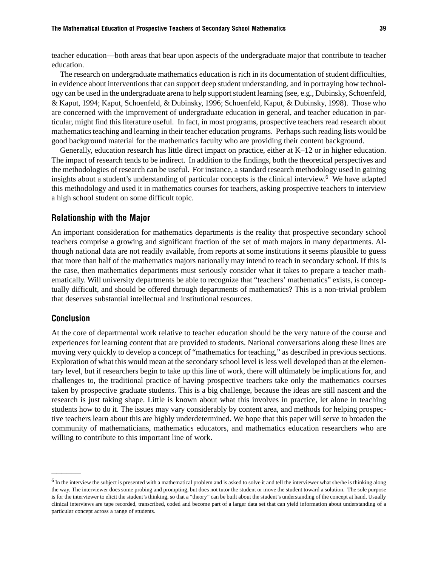teacher education—both areas that bear upon aspects of the undergraduate major that contribute to teacher education.

The research on undergraduate mathematics education is rich in its documentation of student difficulties, in evidence about interventions that can support deep student understanding, and in portraying how technology can be used in the undergraduate arena to help support student learning (see, e.g., Dubinsky, Schoenfeld, & Kaput, 1994; Kaput, Schoenfeld, & Dubinsky, 1996; Schoenfeld, Kaput, & Dubinsky, 1998). Those who are concerned with the improvement of undergraduate education in general, and teacher education in particular, might find this literature useful. In fact, in most programs, prospective teachers read research about mathematics teaching and learning in their teacher education programs. Perhaps such reading lists would be good background material for the mathematics faculty who are providing their content background.

Generally, education research has little direct impact on practice, either at K–12 or in higher education. The impact of research tends to be indirect. In addition to the findings, both the theoretical perspectives and the methodologies of research can be useful. For instance, a standard research methodology used in gaining insights about a student's understanding of particular concepts is the clinical interview.<sup>6</sup> We have adapted this methodology and used it in mathematics courses for teachers, asking prospective teachers to interview a high school student on some difficult topic.

#### Relationship with the Major

An important consideration for mathematics departments is the reality that prospective secondary school teachers comprise a growing and significant fraction of the set of math majors in many departments. Although national data are not readily available, from reports at some institutions it seems plausible to guess that more than half of the mathematics majors nationally may intend to teach in secondary school. If this is the case, then mathematics departments must seriously consider what it takes to prepare a teacher mathematically. Will university departments be able to recognize that "teachers' mathematics" exists, is conceptually difficult, and should be offered through departments of mathematics? This is a non-trivial problem that deserves substantial intellectual and institutional resources.

#### Conclusion

——————

At the core of departmental work relative to teacher education should be the very nature of the course and experiences for learning content that are provided to students. National conversations along these lines are moving very quickly to develop a concept of "mathematics for teaching," as described in previous sections. Exploration of what this would mean at the secondary school level is less well developed than at the elementary level, but if researchers begin to take up this line of work, there will ultimately be implications for, and challenges to, the traditional practice of having prospective teachers take only the mathematics courses taken by prospective graduate students. This is a big challenge, because the ideas are still nascent and the research is just taking shape. Little is known about what this involves in practice, let alone in teaching students how to do it. The issues may vary considerably by content area, and methods for helping prospective teachers learn about this are highly underdetermined. We hope that this paper will serve to broaden the community of mathematicians, mathematics educators, and mathematics education researchers who are willing to contribute to this important line of work.

<sup>&</sup>lt;sup>6</sup> In the interview the subject is presented with a mathematical problem and is asked to solve it and tell the interviewer what she/he is thinking along the way. The interviewer does some probing and prompting, but does not tutor the student or move the student toward a solution. The sole purpose is for the interviewer to elicit the student's thinking, so that a "theory" can be built about the student's understanding of the concept at hand. Usually clinical interviews are tape recorded, transcribed, coded and become part of a larger data set that can yield information about understanding of a particular concept across a range of students.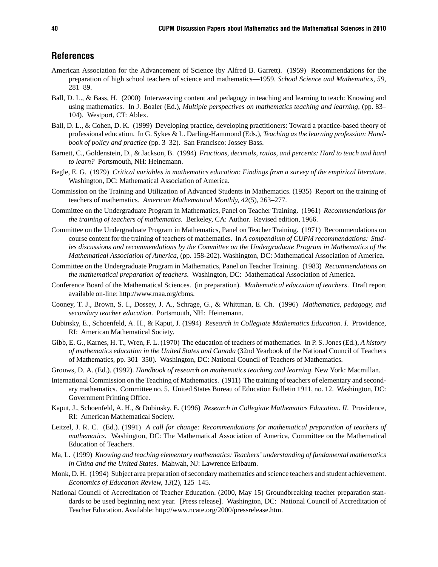## References

- American Association for the Advancement of Science (by Alfred B. Garrett). (1959) Recommendations for the preparation of high school teachers of science and mathematics—1959. *School Science and Mathematics, 59*, 281–89.
- Ball, D. L., & Bass, H. (2000) Interweaving content and pedagogy in teaching and learning to teach: Knowing and using mathematics. In J. Boaler (Ed.), *Multiple perspectives on mathematics teaching and learning*, (pp. 83– 104). Westport, CT: Ablex.
- Ball, D. L., & Cohen, D. K. (1999) Developing practice, developing practitioners: Toward a practice-based theory of professional education. In G. Sykes & L. Darling-Hammond (Eds.), *Teaching as the learning profession: Handbook of policy and practice* (pp. 3–32). San Francisco: Jossey Bass.
- Barnett, C., Goldenstein, D., & Jackson, B. (1994) *Fractions, decimals, ratios, and percents: Hard to teach and hard to learn?* Portsmouth, NH: Heinemann.
- Begle, E. G. (1979) *Critical variables in mathematics education: Findings from a survey of the empirical literature*. Washington, DC: Mathematical Association of America.
- Commission on the Training and Utilization of Advanced Students in Mathematics. (1935) Report on the training of teachers of mathematics. *American Mathematical Monthly, 42*(5), 263–277.
- Committee on the Undergraduate Program in Mathematics, Panel on Teacher Training. (1961) *Recommendations for the training of teachers of mathematics*. Berkeley, CA: Author. Revised edition, 1966.
- Committee on the Undergraduate Program in Mathematics, Panel on Teacher Training. (1971) Recommendations on course content for the training of teachers of mathematics. In *A compendium of CUPM recommendations: Studies discussions and recommendations by the Committee on the Undergraduate Program in Mathematics of the Mathematical Association of America*, (pp. 158-202). Washington, DC: Mathematical Association of America.
- Committee on the Undergraduate Program in Mathematics, Panel on Teacher Training. (1983) *Recommendations on the mathematical preparation of teachers*. Washington, DC: Mathematical Association of America.
- Conference Board of the Mathematical Sciences. (in preparation). *Mathematical education of teachers*. Draft report available on-line: http://www.maa.org/cbms.
- Cooney, T. J., Brown, S. I., Dossey, J. A., Schrage, G., & Whittman, E. Ch. (1996) *Mathematics, pedagogy, and secondary teacher education*. Portsmouth, NH: Heinemann.
- Dubinsky, E., Schoenfeld, A. H., & Kaput, J. (1994) *Research in Collegiate Mathematics Education. I*. Providence, RI: American Mathematical Society.
- Gibb, E. G., Karnes, H. T., Wren, F. L. (1970) The education of teachers of mathematics. In P. S. Jones (Ed.), *A history of mathematics education in the United States and Canada* (32nd Yearbook of the National Council of Teachers of Mathematics, pp. 301–350). Washington, DC: National Council of Teachers of Mathematics.
- Grouws, D. A. (Ed.). (1992). *Handbook of research on mathematics teaching and learning*. New York: Macmillan.
- International Commission on the Teaching of Mathematics. (1911) The training of teachers of elementary and secondary mathematics. Committee no. 5. United States Bureau of Education Bulletin 1911, no. 12. Washington, DC: Government Printing Office.
- Kaput, J., Schoenfeld, A. H., & Dubinsky, E. (1996) *Research in Collegiate Mathematics Education. II*. Providence, RI: American Mathematical Society.
- Leitzel, J. R. C. (Ed.). (1991) *A call for change: Recommendations for mathematical preparation of teachers of mathematics.* Washington, DC: The Mathematical Association of America, Committee on the Mathematical Education of Teachers.
- Ma, L. (1999) *Knowing and teaching elementary mathematics: Teachers' understanding of fundamental mathematics in China and the United States*. Mahwah, NJ: Lawrence Erlbaum.
- Monk, D. H. (1994) Subject area preparation of secondary mathematics and science teachers and student achievement. *Economics of Education Review, 13*(2), 125–145.
- National Council of Accreditation of Teacher Education. (2000, May 15) Groundbreaking teacher preparation standards to be used beginning next year. [Press release]. Washington, DC: National Council of Accreditation of Teacher Education. Available: http://www.ncate.org/2000/pressrelease.htm.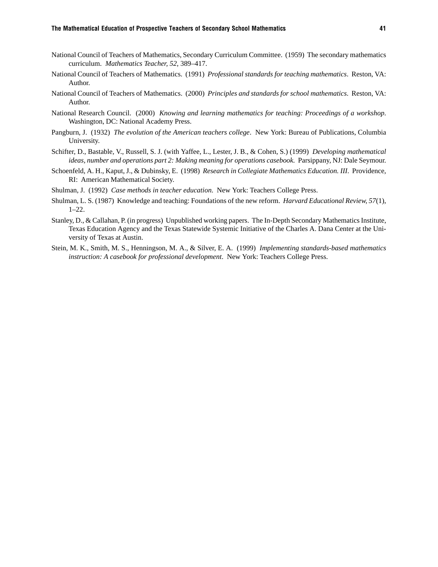- National Council of Teachers of Mathematics, Secondary Curriculum Committee. (1959) The secondary mathematics curriculum. *Mathematics Teacher, 52*, 389–417.
- National Council of Teachers of Mathematics. (1991) *Professional standards for teaching mathematics*. Reston, VA: Author.
- National Council of Teachers of Mathematics. (2000) *Principles and standards for school mathematics*. Reston, VA: Author.
- National Research Council. (2000) *Knowing and learning mathematics for teaching: Proceedings of a workshop*. Washington, DC: National Academy Press.
- Pangburn, J. (1932) *The evolution of the American teachers college*. New York: Bureau of Publications, Columbia University.
- Schifter, D., Bastable, V., Russell, S. J. (with Yaffee, L., Lester, J. B., & Cohen, S.) (1999) *Developing mathematical ideas, number and operations part 2: Making meaning for operations casebook. Parsippany, NJ: Dale Seymour.*
- Schoenfeld, A. H., Kaput, J., & Dubinsky, E. (1998) *Research in Collegiate Mathematics Education. III*. Providence, RI: American Mathematical Society.
- Shulman, J. (1992) *Case methods in teacher education*. New York: Teachers College Press.
- Shulman, L. S. (1987) Knowledge and teaching: Foundations of the new reform. *Harvard Educational Review, 57*(1), 1–22.
- Stanley, D., & Callahan, P. (in progress) Unpublished working papers. The In-Depth Secondary Mathematics Institute, Texas Education Agency and the Texas Statewide Systemic Initiative of the Charles A. Dana Center at the University of Texas at Austin.
- Stein, M. K., Smith, M. S., Henningson, M. A., & Silver, E. A. (1999) *Implementing standards-based mathematics instruction: A casebook for professional development*. New York: Teachers College Press.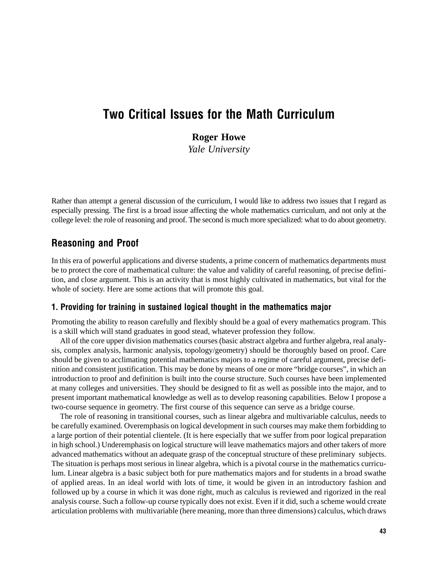# Two Critical Issues for the Math Curriculum

# **Roger Howe**

*Yale University*

Rather than attempt a general discussion of the curriculum, I would like to address two issues that I regard as especially pressing. The first is a broad issue affecting the whole mathematics curriculum, and not only at the college level: the role of reasoning and proof. The second is much more specialized: what to do about geometry.

# Reasoning and Proof

In this era of powerful applications and diverse students, a prime concern of mathematics departments must be to protect the core of mathematical culture: the value and validity of careful reasoning, of precise definition, and close argument. This is an activity that is most highly cultivated in mathematics, but vital for the whole of society. Here are some actions that will promote this goal.

#### 1. Providing for training in sustained logical thought in the mathematics major

Promoting the ability to reason carefully and flexibly should be a goal of every mathematics program. This is a skill which will stand graduates in good stead, whatever profession they follow.

All of the core upper division mathematics courses (basic abstract algebra and further algebra, real analysis, complex analysis, harmonic analysis, topology/geometry) should be thoroughly based on proof. Care should be given to acclimating potential mathematics majors to a regime of careful argument, precise definition and consistent justification. This may be done by means of one or more "bridge courses", in which an introduction to proof and definition is built into the course structure. Such courses have been implemented at many colleges and universities. They should be designed to fit as well as possible into the major, and to present important mathematical knowledge as well as to develop reasoning capabilities. Below I propose a two-course sequence in geometry. The first course of this sequence can serve as a bridge course.

The role of reasoning in transitional courses, such as linear algebra and multivariable calculus, needs to be carefully examined. Overemphasis on logical development in such courses may make them forbidding to a large portion of their potential clientele. (It is here especially that we suffer from poor logical preparation in high school.) Underemphasis on logical structure will leave mathematics majors and other takers of more advanced mathematics without an adequate grasp of the conceptual structure of these preliminary subjects. The situation is perhaps most serious in linear algebra, which is a pivotal course in the mathematics curriculum. Linear algebra is a basic subject both for pure mathematics majors and for students in a broad swathe of applied areas. In an ideal world with lots of time, it would be given in an introductory fashion and followed up by a course in which it was done right, much as calculus is reviewed and rigorized in the real analysis course. Such a follow-up course typically does not exist. Even if it did, such a scheme would create articulation problems with multivariable (here meaning, more than three dimensions) calculus, which draws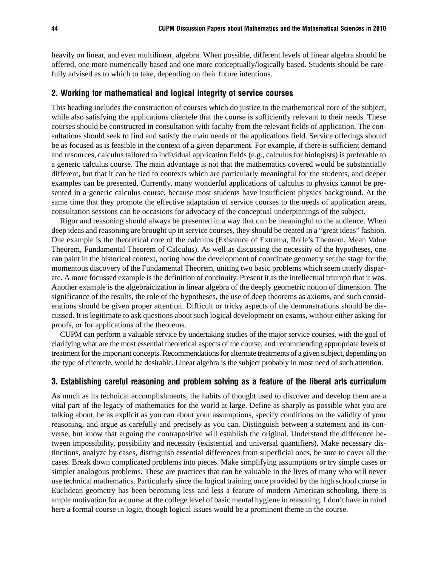heavily on linear, and even multilinear, algebra. When possible, different levels of linear algebra should be offered, one more numerically based and one more conceptually/logically based. Students should be carefully advised as to which to take, depending on their future intentions.

#### 2. Working for mathematical and logical integrity of service courses

This heading includes the construction of courses which do justice to the mathematical core of the subject, while also satisfying the applications clientele that the course is sufficiently relevant to their needs. These courses should be constructed in consultation with faculty from the relevant fields of application. The consultations should seek to find and satisfy the main needs of the applications field. Service offerings should be as focused as is feasible in the context of a given department. For example, if there is sufficient demand and resources, calculus tailored to individual application fields (e.g., calculus for biologists) is preferable to a generic calculus course. The main advantage is not that the mathematics covered would be substantially different, but that it can be tied to contexts which are particularly meaningful for the students, and deeper examples can be presented. Currently, many wonderful applications of calculus to physics cannot be presented in a generic calculus course, because most students have insufficient physics background. At the same time that they promote the effective adaptation of service courses to the needs of application areas, consultation sessions can be occasions for advocacy of the conceptual underpinnings of the subject.

Rigor and reasoning should always be presented in a way that can be meaningful to the audience. When deep ideas and reasoning are brought up in service courses, they should be treated in a "great ideas" fashion. One example is the theoretical core of the calculus (Existence of Extrema, Rolle's Theorem, Mean Value Theorem, Fundamental Theorem of Calculus). As well as discussing the necessity of the hypotheses, one can paint in the historical context, noting how the development of coordinate geometry set the stage for the momentous discovery of the Fundamental Theorem, uniting two basic problems which seem utterly disparate. A more focussed example is the definition of continuity. Present it as the intellectual triumph that it was. Another example is the algebraicization in linear algebra of the deeply geometric notion of dimension. The significance of the results, the role of the hypotheses, the use of deep theorems as axioms, and such considerations should be given proper attention. Difficult or tricky aspects of the demonstrations should be discussed. It is legitimate to ask questions about such logical development on exams, without either asking for proofs, or for applications of the theorems.

CUPM can perform a valuable service by undertaking studies of the major service courses, with the goal of clarifying what are the most essential theoretical aspects of the course, and recommending appropriate levels of treatment for the important concepts. Recommendations for alternate treatments of a given subject, depending on the type of clientele, would be desirable. Linear algebra is the subject probably in most need of such attention.

#### 3. Establishing careful reasoning and problem solving as a feature of the liberal arts curriculum

As much as its technical accomplishments, the habits of thought used to discover and develop them are a vital part of the legacy of mathematics for the world at large. Define as sharply as possible what you are talking about, be as explicit as you can about your assumptions, specify conditions on the validity of your reasoning, and argue as carefully and precisely as you can. Distinguish between a statement and its converse, but know that arguing the contrapositive will establish the original. Understand the difference between impossibility, possibility and necessity (existential and universal quantifiers). Make necessary distinctions, analyze by cases, distinguish essential differences from superficial ones, be sure to cover all the cases. Break down complicated problems into pieces. Make simplifying assumptions or try simple cases or simpler analogous problems. These are practices that can be valuable in the lives of many who will never use technical mathematics. Particularly since the logical training once provided by the high school course in Euclidean geometry has been becoming less and less a feature of modern American schooling, there is ample motivation for a course at the college level of basic mental hygiene in reasoning. I don't have in mind here a formal course in logic, though logical issues would be a prominent theme in the course.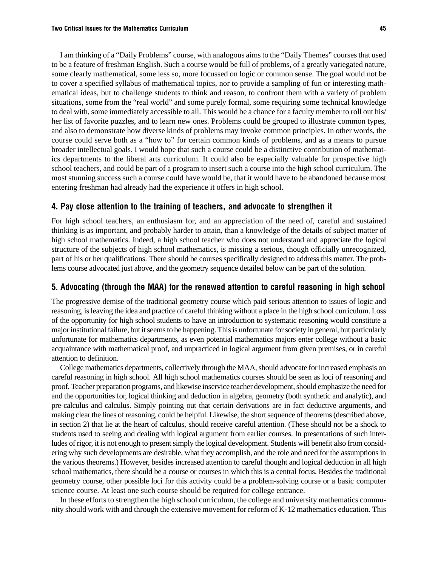I am thinking of a "Daily Problems" course, with analogous aims to the "Daily Themes" courses that used to be a feature of freshman English. Such a course would be full of problems, of a greatly variegated nature, some clearly mathematical, some less so, more focussed on logic or common sense. The goal would not be to cover a specified syllabus of mathematical topics, nor to provide a sampling of fun or interesting mathematical ideas, but to challenge students to think and reason, to confront them with a variety of problem situations, some from the "real world" and some purely formal, some requiring some technical knowledge to deal with, some immediately accessible to all. This would be a chance for a faculty member to roll out his/ her list of favorite puzzles, and to learn new ones. Problems could be grouped to illustrate common types, and also to demonstrate how diverse kinds of problems may invoke common principles. In other words, the course could serve both as a "how to" for certain common kinds of problems, and as a means to pursue broader intellectual goals. I would hope that such a course could be a distinctive contribution of mathematics departments to the liberal arts curriculum. It could also be especially valuable for prospective high school teachers, and could be part of a program to insert such a course into the high school curriculum. The most stunning success such a course could have would be, that it would have to be abandoned because most entering freshman had already had the experience it offers in high school.

#### 4. Pay close attention to the training of teachers, and advocate to strengthen it

For high school teachers, an enthusiasm for, and an appreciation of the need of, careful and sustained thinking is as important, and probably harder to attain, than a knowledge of the details of subject matter of high school mathematics. Indeed, a high school teacher who does not understand and appreciate the logical structure of the subjects of high school mathematics, is missing a serious, though officially unrecognized, part of his or her qualifications. There should be courses specifically designed to address this matter. The problems course advocated just above, and the geometry sequence detailed below can be part of the solution.

#### 5. Advocating (through the MAA) for the renewed attention to careful reasoning in high school

The progressive demise of the traditional geometry course which paid serious attention to issues of logic and reasoning, is leaving the idea and practice of careful thinking without a place in the high school curriculum. Loss of the opportunity for high school students to have an introduction to systematic reasoning would constitute a major institutional failure, but it seems to be happening. This is unfortunate for society in general, but particularly unfortunate for mathematics departments, as even potential mathematics majors enter college without a basic acquaintance with mathematical proof, and unpracticed in logical argument from given premises, or in careful attention to definition.

College mathematics departments, collectively through the MAA, should advocate for increased emphasis on careful reasoning in high school. All high school mathematics courses should be seen as loci of reasoning and proof. Teacher preparation programs, and likewise inservice teacher development, should emphasize the need for and the opportunities for, logical thinking and deduction in algebra, geometry (both synthetic and analytic), and pre-calculus and calculus. Simply pointing out that certain derivations are in fact deductive arguments, and making clear the lines of reasoning, could be helpful. Likewise, the short sequence of theorems (described above, in section 2) that lie at the heart of calculus, should receive careful attention. (These should not be a shock to students used to seeing and dealing with logical argument from earlier courses. In presentations of such interludes of rigor, it is not enough to present simply the logical development. Students will benefit also from considering why such developments are desirable, what they accomplish, and the role and need for the assumptions in the various theorems.) However, besides increased attention to careful thought and logical deduction in all high school mathematics, there should be a course or courses in which this is a central focus. Besides the traditional geometry course, other possible loci for this activity could be a problem-solving course or a basic computer science course. At least one such course should be required for college entrance.

In these efforts to strengthen the high school curriculum, the college and university mathematics community should work with and through the extensive movement for reform of K-12 mathematics education. This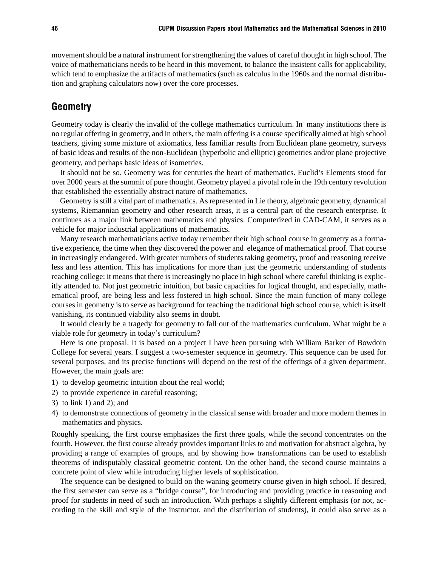movement should be a natural instrument for strengthening the values of careful thought in high school. The voice of mathematicians needs to be heard in this movement, to balance the insistent calls for applicability, which tend to emphasize the artifacts of mathematics (such as calculus in the 1960s and the normal distribution and graphing calculators now) over the core processes.

# **Geometry**

Geometry today is clearly the invalid of the college mathematics curriculum. In many institutions there is no regular offering in geometry, and in others, the main offering is a course specifically aimed at high school teachers, giving some mixture of axiomatics, less familiar results from Euclidean plane geometry, surveys of basic ideas and results of the non-Euclidean (hyperbolic and elliptic) geometries and/or plane projective geometry, and perhaps basic ideas of isometries.

It should not be so. Geometry was for centuries the heart of mathematics. Euclid's Elements stood for over 2000 years at the summit of pure thought. Geometry played a pivotal role in the 19th century revolution that established the essentially abstract nature of mathematics.

Geometry is still a vital part of mathematics. As represented in Lie theory, algebraic geometry, dynamical systems, Riemannian geometry and other research areas, it is a central part of the research enterprise. It continues as a major link between mathematics and physics. Computerized in CAD-CAM, it serves as a vehicle for major industrial applications of mathematics.

Many research mathematicians active today remember their high school course in geometry as a formative experience, the time when they discovered the power and elegance of mathematical proof. That course in increasingly endangered. With greater numbers of students taking geometry, proof and reasoning receive less and less attention. This has implications for more than just the geometric understanding of students reaching college: it means that there is increasingly no place in high school where careful thinking is explicitly attended to. Not just geometric intuition, but basic capacities for logical thought, and especially, mathematical proof, are being less and less fostered in high school. Since the main function of many college courses in geometry is to serve as background for teaching the traditional high school course, which is itself vanishing, its continued viability also seems in doubt.

It would clearly be a tragedy for geometry to fall out of the mathematics curriculum. What might be a viable role for geometry in today's curriculum?

Here is one proposal. It is based on a project I have been pursuing with William Barker of Bowdoin College for several years. I suggest a two-semester sequence in geometry. This sequence can be used for several purposes, and its precise functions will depend on the rest of the offerings of a given department. However, the main goals are:

- 1) to develop geometric intuition about the real world;
- 2) to provide experience in careful reasoning;
- 3) to link 1) and 2); and
- 4) to demonstrate connections of geometry in the classical sense with broader and more modern themes in mathematics and physics.

Roughly speaking, the first course emphasizes the first three goals, while the second concentrates on the fourth. However, the first course already provides important links to and motivation for abstract algebra, by providing a range of examples of groups, and by showing how transformations can be used to establish theorems of indisputably classical geometric content. On the other hand, the second course maintains a concrete point of view while introducing higher levels of sophistication.

The sequence can be designed to build on the waning geometry course given in high school. If desired, the first semester can serve as a "bridge course", for introducing and providing practice in reasoning and proof for students in need of such an introduction. With perhaps a slightly different emphasis (or not, according to the skill and style of the instructor, and the distribution of students), it could also serve as a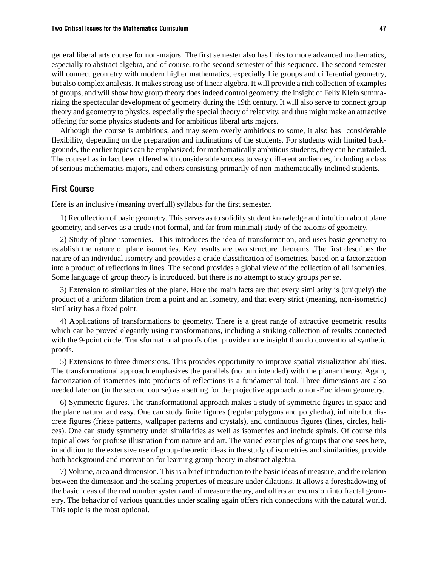general liberal arts course for non-majors. The first semester also has links to more advanced mathematics, especially to abstract algebra, and of course, to the second semester of this sequence. The second semester will connect geometry with modern higher mathematics, expecially Lie groups and differential geometry, but also complex analysis. It makes strong use of linear algebra. It will provide a rich collection of examples of groups, and will show how group theory does indeed control geometry, the insight of Felix Klein summarizing the spectacular development of geometry during the 19th century. It will also serve to connect group theory and geometry to physics, especially the special theory of relativity, and thus might make an attractive offering for some physics students and for ambitious liberal arts majors.

Although the course is ambitious, and may seem overly ambitious to some, it also has considerable flexibility, depending on the preparation and inclinations of the students. For students with limited backgrounds, the earlier topics can be emphasized; for mathematically ambitious students, they can be curtailed. The course has in fact been offered with considerable success to very different audiences, including a class of serious mathematics majors, and others consisting primarily of non-mathematically inclined students.

#### First Course

Here is an inclusive (meaning overfull) syllabus for the first semester.

1) Recollection of basic geometry. This serves as to solidify student knowledge and intuition about plane geometry, and serves as a crude (not formal, and far from minimal) study of the axioms of geometry.

2) Study of plane isometries. This introduces the idea of transformation, and uses basic geometry to establish the nature of plane isometries. Key results are two structure theorems. The first describes the nature of an individual isometry and provides a crude classification of isometries, based on a factorization into a product of reflections in lines. The second provides a global view of the collection of all isometries. Some language of group theory is introduced, but there is no attempt to study groups *per se*.

3) Extension to similarities of the plane. Here the main facts are that every similarity is (uniquely) the product of a uniform dilation from a point and an isometry, and that every strict (meaning, non-isometric) similarity has a fixed point.

4) Applications of transformations to geometry. There is a great range of attractive geometric results which can be proved elegantly using transformations, including a striking collection of results connected with the 9-point circle. Transformational proofs often provide more insight than do conventional synthetic proofs.

5) Extensions to three dimensions. This provides opportunity to improve spatial visualization abilities. The transformational approach emphasizes the parallels (no pun intended) with the planar theory. Again, factorization of isometries into products of reflections is a fundamental tool. Three dimensions are also needed later on (in the second course) as a setting for the projective approach to non-Euclidean geometry.

6) Symmetric figures. The transformational approach makes a study of symmetric figures in space and the plane natural and easy. One can study finite figures (regular polygons and polyhedra), infinite but discrete figures (frieze patterns, wallpaper patterns and crystals), and continuous figures (lines, circles, helices). One can study symmetry under similarities as well as isometries and include spirals. Of course this topic allows for profuse illustration from nature and art. The varied examples of groups that one sees here, in addition to the extensive use of group-theoretic ideas in the study of isometries and similarities, provide both background and motivation for learning group theory in abstract algebra.

7) Volume, area and dimension. This is a brief introduction to the basic ideas of measure, and the relation between the dimension and the scaling properties of measure under dilations. It allows a foreshadowing of the basic ideas of the real number system and of measure theory, and offers an excursion into fractal geometry. The behavior of various quantities under scaling again offers rich connections with the natural world. This topic is the most optional.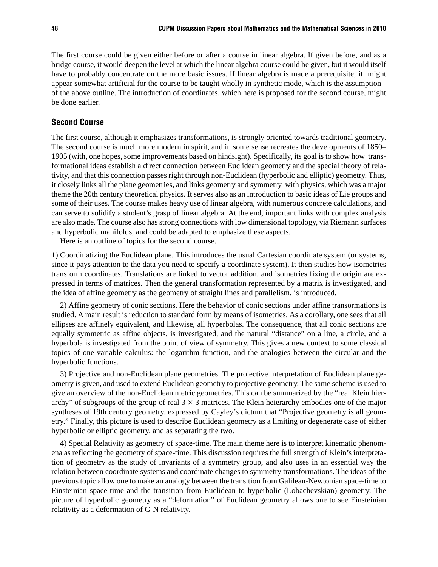The first course could be given either before or after a course in linear algebra. If given before, and as a bridge course, it would deepen the level at which the linear algebra course could be given, but it would itself have to probably concentrate on the more basic issues. If linear algebra is made a prerequisite, it might appear somewhat artificial for the course to be taught wholly in synthetic mode, which is the assumption of the above outline. The introduction of coordinates, which here is proposed for the second course, might be done earlier.

#### Second Course

The first course, although it emphasizes transformations, is strongly oriented towards traditional geometry. The second course is much more modern in spirit, and in some sense recreates the developments of 1850– 1905 (with, one hopes, some improvements based on hindsight). Specifically, its goal is to show how transformational ideas establish a direct connection between Euclidean geometry and the special theory of relativity, and that this connection passes right through non-Euclidean (hyperbolic and elliptic) geometry. Thus, it closely links all the plane geometries, and links geometry and symmetry with physics, which was a major theme the 20th century theoretical physics. It serves also as an introduction to basic ideas of Lie groups and some of their uses. The course makes heavy use of linear algebra, with numerous concrete calculations, and can serve to solidify a student's grasp of linear algebra. At the end, important links with complex analysis are also made. The course also has strong connections with low dimensional topology, via Riemann surfaces and hyperbolic manifolds, and could be adapted to emphasize these aspects.

Here is an outline of topics for the second course.

1) Coordinatizing the Euclidean plane. This introduces the usual Cartesian coordinate system (or systems, since it pays attention to the data you need to specify a coordinate system). It then studies how isometries transform coordinates. Translations are linked to vector addition, and isometries fixing the origin are expressed in terms of matrices. Then the general transformation represented by a matrix is investigated, and the idea of affine geometry as the geometry of straight lines and parallelism, is introduced.

2) Affine geometry of conic sections. Here the behavior of conic sections under affine transormations is studied. A main result is reduction to standard form by means of isometries. As a corollary, one sees that all ellipses are affinely equivalent, and likewise, all hyperbolas. The consequence, that all conic sections are equally symmetric as affine objects, is investigated, and the natural "distance" on a line, a circle, and a hyperbola is investigated from the point of view of symmetry. This gives a new context to some classical topics of one-variable calculus: the logarithm function, and the analogies between the circular and the hyperbolic functions.

3) Projective and non-Euclidean plane geometries. The projective interpretation of Euclidean plane geometry is given, and used to extend Euclidean geometry to projective geometry. The same scheme is used to give an overview of the non-Euclidean metric geometries. This can be summarized by the "real Klein hierarchy" of subgroups of the group of real  $3 \times 3$  matrices. The Klein heierarchy embodies one of the major syntheses of 19th century geometry, expressed by Cayley's dictum that "Projective geometry is all geometry." Finally, this picture is used to describe Euclidean geometry as a limiting or degenerate case of either hyperbolic or elliptic geometry, and as separating the two.

4) Special Relativity as geometry of space-time. The main theme here is to interpret kinematic phenomena as reflecting the geometry of space-time. This discussion requires the full strength of Klein's interpretation of geometry as the study of invariants of a symmetry group, and also uses in an essential way the relation between coordinate systems and coordinate changes to symmetry transformations. The ideas of the previous topic allow one to make an analogy between the transition from Galilean-Newtonian space-time to Einsteinian space-time and the transition from Euclidean to hyperbolic (Lobachevskian) geometry. The picture of hyperbolic geometry as a "deformation" of Euclidean geometry allows one to see Einsteinian relativity as a deformation of G-N relativity.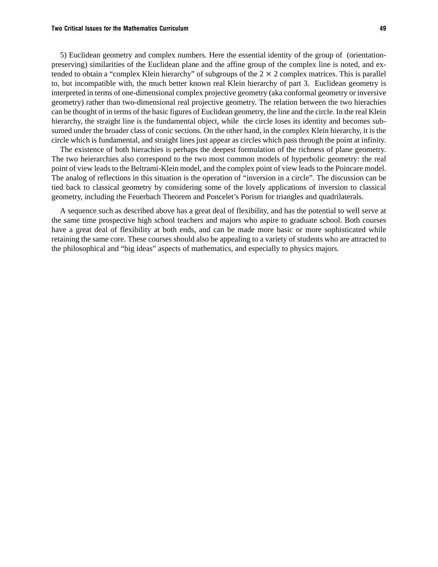#### Two Critical Issues for the Mathematics Curriculum 49

5) Euclidean geometry and complex numbers. Here the essential identity of the group of (orientationpreserving) similarities of the Euclidean plane and the affine group of the complex line is noted, and extended to obtain a "complex Klein hierarchy" of subgroups of the  $2 \times 2$  complex matrices. This is parallel to, but incompatible with, the much better known real Klein hierarchy of part 3. Euclidean geometry is interpreted in terms of one-dimensional complex projective geometry (aka conformal geometry or inversive geometry) rather than two-dimensional real projective geometry. The relation between the two hierachies can be thought of in terms of the basic figures of Euclidean geometry, the line and the circle. In the real Klein hierarchy, the straight line is the fundamental object, while the circle loses its identity and becomes subsumed under the broader class of conic sections. On the other hand, in the complex Klein hierarchy, it is the circle which is fundamental, and straight lines just appear as circles which pass through the point at infinity.

The existence of both hierachies is perhaps the deepest formulation of the richness of plane geometry. The two heierarchies also correspond to the two most common models of hyperbolic geometry: the real point of view leads to the Beltrami-Klein model, and the complex point of view leads to the Poincare model. The analog of reflections in this situation is the operation of "inversion in a circle". The discussion can be tied back to classical geometry by considering some of the lovely applications of inversion to classical geometry, including the Feuerbach Theorem and Poncelet's Porism for triangles and quadrilaterals.

A sequence such as described above has a great deal of flexibility, and has the potential to well serve at the same time prospective high school teachers and majors who aspire to graduate school. Both courses have a great deal of flexibility at both ends, and can be made more basic or more sophisticated while retaining the same core. These courses should also be appealing to a variety of students who are attracted to the philosophical and "big ideas" aspects of mathematics, and especially to physics majors.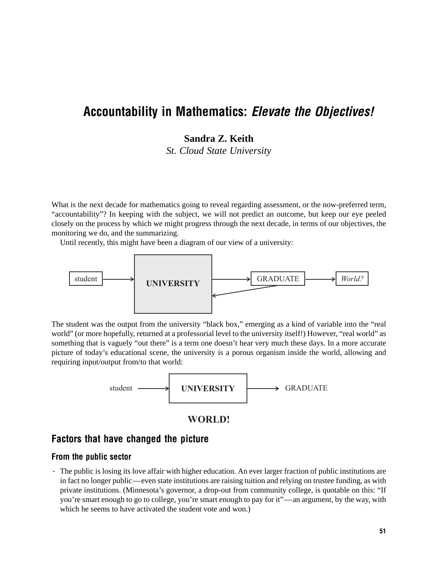# Accountability in Mathematics: Elevate the Objectives!

# **Sandra Z. Keith**

*St. Cloud State University*

What is the next decade for mathematics going to reveal regarding assessment, or the now-preferred term, "accountability"? In keeping with the subject, we will not predict an outcome, but keep our eye peeled closely on the process by which we might progress through the next decade, in terms of our objectives, the monitoring we do, and the summarizing.

Until recently, this might have been a diagram of our view of a university:



The student was the output from the university "black box," emerging as a kind of variable into the "real world" (or more hopefully, returned at a professorial level to the university itself!) However, "real world" as something that is vaguely "out there" is a term one doesn't hear very much these days. In a more accurate picture of today's educational scene, the university is a porous organism inside the world, allowing and requiring input/output from/to that world:



## **WORLD!**

# Factors that have changed the picture

#### From the public sector

· The public is losing its love affair with higher education. An ever larger fraction of public institutions are in fact no longer public—even state institutions are raising tuition and relying on trustee funding, as with private institutions. (Minnesota's governor, a drop-out from community college, is quotable on this: "If you're smart enough to go to college, you're smart enough to pay for it"—an argument, by the way, with which he seems to have activated the student vote and won.)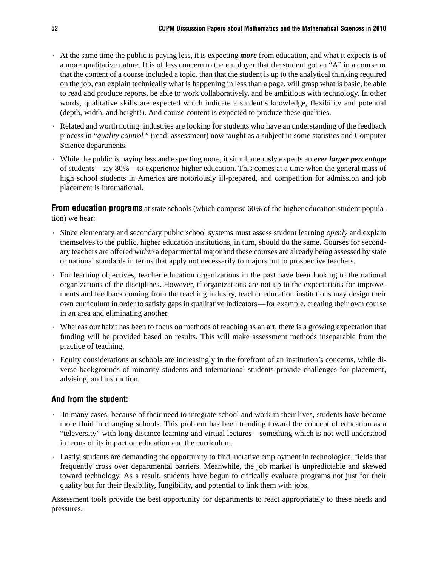- · At the same time the public is paying less, it is expecting *more* from education, and what it expects is of a more qualitative nature. It is of less concern to the employer that the student got an "A" in a course or that the content of a course included a topic, than that the student is up to the analytical thinking required on the job, can explain technically what is happening in less than a page, will grasp what is basic, be able to read and produce reports, be able to work collaboratively, and be ambitious with technology. In other words, qualitative skills are expected which indicate a student's knowledge, flexibility and potential (depth, width, and height!). And course content is expected to produce these qualities.
- · Related and worth noting: industries are looking for students who have an understanding of the feedback process in "*quality control* " (read: assessment) now taught as a subject in some statistics and Computer Science departments.
- · While the public is paying less and expecting more, it simultaneously expects an *ever larger percentage* of students—say 80%—to experience higher education. This comes at a time when the general mass of high school students in America are notoriously ill-prepared, and competition for admission and job placement is international.

**From education programs** at state schools (which comprise 60% of the higher education student population) we hear:

- · Since elementary and secondary public school systems must assess student learning *openly* and explain themselves to the public, higher education institutions, in turn, should do the same. Courses for secondary teachers are offered *within* a departmental major and these courses are already being assessed by state or national standards in terms that apply not necessarily to majors but to prospective teachers.
- · For learning objectives, teacher education organizations in the past have been looking to the national organizations of the disciplines. However, if organizations are not up to the expectations for improvements and feedback coming from the teaching industry, teacher education institutions may design their own curriculum in order to satisfy gaps in qualitative indicators—for example, creating their own course in an area and eliminating another.
- · Whereas our habit has been to focus on methods of teaching as an art, there is a growing expectation that funding will be provided based on results. This will make assessment methods inseparable from the practice of teaching.
- · Equity considerations at schools are increasingly in the forefront of an institution's concerns, while diverse backgrounds of minority students and international students provide challenges for placement, advising, and instruction.

## And from the student:

- · In many cases, because of their need to integrate school and work in their lives, students have become more fluid in changing schools. This problem has been trending toward the concept of education as a "televersity" with long-distance learning and virtual lectures—something which is not well understood in terms of its impact on education and the curriculum.
- · Lastly, students are demanding the opportunity to find lucrative employment in technological fields that frequently cross over departmental barriers. Meanwhile, the job market is unpredictable and skewed toward technology. As a result, students have begun to critically evaluate programs not just for their quality but for their flexibility, fungibility, and potential to link them with jobs.

Assessment tools provide the best opportunity for departments to react appropriately to these needs and pressures.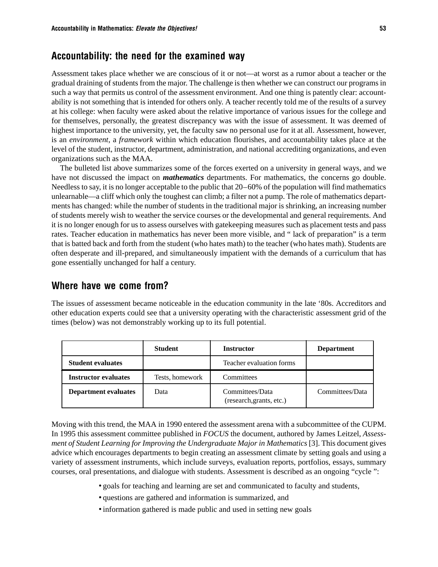# Accountability: the need for the examined way

Assessment takes place whether we are conscious of it or not—at worst as a rumor about a teacher or the gradual draining of students from the major. The challenge is then whether we can construct our programs in such a way that permits us control of the assessment environment. And one thing is patently clear: accountability is not something that is intended for others only. A teacher recently told me of the results of a survey at his college: when faculty were asked about the relative importance of various issues for the college and for themselves, personally, the greatest discrepancy was with the issue of assessment. It was deemed of highest importance to the university, yet, the faculty saw no personal use for it at all. Assessment, however, is an *environment*, a *framework* within which education flourishes, and accountability takes place at the level of the student, instructor, department, administration, and national accrediting organizations, and even organizations such as the MAA.

The bulleted list above summarizes some of the forces exerted on a university in general ways, and we have not discussed the impact on *mathematics* departments. For mathematics, the concerns go double. Needless to say, it is no longer acceptable to the public that 20–60% of the population will find mathematics unlearnable—a cliff which only the toughest can climb; a filter not a pump. The role of mathematics departments has changed: while the number of students in the traditional major is shrinking, an increasing number of students merely wish to weather the service courses or the developmental and general requirements. And it is no longer enough for us to assess ourselves with gatekeeping measures such as placement tests and pass rates. Teacher education in mathematics has never been more visible, and " lack of preparation" is a term that is batted back and forth from the student (who hates math) to the teacher (who hates math). Students are often desperate and ill-prepared, and simultaneously impatient with the demands of a curriculum that has gone essentially unchanged for half a century.

## Where have we come from?

The issues of assessment became noticeable in the education community in the late '80s. Accreditors and other education experts could see that a university operating with the characteristic assessment grid of the times (below) was not demonstrably working up to its full potential.

|                             | <b>Student</b>  | <b>Instructor</b>                           | <b>Department</b> |
|-----------------------------|-----------------|---------------------------------------------|-------------------|
| <b>Student evaluates</b>    |                 | Teacher evaluation forms                    |                   |
| <b>Instructor evaluates</b> | Tests, homework | Committees                                  |                   |
| <b>Department evaluates</b> | Data            | Committees/Data<br>(research, grants, etc.) | Committees/Data   |

Moving with this trend, the MAA in 1990 entered the assessment arena with a subcommittee of the CUPM. In 1995 this assessment committee published in *FOCUS* the document, authored by James Leitzel, *Assessment of Student Learning for Improving the Undergraduate Major in Mathematics* [3]. This document gives advice which encourages departments to begin creating an assessment climate by setting goals and using a variety of assessment instruments, which include surveys, evaluation reports, portfolios, essays, summary courses, oral presentations, and dialogue with students. Assessment is described as an ongoing "cycle ":

- goals for teaching and learning are set and communicated to faculty and students,
- questions are gathered and information is summarized, and
- information gathered is made public and used in setting new goals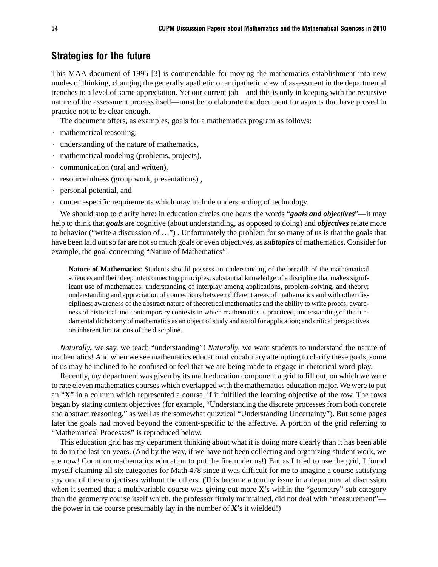## Strategies for the future

This MAA document of 1995 [3] is commendable for moving the mathematics establishment into new modes of thinking, changing the generally apathetic or antipathetic view of assessment in the departmental trenches to a level of some appreciation. Yet our current job—and this is only in keeping with the recursive nature of the assessment process itself—must be to elaborate the document for aspects that have proved in practice not to be clear enough.

The document offers, as examples, goals for a mathematics program as follows:

- · mathematical reasoning,
- · understanding of the nature of mathematics,
- · mathematical modeling (problems, projects),
- · communication (oral and written),
- · resourcefulness (group work, presentations) ,
- · personal potential, and
- · content-specific requirements which may include understanding of technology.

We should stop to clarify here: in education circles one hears the words "*goals and objectives*"—it may help to think that *goals* are cognitive (about understanding, as opposed to doing) and *objectives* relate more to behavior ("write a discussion of …") . Unfortunately the problem for so many of us is that the goals that have been laid out so far are not so much goals or even objectives, as *subtopics* of mathematics. Consider for example, the goal concerning "Nature of Mathematics":

**Nature of Mathematics**: Students should possess an understanding of the breadth of the mathematical sciences and their deep interconnecting principles; substantial knowledge of a discipline that makes significant use of mathematics; understanding of interplay among applications, problem-solving, and theory; understanding and appreciation of connections between different areas of mathematics and with other disciplines; awareness of the abstract nature of theoretical mathematics and the ability to write proofs; awareness of historical and contemporary contexts in which mathematics is practiced, understanding of the fundamental dichotomy of mathematics as an object of study and a tool for application; and critical perspectives on inherent limitations of the discipline.

*Naturally,* we say, we teach "understanding"! *Naturally*, we want students to understand the nature of mathematics! And when we see mathematics educational vocabulary attempting to clarify these goals, some of us may be inclined to be confused or feel that we are being made to engage in rhetorical word-play.

Recently, my department was given by its math education component a grid to fill out, on which we were to rate eleven mathematics courses which overlapped with the mathematics education major. We were to put an "**X**" in a column which represented a course, if it fulfilled the learning objective of the row. The rows began by stating content objectives (for example, "Understanding the discrete processes from both concrete and abstract reasoning," as well as the somewhat quizzical "Understanding Uncertainty"). But some pages later the goals had moved beyond the content-specific to the affective. A portion of the grid referring to "Mathematical Processes" is reproduced below.

This education grid has my department thinking about what it is doing more clearly than it has been able to do in the last ten years. (And by the way, if we have not been collecting and organizing student work, we are now! Count on mathematics education to put the fire under us!) But as I tried to use the grid, I found myself claiming all six categories for Math 478 since it was difficult for me to imagine a course satisfying any one of these objectives without the others. (This became a touchy issue in a departmental discussion when it seemed that a multivariable course was giving out more **X**'s within the "geometry" sub-category than the geometry course itself which, the professor firmly maintained, did not deal with "measurement" the power in the course presumably lay in the number of  $X$ 's it wielded!)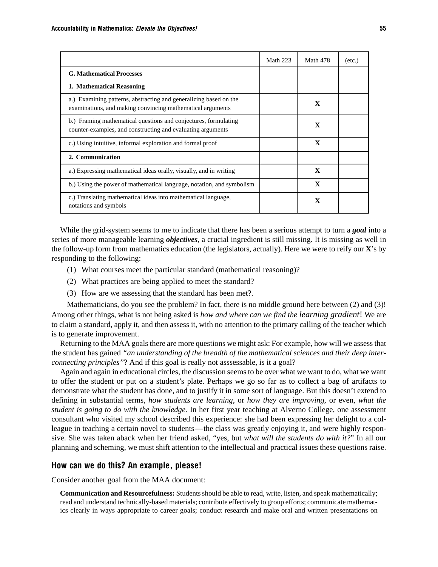|                                                                                                                                 | <b>Math 223</b> | Math 478     | $(\text{etc.})$ |
|---------------------------------------------------------------------------------------------------------------------------------|-----------------|--------------|-----------------|
| <b>G. Mathematical Processes</b>                                                                                                |                 |              |                 |
| 1. Mathematical Reasoning                                                                                                       |                 |              |                 |
| a.) Examining patterns, abstracting and generalizing based on the<br>examinations, and making convincing mathematical arguments |                 | $\mathbf x$  |                 |
| b.) Framing mathematical questions and conjectures, formulating<br>counter-examples, and constructing and evaluating arguments  |                 | $\mathbf x$  |                 |
| c.) Using intuitive, informal exploration and formal proof                                                                      |                 | $\mathbf x$  |                 |
| 2. Communication                                                                                                                |                 |              |                 |
| a.) Expressing mathematical ideas orally, visually, and in writing                                                              |                 | $\mathbf{x}$ |                 |
| b.) Using the power of mathematical language, notation, and symbolism                                                           |                 | $\mathbf{x}$ |                 |
| c.) Translating mathematical ideas into mathematical language,<br>notations and symbols                                         |                 | X            |                 |

While the grid-system seems to me to indicate that there has been a serious attempt to turn a *goal* into a series of more manageable learning *objectives*, a crucial ingredient is still missing. It is missing as well in the follow-up form from mathematics education (the legislators, actually). Here we were to reify our **X**'s by responding to the following:

- (1) What courses meet the particular standard (mathematical reasoning)?
- (2) What practices are being applied to meet the standard?
- (3) How are we assessing that the standard has been met?.

Mathematicians, do you see the problem? In fact, there is no middle ground here between (2) and (3)! Among other things, what is not being asked is *how and where can we find the learning gradient*! We are to claim a standard, apply it, and then assess it, with no attention to the primary calling of the teacher which is to generate improvement.

Returning to the MAA goals there are more questions we might ask: For example, how will we assess that the student has gained *"an understanding of the breadth of the mathematical sciences and their deep interconnecting principles"*? And if this goal is really not asssessable, is it a goal?

Again and again in educational circles, the discussion seems to be over what we want to do, what we want to offer the student or put on a student's plate. Perhaps we go so far as to collect a bag of artifacts to demonstrate what the student has done, and to justify it in some sort of language. But this doesn't extend to defining in substantial terms, *how students are learning*, or *how they are improving,* or even, *what the student is going to do with the knowledge.* In her first year teaching at Alverno College, one assessment consultant who visited my school described this experience: she had been expressing her delight to a colleague in teaching a certain novel to students—the class was greatly enjoying it, and were highly responsive. She was taken aback when her friend asked, "yes, but *what will the students do with it?*" In all our planning and scheming, we must shift attention to the intellectual and practical issues these questions raise.

#### How can we do this? An example, please!

Consider another goal from the MAA document:

**Communication and Resourcefulness:** Students should be able to read, write, listen, and speak mathematically; read and understand technically-based materials; contribute effectively to group efforts; communicate mathematics clearly in ways appropriate to career goals; conduct research and make oral and written presentations on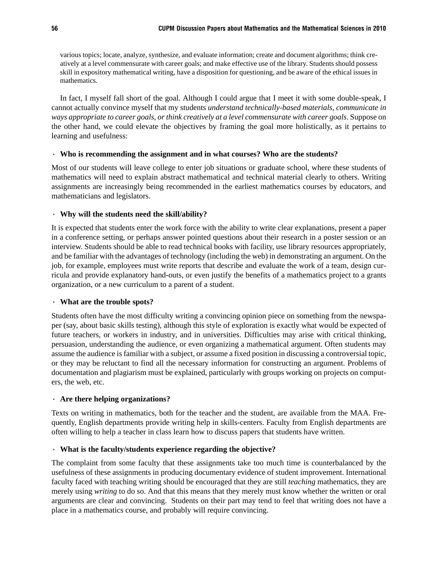various topics; locate, analyze, synthesize, and evaluate information; create and document algorithms; think creatively at a level commensurate with career goals; and make effective use of the library. Students should possess skill in expository mathematical writing, have a disposition for questioning, and be aware of the ethical issues in mathematics.

In fact, I myself fall short of the goal. Although I could argue that I meet it with some double-speak, I cannot actually convince myself that my students *understand technically-based materials, communicate in ways appropriate to career goals, or think creatively at a level commensurate with career goals*. Suppose on the other hand, we could elevate the objectives by framing the goal more holistically, as it pertains to learning and usefulness:

#### · **Who is recommending the assignment and in what courses? Who are the students?**

Most of our students will leave college to enter job situations or graduate school, where these students of mathematics will need to explain abstract mathematical and technical material clearly to others. Writing assignments are increasingly being recommended in the earliest mathematics courses by educators, and mathematicians and legislators.

#### · **Why will the students need the skill/ability?**

It is expected that students enter the work force with the ability to write clear explanations, present a paper in a conference setting, or perhaps answer pointed questions about their research in a poster session or an interview. Students should be able to read technical books with facility, use library resources appropriately, and be familiar with the advantages of technology (including the web) in demonstrating an argument. On the job, for example, employees must write reports that describe and evaluate the work of a team, design curricula and provide explanatory hand-outs, or even justify the benefits of a mathematics project to a grants organization, or a new curriculum to a parent of a student.

#### · **What are the trouble spots?**

Students often have the most difficulty writing a convincing opinion piece on something from the newspaper (say, about basic skills testing), although this style of exploration is exactly what would be expected of future teachers, or workers in industry, and in universities. Difficulties may arise with critical thinking, persuasion, understanding the audience, or even organizing a mathematical argument. Often students may assume the audience is familiar with a subject, or assume a fixed position in discussing a controversial topic, or they may be reluctant to find all the necessary information for constructing an argument. Problems of documentation and plagiarism must be explained, particularly with groups working on projects on computers, the web, etc.

#### · **Are there helping organizations?**

Texts on writing in mathematics, both for the teacher and the student, are available from the MAA. Frequently, English departments provide writing help in skills-centers. Faculty from English departments are often willing to help a teacher in class learn how to discuss papers that students have written.

### · **What is the faculty/students experience regarding the objective?**

The complaint from some faculty that these assignments take too much time is counterbalanced by the usefulness of these assignments in producing documentary evidence of student improvement. International faculty faced with teaching writing should be encouraged that they are still *teaching* mathematics, they are merely using *writing* to do so. And that this means that they merely must know whether the written or oral arguments are clear and convincing. Students on their part may tend to feel that writing does not have a place in a mathematics course, and probably will require convincing.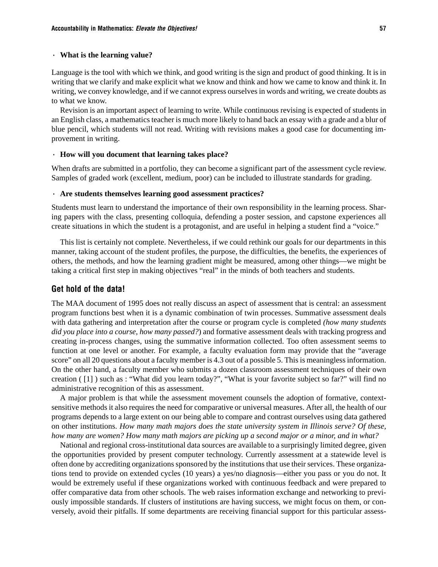#### · **What is the learning value?**

Language is the tool with which we think, and good writing is the sign and product of good thinking. It is in writing that we clarify and make explicit what we know and think and how we came to know and think it. In writing, we convey knowledge, and if we cannot express ourselves in words and writing, we create doubts as to what we know.

Revision is an important aspect of learning to write. While continuous revising is expected of students in an English class, a mathematics teacher is much more likely to hand back an essay with a grade and a blur of blue pencil, which students will not read. Writing with revisions makes a good case for documenting improvement in writing.

#### · **How will you document that learning takes place?**

When drafts are submitted in a portfolio, they can become a significant part of the assessment cycle review. Samples of graded work (excellent, medium, poor) can be included to illustrate standards for grading.

#### · **Are students themselves learning good assessment practices?**

Students must learn to understand the importance of their own responsibility in the learning process. Sharing papers with the class, presenting colloquia, defending a poster session, and capstone experiences all create situations in which the student is a protagonist, and are useful in helping a student find a "voice."

This list is certainly not complete. Nevertheless, if we could rethink our goals for our departments in this manner, taking account of the student profiles, the purpose, the difficulties, the benefits, the experiences of others, the methods, and how the learning gradient might be measured, among other things—we might be taking a critical first step in making objectives "real" in the minds of both teachers and students.

#### Get hold of the data!

The MAA document of 1995 does not really discuss an aspect of assessment that is central: an assessment program functions best when it is a dynamic combination of twin processes. Summative assessment deals with data gathering and interpretation after the course or program cycle is completed *(how many students did you place into a course, how many passed?*) and formative assessment deals with tracking progress and creating in-process changes, using the summative information collected. Too often assessment seems to function at one level or another. For example, a faculty evaluation form may provide that the "average score" on all 20 questions about a faculty member is 4.3 out of a possible 5. This is meaningless information. On the other hand, a faculty member who submits a dozen classroom assessment techniques of their own creation ( $\lceil 1 \rceil$ ) such as : "What did you learn today?", "What is your favorite subject so far?" will find no administrative recognition of this as assessment.

A major problem is that while the assessment movement counsels the adoption of formative, contextsensitive methods it also requires the need for comparative or universal measures. After all, the health of our programs depends to a large extent on our being able to compare and contrast ourselves using data gathered on other institutions. *How many math majors does the state university system in Illinois serve? Of these, how many are women? How many math majors are picking up a second major or a minor, and in what?*

National and regional cross-institutional data sources are available to a surprisingly limited degree, given the opportunities provided by present computer technology. Currently assessment at a statewide level is often done by accrediting organizations sponsored by the institutions that use their services. These organizations tend to provide on extended cycles (10 years) a yes/no diagnosis—either you pass or you do not. It would be extremely useful if these organizations worked with continuous feedback and were prepared to offer comparative data from other schools. The web raises information exchange and networking to previously impossible standards. If clusters of institutions are having success, we might focus on them, or conversely, avoid their pitfalls. If some departments are receiving financial support for this particular assess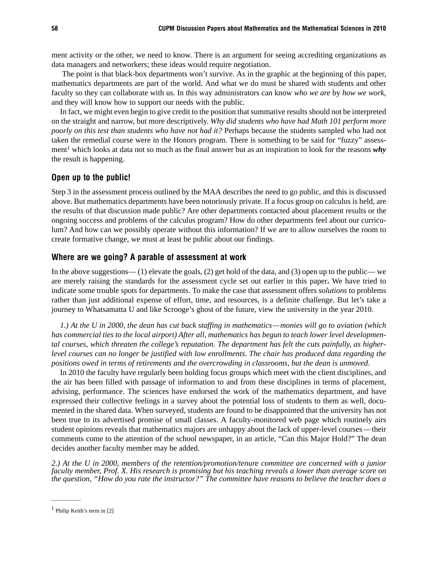ment activity or the other, we need to know. There is an argument for seeing accrediting organizations as data managers and networkers; these ideas would require negotiation.

 The point is that black-box departments won't survive. As in the graphic at the beginning of this paper, mathematics departments are part of the world. And what we do must be shared with students and other faculty so they can collaborate with us. In this way administrators can know *who we are* by *how we work*, and they will know how to support our needs with the public.

In fact, we might even begin to give credit to the position that summative results should not be interpreted on the straight and narrow, but more descriptively. *Why did students who have had Math 101 perform more poorly on this test than students who have not had it?* Perhaps because the students sampled who had not taken the remedial course were in the Honors program. There is something to be said for "fuzzy" assessment<sup>1</sup> which looks at data not so much as the final answer but as an inspiration to look for the reasons why the result is happening.

#### Open up to the public!

Step 3 in the assessment process outlined by the MAA describes the need to go public, and this is discussed above. But mathematics departments have been notoriously private. If a focus group on calculus is held, are the results of that discussion made public? Are other departments contacted about placement results or the ongoing success and problems of the calculus program? How do other departments feel about our curriculum? And how can we possibly operate without this information? If we are to allow ourselves the room to create formative change, we must at least be public about our findings.

#### Where are we going? A parable of assessment at work

In the above suggestions— (1) elevate the goals, (2) get hold of the data, and (3) open up to the public— we are merely raising the standards for the assessment cycle set out earlier in this paper**.** We have tried to indicate some trouble spots for departments. To make the case that assessment offers *solutions* to problems rather than just additional expense of effort, time, and resources, is a definite challenge. But let's take a journey to Whatsamatta U and like Scrooge's ghost of the future, view the university in the year 2010.

*1.) At the U in 2000, the dean has cut back staffing in mathematics—monies will go to aviation (which has commercial ties to the local airport) After all, mathematics has begun to teach lower level developmental courses, which threaten the college's reputation. The department has felt the cuts painfully, as higherlevel courses can no longer be justified with low enrollments. The chair has produced data regarding the positions owed in terms of retirements and the overcrowding in classrooms, but the dean is unmoved.*

In 2010 the faculty have regularly been holding focus groups which meet with the client disciplines, and the air has been filled with passage of information to and from these disciplines in terms of placement, advising, performance. The sciences have endorsed the work of the mathematics department, and have expressed their collective feelings in a survey about the potential loss of students to them as well, documented in the shared data. When surveyed, students are found to be disappointed that the university has not been true to its advertised promise of small classes. A faculty-monitored web page which routinely airs student opinions reveals that mathematics majors are unhappy about the lack of upper-level courses—their comments come to the attention of the school newspaper, in an article, "Can this Major Hold?" The dean decides another faculty member may be added.

*2.) At the U in 2000, members of the retention/promotion/tenure committee are concerned with a junior faculty member, Prof. X. His research is promising but his teaching reveals a lower than average score on the question, "How do you rate the instructor?" The committee have reasons to believe the teacher does a*

——————

<sup>1</sup> Philip Keith's term in [2]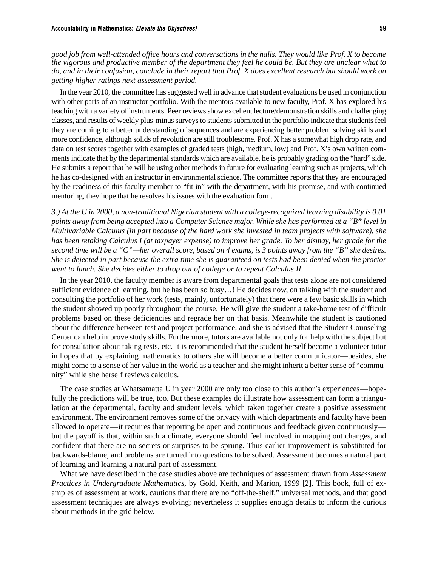*good job from well-attended office hours and conversations in the halls. They would like Prof. X to become the vigorous and productive member of the department they feel he could be. But they are unclear what to do, and in their confusion, conclude in their report that Prof. X does excellent research but should work on getting higher ratings next assessment period.*

In the year 2010, the committee has suggested well in advance that student evaluations be used in conjunction with other parts of an instructor portfolio. With the mentors available to new faculty, Prof. X has explored his teaching with a variety of instruments. Peer reviews show excellent lecture/demonstration skills and challenging classes, and results of weekly plus-minus surveys to students submitted in the portfolio indicate that students feel they are coming to a better understanding of sequences and are experiencing better problem solving skills and more confidence, although solids of revolution are still troublesome. Prof. X has a somewhat high drop rate, and data on test scores together with examples of graded tests (high, medium, low) and Prof. X's own written comments indicate that by the departmental standards which are available, he is probably grading on the "hard" side. He submits a report that he will be using other methods in future for evaluating learning such as projects, which he has co-designed with an instructor in environmental science. The committee reports that they are encouraged by the readiness of this faculty member to "fit in" with the department, with his promise, and with continued mentoring, they hope that he resolves his issues with the evaluation form.

*3.) At the U in 2000, a non-traditional Nigerian student with a college-recognized learning disability is 0.01 points away from being accepted into a Computer Science major. While she has performed at a "B" level in Multivariable Calculus (in part because of the hard work she invested in team projects with software), she has been retaking Calculus I (at taxpayer expense) to improve her grade. To her dismay, her grade for the second time will be a "C"—her overall score, based on 4 exams, is 3 points away from the "B" she desires. She is dejected in part because the extra time she is guaranteed on tests had been denied when the proctor went to lunch. She decides either to drop out of college or to repeat Calculus II.*

In the year 2010, the faculty member is aware from departmental goals that tests alone are not considered sufficient evidence of learning, but he has been so busy…! He decides now, on talking with the student and consulting the portfolio of her work (tests, mainly, unfortunately) that there were a few basic skills in which the student showed up poorly throughout the course. He will give the student a take-home test of difficult problems based on these deficiencies and regrade her on that basis. Meanwhile the student is cautioned about the difference between test and project performance, and she is advised that the Student Counseling Center can help improve study skills. Furthermore, tutors are available not only for help with the subject but for consultation about taking tests, etc. It is recommended that the student herself become a volunteer tutor in hopes that by explaining mathematics to others she will become a better communicator—besides, she might come to a sense of her value in the world as a teacher and she might inherit a better sense of "community" while she herself reviews calculus.

The case studies at Whatsamatta U in year 2000 are only too close to this author's experiences—hopefully the predictions will be true, too. But these examples do illustrate how assessment can form a triangulation at the departmental, faculty and student levels, which taken together create a positive assessment environment. The environment removes some of the privacy with which departments and faculty have been allowed to operate—it requires that reporting be open and continuous and feedback given continuously but the payoff is that, within such a climate, everyone should feel involved in mapping out changes, and confident that there are no secrets or surprises to be sprung. Thus earlier-improvement is substituted for backwards-blame, and problems are turned into questions to be solved. Assessment becomes a natural part of learning and learning a natural part of assessment.

What we have described in the case studies above are techniques of assessment drawn from *Assessment Practices in Undergraduate Mathematics*, by Gold, Keith, and Marion, 1999 [2]. This book, full of examples of assessment at work, cautions that there are no "off-the-shelf," universal methods, and that good assessment techniques are always evolving; nevertheless it supplies enough details to inform the curious about methods in the grid below.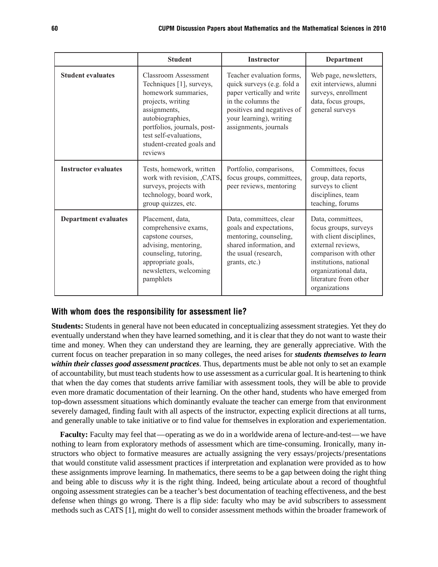|                             | <b>Student</b>                                                                                                                                                                                                                           | <b>Instructor</b>                                                                                                                                                                             | <b>Department</b>                                                                                                                                                                                                |
|-----------------------------|------------------------------------------------------------------------------------------------------------------------------------------------------------------------------------------------------------------------------------------|-----------------------------------------------------------------------------------------------------------------------------------------------------------------------------------------------|------------------------------------------------------------------------------------------------------------------------------------------------------------------------------------------------------------------|
| <b>Student evaluates</b>    | <b>Classroom Assessment</b><br>Techniques [1], surveys,<br>homework summaries,<br>projects, writing<br>assignments,<br>autobiographies,<br>portfolios, journals, post-<br>test self-evaluations,<br>student-created goals and<br>reviews | Teacher evaluation forms,<br>quick surveys (e.g. fold a<br>paper vertically and write<br>in the columns the<br>positives and negatives of<br>your learning), writing<br>assignments, journals | Web page, newsletters,<br>exit interviews, alumni<br>surveys, enrollment<br>data, focus groups,<br>general surveys                                                                                               |
| <b>Instructor evaluates</b> | Tests, homework, written<br>work with revision, , CATS,<br>surveys, projects with<br>technology, board work,<br>group quizzes, etc.                                                                                                      | Portfolio, comparisons,<br>focus groups, committees,<br>peer reviews, mentoring                                                                                                               | Committees, focus<br>group, data reports,<br>surveys to client<br>disciplines, team<br>teaching, forums                                                                                                          |
| <b>Department evaluates</b> | Placement, data,<br>comprehensive exams,<br>capstone courses,<br>advising, mentoring,<br>counseling, tutoring,<br>appropriate goals,<br>newsletters, welcoming<br>pamphlets                                                              | Data, committees, clear<br>goals and expectations,<br>mentoring, counseling,<br>shared information, and<br>the usual (research,<br>grants, etc.)                                              | Data, committees,<br>focus groups, surveys<br>with client disciplines,<br>external reviews,<br>comparison with other<br>institutions, national<br>organizational data,<br>literature from other<br>organizations |

#### With whom does the responsibility for assessment lie?

**Students:** Students in general have not been educated in conceptualizing assessment strategies. Yet they do eventually understand when they have learned something, and it is clear that they do not want to waste their time and money. When they can understand they are learning, they are generally appreciative. With the current focus on teacher preparation in so many colleges, the need arises for *students themselves to learn within their classes good assessment practices*. Thus, departments must be able not only to set an example of accountability, but must teach students how to use assessment as a curricular goal. It is heartening to think that when the day comes that students arrive familiar with assessment tools, they will be able to provide even more dramatic documentation of their learning. On the other hand, students who have emerged from top-down assessment situations which dominantly evaluate the teacher can emerge from that environment severely damaged, finding fault with all aspects of the instructor, expecting explicit directions at all turns, and generally unable to take initiative or to find value for themselves in exploration and experiementation.

**Faculty:** Faculty may feel that—operating as we do in a worldwide arena of lecture-and-test—we have nothing to learn from exploratory methods of assessment which are time-consuming. Ironically, many instructors who object to formative measures are actually assigning the very essays/projects/presentations that would constitute valid assessment practices if interpretation and explanation were provided as to how these assignments improve learning. In mathematics, there seems to be a gap between doing the right thing and being able to discuss *why* it is the right thing. Indeed, being articulate about a record of thoughtful ongoing assessment strategies can be a teacher's best documentation of teaching effectiveness, and the best defense when things go wrong. There is a flip side: faculty who may be avid subscribers to assessment methods such as CATS [1], might do well to consider assessment methods within the broader framework of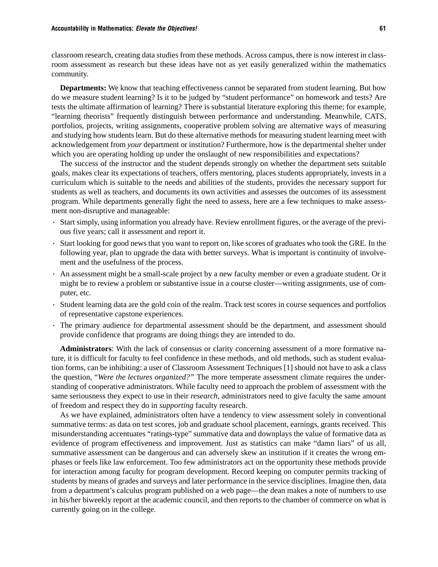classroom research, creating data studies from these methods. Across campus, there is now interest in classroom assessment as research but these ideas have not as yet easily generalized within the mathematics community.

**Departments:** We know that teaching effectiveness cannot be separated from student learning. But how do we measure student learning? Is it to be judged by "student performance" on homework and tests? Are tests the ultimate affirmation of learning? There is substantial literature exploring this theme; for example, "learning theorists" frequently distinguish between performance and understanding. Meanwhile, CATS, portfolios, projects, writing assignments, cooperative problem solving are alternative ways of measuring and studying how students learn. But do these alternative methods for measuring student learning meet with acknowledgement from *your* department or institution? Furthermore, how is the departmental shelter under which you are operating holding up under the onslaught of new responsibilities and expectations?

The success of the instructor and the student depends strongly on whether the department sets suitable goals, makes clear its expectations of teachers, offers mentoring, places students appropriately, invests in a curriculum which is suitable to the needs and abilities of the students, provides the necessary support for students as well as teachers, and documents its own activities and assesses the outcomes of its assessment program. While departments generally fight the need to assess, here are a few techniques to make assessment non-disruptive and manageable:

- · Start simply, using information you already have. Review enrollment figures, or the average of the previous five years; call it assessment and report it.
- · Start looking for good news that you want to report on, like scores of graduates who took the GRE. In the following year, plan to upgrade the data with better surveys. What is important is continuity of involvement and the usefulness of the process.
- · An assessment might be a small-scale project by a new faculty member or even a graduate student. Or it might be to review a problem or substantive issue in a course cluster—writing assignments, use of computer, etc.
- · Student learning data are the gold coin of the realm. Track test scores in course sequences and portfolios of representative capstone experiences.
- · The primary audience for departmental assessment should be the department, and assessment should provide confidence that programs are doing things they are intended to do.

**Administrators**: With the lack of consensus or clarity concerning assessment of a more formative nature, it is difficult for faculty to feel confidence in these methods, and old methods, such as student evaluation forms, can be inhibiting: a user of Classroom Assessment Techniques [1] should not have to ask a class the question, "*Were the lectures organized?"* The more temperate assessment climate requires the understanding of cooperative administrators. While faculty need to approach the problem of assessment with the same seriousness they expect to use in their *research,* administrators need to give faculty the same amount of freedom and respect they do in *supporting* faculty research.

As we have explained, administrators often have a tendency to view assessment solely in conventional summative terms: as data on test scores, job and graduate school placement, earnings, grants received. This misunderstanding accentuates "ratings-type" summative data and downplays the value of formative data as evidence of program effectiveness and improvement. Just as statistics can make "damn liars" of us all, summative assessment can be dangerous and can adversely skew an institution if it creates the wrong emphases or feels like law enforcement. Too few administrators act on the opportunity these methods provide for interaction among faculty for program development. Record keeping on computer permits tracking of students by means of grades and surveys and later performance in the service disciplines. Imagine then, data from a department's calculus program published on a web page—the dean makes a note of numbers to use in his/her biweekly report at the academic council, and then reports to the chamber of commerce on what is currently going on in the college.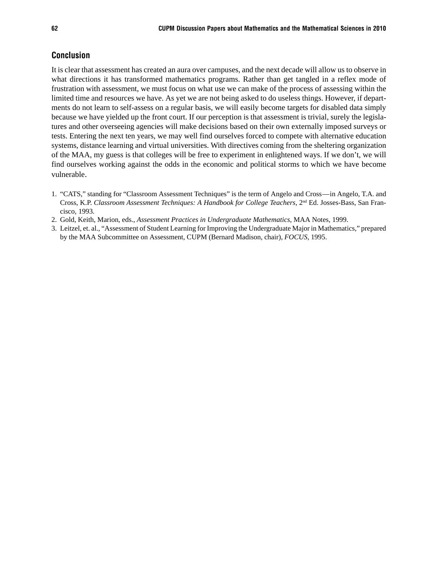#### **Conclusion**

It is clear that assessment has created an aura over campuses, and the next decade will allow us to observe in what directions it has transformed mathematics programs. Rather than get tangled in a reflex mode of frustration with assessment, we must focus on what use we can make of the process of assessing within the limited time and resources we have. As yet we are not being asked to do useless things. However, if departments do not learn to self-assess on a regular basis, we will easily become targets for disabled data simply because we have yielded up the front court. If our perception is that assessment is trivial, surely the legislatures and other overseeing agencies will make decisions based on their own externally imposed surveys or tests. Entering the next ten years, we may well find ourselves forced to compete with alternative education systems, distance learning and virtual universities. With directives coming from the sheltering organization of the MAA, my guess is that colleges will be free to experiment in enlightened ways. If we don't, we will find ourselves working against the odds in the economic and political storms to which we have become vulnerable.

- 1. "CATS," standing for "Classroom Assessment Techniques" is the term of Angelo and Cross—in Angelo, T.A. and Cross, K.P. *Classroom Assessment Techniques: A Handbook for College Teachers*, 2nd Ed. Josses-Bass, San Francisco, 1993.
- 2. Gold, Keith, Marion, eds., *Assessment Practices in Undergraduate Mathematics*, MAA Notes, 1999.
- 3. Leitzel, et. al., "Assessment of Student Learning for Improving the Undergraduate Major in Mathematics," prepared by the MAA Subcommittee on Assessment, CUPM (Bernard Madison, chair), *FOCUS*, 1995.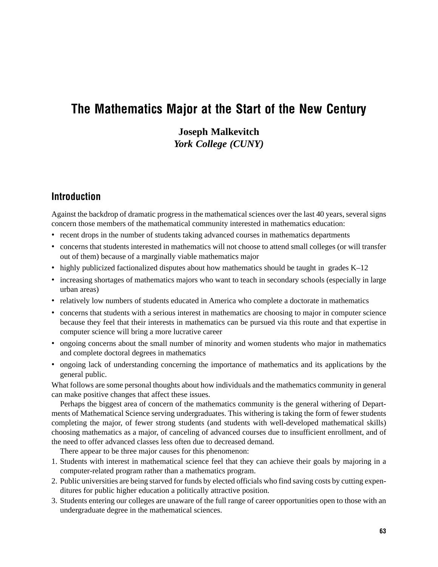# The Mathematics Major at the Start of the New Century

**Joseph Malkevitch** *York College (CUNY)*

# Introduction

Against the backdrop of dramatic progress in the mathematical sciences over the last 40 years, several signs concern those members of the mathematical community interested in mathematics education:

- recent drops in the number of students taking advanced courses in mathematics departments
- concerns that students interested in mathematics will not choose to attend small colleges (or will transfer out of them) because of a marginally viable mathematics major
- highly publicized factionalized disputes about how mathematics should be taught in grades K–12
- increasing shortages of mathematics majors who want to teach in secondary schools (especially in large urban areas)
- relatively low numbers of students educated in America who complete a doctorate in mathematics
- concerns that students with a serious interest in mathematics are choosing to major in computer science because they feel that their interests in mathematics can be pursued via this route and that expertise in computer science will bring a more lucrative career
- ongoing concerns about the small number of minority and women students who major in mathematics and complete doctoral degrees in mathematics
- ongoing lack of understanding concerning the importance of mathematics and its applications by the general public.

What follows are some personal thoughts about how individuals and the mathematics community in general can make positive changes that affect these issues.

Perhaps the biggest area of concern of the mathematics community is the general withering of Departments of Mathematical Science serving undergraduates. This withering is taking the form of fewer students completing the major, of fewer strong students (and students with well-developed mathematical skills) choosing mathematics as a major, of canceling of advanced courses due to insufficient enrollment, and of the need to offer advanced classes less often due to decreased demand.

There appear to be three major causes for this phenomenon:

- 1. Students with interest in mathematical science feel that they can achieve their goals by majoring in a computer-related program rather than a mathematics program.
- 2. Public universities are being starved for funds by elected officials who find saving costs by cutting expenditures for public higher education a politically attractive position.
- 3. Students entering our colleges are unaware of the full range of career opportunities open to those with an undergraduate degree in the mathematical sciences.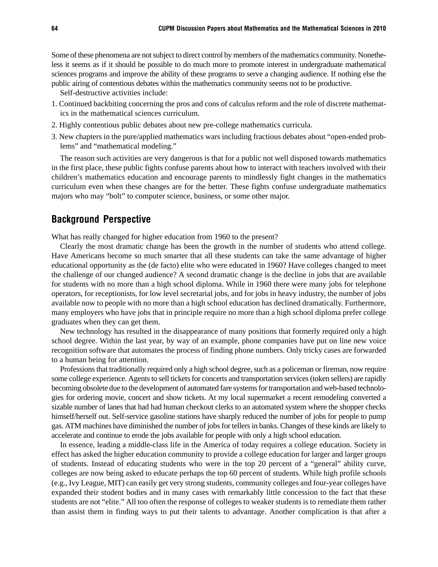Some of these phenomena are not subject to direct control by members of the mathematics community. Nonetheless it seems as if it should be possible to do much more to promote interest in undergraduate mathematical sciences programs and improve the ability of these programs to serve a changing audience. If nothing else the public airing of contentious debates within the mathematics community seems not to be productive.

Self-destructive activities include:

- 1. Continued backbiting concerning the pros and cons of calculus reform and the role of discrete mathematics in the mathematical sciences curriculum.
- 2. Highly contentious public debates about new pre-college mathematics curricula.
- 3. New chapters in the pure/applied mathematics wars including fractious debates about "open-ended problems" and "mathematical modeling."

The reason such activities are very dangerous is that for a public not well disposed towards mathematics in the first place, these public fights confuse parents about how to interact with teachers involved with their children's mathematics education and encourage parents to mindlessly fight changes in the mathematics curriculum even when these changes are for the better. These fights confuse undergraduate mathematics majors who may "bolt" to computer science, business, or some other major.

# Background Perspective

What has really changed for higher education from 1960 to the present?

Clearly the most dramatic change has been the growth in the number of students who attend college. Have Americans become so much smarter that all these students can take the same advantage of higher educational opportunity as the (de facto) elite who were educated in 1960? Have colleges changed to meet the challenge of our changed audience? A second dramatic change is the decline in jobs that are available for students with no more than a high school diploma. While in 1960 there were many jobs for telephone operators, for receptionists, for low level secretarial jobs, and for jobs in heavy industry, the number of jobs available now to people with no more than a high school education has declined dramatically. Furthermore, many employers who have jobs that in principle require no more than a high school diploma prefer college graduates when they can get them.

New technology has resulted in the disappearance of many positions that formerly required only a high school degree. Within the last year, by way of an example, phone companies have put on line new voice recognition software that automates the process of finding phone numbers. Only tricky cases are forwarded to a human being for attention.

Professions that traditionally required only a high school degree, such as a policeman or fireman, now require some college experience. Agents to sell tickets for concerts and transportation services (token sellers) are rapidly becoming obsolete due to the development of automated fare systems for transportation and web-based technologies for ordering movie, concert and show tickets. At my local supermarket a recent remodeling converted a sizable number of lanes that had had human checkout clerks to an automated system where the shopper checks himself/herself out. Self-service gasoline stations have sharply reduced the number of jobs for people to pump gas. ATM machines have diminished the number of jobs for tellers in banks. Changes of these kinds are likely to accelerate and continue to erode the jobs available for people with only a high school education.

In essence, leading a middle-class life in the America of today requires a college education. Society in effect has asked the higher education community to provide a college education for larger and larger groups of students. Instead of educating students who were in the top 20 percent of a "general" ability curve, colleges are now being asked to educate perhaps the top 60 percent of students. While high profile schools (e.g., Ivy League, MIT) can easily get very strong students, community colleges and four-year colleges have expanded their student bodies and in many cases with remarkably little concession to the fact that these students are not "elite." All too often the response of colleges to weaker students is to remediate them rather than assist them in finding ways to put their talents to advantage. Another complication is that after a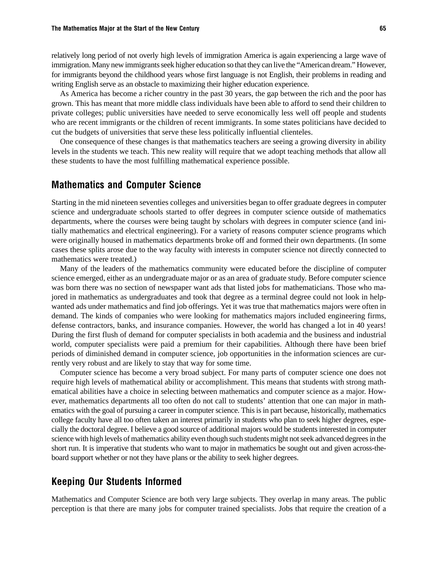relatively long period of not overly high levels of immigration America is again experiencing a large wave of immigration. Many new immigrants seek higher education so that they can live the "American dream." However, for immigrants beyond the childhood years whose first language is not English, their problems in reading and writing English serve as an obstacle to maximizing their higher education experience.

As America has become a richer country in the past 30 years, the gap between the rich and the poor has grown. This has meant that more middle class individuals have been able to afford to send their children to private colleges; public universities have needed to serve economically less well off people and students who are recent immigrants or the children of recent immigrants. In some states politicians have decided to cut the budgets of universities that serve these less politically influential clienteles.

One consequence of these changes is that mathematics teachers are seeing a growing diversity in ability levels in the students we teach. This new reality will require that we adopt teaching methods that allow all these students to have the most fulfilling mathematical experience possible.

## Mathematics and Computer Science

Starting in the mid nineteen seventies colleges and universities began to offer graduate degrees in computer science and undergraduate schools started to offer degrees in computer science outside of mathematics departments, where the courses were being taught by scholars with degrees in computer science (and initially mathematics and electrical engineering). For a variety of reasons computer science programs which were originally housed in mathematics departments broke off and formed their own departments. (In some cases these splits arose due to the way faculty with interests in computer science not directly connected to mathematics were treated.)

Many of the leaders of the mathematics community were educated before the discipline of computer science emerged, either as an undergraduate major or as an area of graduate study. Before computer science was born there was no section of newspaper want ads that listed jobs for mathematicians. Those who majored in mathematics as undergraduates and took that degree as a terminal degree could not look in helpwanted ads under mathematics and find job offerings. Yet it was true that mathematics majors were often in demand. The kinds of companies who were looking for mathematics majors included engineering firms, defense contractors, banks, and insurance companies. However, the world has changed a lot in 40 years! During the first flush of demand for computer specialists in both academia and the business and industrial world, computer specialists were paid a premium for their capabilities. Although there have been brief periods of diminished demand in computer science, job opportunities in the information sciences are currently very robust and are likely to stay that way for some time.

Computer science has become a very broad subject. For many parts of computer science one does not require high levels of mathematical ability or accomplishment. This means that students with strong mathematical abilities have a choice in selecting between mathematics and computer science as a major. However, mathematics departments all too often do not call to students' attention that one can major in mathematics with the goal of pursuing a career in computer science. This is in part because, historically, mathematics college faculty have all too often taken an interest primarily in students who plan to seek higher degrees, especially the doctoral degree. I believe a good source of additional majors would be students interested in computer science with high levels of mathematics ability even though such students might not seek advanced degrees in the short run. It is imperative that students who want to major in mathematics be sought out and given across-theboard support whether or not they have plans or the ability to seek higher degrees.

# Keeping Our Students Informed

Mathematics and Computer Science are both very large subjects. They overlap in many areas. The public perception is that there are many jobs for computer trained specialists. Jobs that require the creation of a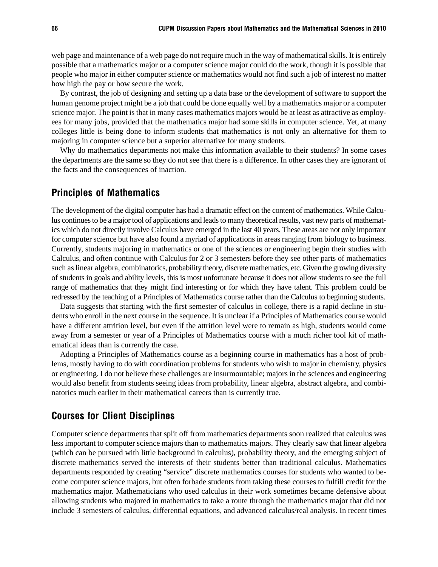web page and maintenance of a web page do not require much in the way of mathematical skills. It is entirely possible that a mathematics major or a computer science major could do the work, though it is possible that people who major in either computer science or mathematics would not find such a job of interest no matter how high the pay or how secure the work.

By contrast, the job of designing and setting up a data base or the development of software to support the human genome project might be a job that could be done equally well by a mathematics major or a computer science major. The point is that in many cases mathematics majors would be at least as attractive as employees for many jobs, provided that the mathematics major had some skills in computer science. Yet, at many colleges little is being done to inform students that mathematics is not only an alternative for them to majoring in computer science but a superior alternative for many students.

Why do mathematics departments not make this information available to their students? In some cases the departments are the same so they do not see that there is a difference. In other cases they are ignorant of the facts and the consequences of inaction.

# Principles of Mathematics

The development of the digital computer has had a dramatic effect on the content of mathematics. While Calculus continues to be a major tool of applications and leads to many theoretical results, vast new parts of mathematics which do not directly involve Calculus have emerged in the last 40 years. These areas are not only important for computer science but have also found a myriad of applications in areas ranging from biology to business. Currently, students majoring in mathematics or one of the sciences or engineering begin their studies with Calculus, and often continue with Calculus for 2 or 3 semesters before they see other parts of mathematics such as linear algebra, combinatorics, probability theory, discrete mathematics, etc. Given the growing diversity of students in goals and ability levels, this is most unfortunate because it does not allow students to see the full range of mathematics that they might find interesting or for which they have talent. This problem could be redressed by the teaching of a Principles of Mathematics course rather than the Calculus to beginning students.

Data suggests that starting with the first semester of calculus in college, there is a rapid decline in students who enroll in the next course in the sequence. It is unclear if a Principles of Mathematics course would have a different attrition level, but even if the attrition level were to remain as high, students would come away from a semester or year of a Principles of Mathematics course with a much richer tool kit of mathematical ideas than is currently the case.

Adopting a Principles of Mathematics course as a beginning course in mathematics has a host of problems, mostly having to do with coordination problems for students who wish to major in chemistry, physics or engineering. I do not believe these challenges are insurmountable; majors in the sciences and engineering would also benefit from students seeing ideas from probability, linear algebra, abstract algebra, and combinatorics much earlier in their mathematical careers than is currently true.

# Courses for Client Disciplines

Computer science departments that split off from mathematics departments soon realized that calculus was less important to computer science majors than to mathematics majors. They clearly saw that linear algebra (which can be pursued with little background in calculus), probability theory, and the emerging subject of discrete mathematics served the interests of their students better than traditional calculus. Mathematics departments responded by creating "service" discrete mathematics courses for students who wanted to become computer science majors, but often forbade students from taking these courses to fulfill credit for the mathematics major. Mathematicians who used calculus in their work sometimes became defensive about allowing students who majored in mathematics to take a route through the mathematics major that did not include 3 semesters of calculus, differential equations, and advanced calculus/real analysis. In recent times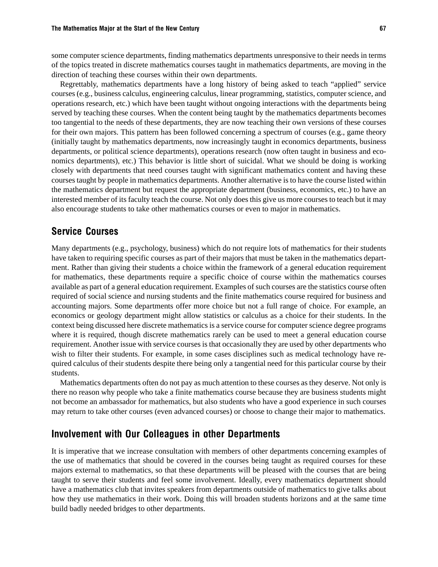some computer science departments, finding mathematics departments unresponsive to their needs in terms of the topics treated in discrete mathematics courses taught in mathematics departments, are moving in the direction of teaching these courses within their own departments.

Regrettably, mathematics departments have a long history of being asked to teach "applied" service courses (e.g., business calculus, engineering calculus, linear programming, statistics, computer science, and operations research, etc.) which have been taught without ongoing interactions with the departments being served by teaching these courses. When the content being taught by the mathematics departments becomes too tangential to the needs of these departments, they are now teaching their own versions of these courses for their own majors. This pattern has been followed concerning a spectrum of courses (e.g., game theory (initially taught by mathematics departments, now increasingly taught in economics departments, business departments, or political science departments), operations research (now often taught in business and economics departments), etc.) This behavior is little short of suicidal. What we should be doing is working closely with departments that need courses taught with significant mathematics content and having these courses taught by people in mathematics departments. Another alternative is to have the course listed within the mathematics department but request the appropriate department (business, economics, etc.) to have an interested member of its faculty teach the course. Not only does this give us more courses to teach but it may also encourage students to take other mathematics courses or even to major in mathematics.

#### Service Courses

Many departments (e.g., psychology, business) which do not require lots of mathematics for their students have taken to requiring specific courses as part of their majors that must be taken in the mathematics department. Rather than giving their students a choice within the framework of a general education requirement for mathematics, these departments require a specific choice of course within the mathematics courses available as part of a general education requirement. Examples of such courses are the statistics course often required of social science and nursing students and the finite mathematics course required for business and accounting majors. Some departments offer more choice but not a full range of choice. For example, an economics or geology department might allow statistics or calculus as a choice for their students. In the context being discussed here discrete mathematics is a service course for computer science degree programs where it is required, though discrete mathematics rarely can be used to meet a general education course requirement. Another issue with service courses is that occasionally they are used by other departments who wish to filter their students. For example, in some cases disciplines such as medical technology have required calculus of their students despite there being only a tangential need for this particular course by their students.

Mathematics departments often do not pay as much attention to these courses as they deserve. Not only is there no reason why people who take a finite mathematics course because they are business students might not become an ambassador for mathematics, but also students who have a good experience in such courses may return to take other courses (even advanced courses) or choose to change their major to mathematics.

#### Involvement with Our Colleagues in other Departments

It is imperative that we increase consultation with members of other departments concerning examples of the use of mathematics that should be covered in the courses being taught as required courses for these majors external to mathematics, so that these departments will be pleased with the courses that are being taught to serve their students and feel some involvement. Ideally, every mathematics department should have a mathematics club that invites speakers from departments outside of mathematics to give talks about how they use mathematics in their work. Doing this will broaden students horizons and at the same time build badly needed bridges to other departments.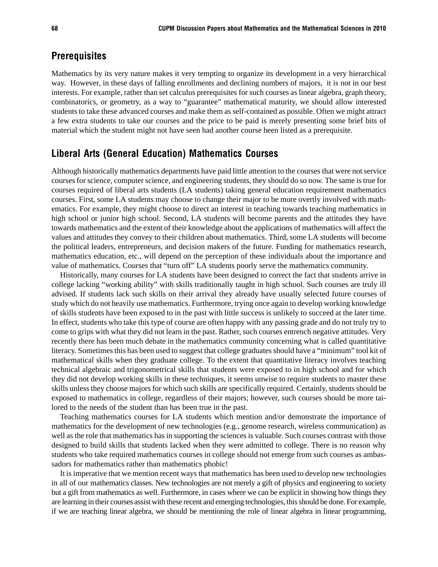## **Prerequisites**

Mathematics by its very nature makes it very tempting to organize its development in a very hierarchical way. However, in these days of falling enrollments and declining numbers of majors, it is not in our best interests. For example, rather than set calculus prerequisites for such courses as linear algebra, graph theory, combinatorics, or geometry, as a way to "guarantee" mathematical maturity, we should allow interested students to take these advanced courses and make them as self-contained as possible. Often we might attract a few extra students to take our courses and the price to be paid is merely presenting some brief bits of material which the student might not have seen had another course been listed as a prerequisite.

## Liberal Arts (General Education) Mathematics Courses

Although historically mathematics departments have paid little attention to the courses that were not service courses for science, computer science, and engineering students, they should do so now. The same is true for courses required of liberal arts students (LA students) taking general education requirement mathematics courses. First, some LA students may choose to change their major to be more overtly involved with mathematics. For example, they might choose to direct an interest in teaching towards teaching mathematics in high school or junior high school. Second, LA students will become parents and the attitudes they have towards mathematics and the extent of their knowledge about the applications of mathematics will affect the values and attitudes they convey to their children about mathematics. Third, some LA students will become the political leaders, entrepreneurs, and decision makers of the future. Funding for mathematics research, mathematics education, etc., will depend on the perception of these individuals about the importance and value of mathematics. Courses that "turn off" LA students poorly serve the mathematics community.

Historically, many courses for LA students have been designed to correct the fact that students arrive in college lacking "working ability" with skills traditionally taught in high school. Such courses are truly ill advised. If students lack such skills on their arrival they already have usually selected future courses of study which do not heavily use mathematics. Furthermore, trying once again to develop working knowledge of skills students have been exposed to in the past with little success is unlikely to succeed at the later time. In effect, students who take this type of course are often happy with any passing grade and do not truly try to come to grips with what they did not learn in the past. Rather, such courses entrench negative attitudes. Very recently there has been much debate in the mathematics community concerning what is called quantitative literacy. Sometimes this has been used to suggest that college graduates should have a "minimum" tool kit of mathematical skills when they graduate college. To the extent that quantitative literacy involves teaching technical algebraic and trigonometrical skills that students were exposed to in high school and for which they did not develop working skills in these techniques, it seems unwise to require students to master these skills unless they choose majors for which such skills are specifically required. Certainly, students should be exposed to mathematics in college, regardless of their majors; however, such courses should be more tailored to the needs of the student than has been true in the past.

Teaching mathematics courses for LA students which mention and/or demonstrate the importance of mathematics for the development of new technologies (e.g., genome research, wireless communication) as well as the role that mathematics has in supporting the sciences is valuable. Such courses contrast with those designed to build skills that students lacked when they were admitted to college. There is no reason why students who take required mathematics courses in college should not emerge from such courses as ambassadors for mathematics rather than mathematics phobic!

It is imperative that we mention recent ways that mathematics has been used to develop new technologies in all of our mathematics classes. New technologies are not merely a gift of physics and engineering to society but a gift from mathematics as well. Furthermore, in cases where we can be explicit in showing how things they are learning in their courses assist with these recent and emerging technologies, this should be done. For example, if we are teaching linear algebra, we should be mentioning the role of linear algebra in linear programming,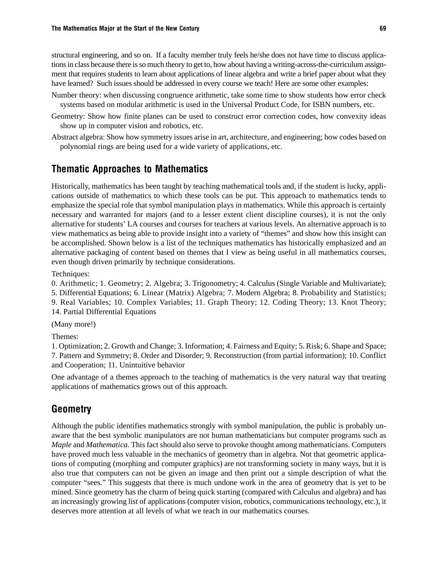structural engineering, and so on. If a faculty member truly feels he/she does not have time to discuss applications in class because there is so much theory to get to, how about having a writing-across-the-curriculum assignment that requires students to learn about applications of linear algebra and write a brief paper about what they have learned? Such issues should be addressed in every course we teach! Here are some other examples:

- Number theory: when discussing congruence arithmetic, take some time to show students how error check systems based on modular arithmetic is used in the Universal Product Code, for ISBN numbers, etc.
- Geometry: Show how finite planes can be used to construct error correction codes, how convexity ideas show up in computer vision and robotics, etc.
- Abstract algebra: Show how symmetry issues arise in art, architecture, and engineering; how codes based on polynomial rings are being used for a wide variety of applications, etc.

## Thematic Approaches to Mathematics

Historically, mathematics has been taught by teaching mathematical tools and, if the student is lucky, applications outside of mathematics to which these tools can be put. This approach to mathematics tends to emphasize the special role that symbol manipulation plays in mathematics. While this approach is certainly necessary and warranted for majors (and to a lesser extent client discipline courses), it is not the only alternative for students' LA courses and courses for teachers at various levels. An alternative approach is to view mathematics as being able to provide insight into a variety of "themes" and show how this insight can be accomplished. Shown below is a list of the techniques mathematics has historically emphasized and an alternative packaging of content based on themes that I view as being useful in all mathematics courses, even though driven primarily by technique considerations.

Techniques:

0. Arithmetic; 1. Geometry; 2. Algebra; 3. Trigonometry; 4. Calculus (Single Variable and Multivariate);

5. Differential Equations; 6. Linear (Matrix) Algebra; 7. Modern Algebra; 8. Probability and Statistics; 9. Real Variables; 10. Complex Variables; 11. Graph Theory; 12. Coding Theory; 13. Knot Theory; 14. Partial Differential Equations

(Many more!)

Themes:

1. Optimization; 2. Growth and Change; 3. Information; 4. Fairness and Equity; 5. Risk; 6. Shape and Space; 7. Pattern and Symmetry; 8. Order and Disorder; 9. Reconstruction (from partial information); 10. Conflict and Cooperation; 11. Unintuitive behavior

One advantage of a themes approach to the teaching of mathematics is the very natural way that treating applications of mathematics grows out of this approach.

### Geometry

Although the public identifies mathematics strongly with symbol manipulation, the public is probably unaware that the best symbolic manipulators are not human mathematicians but computer programs such as *Maple* and *Mathematica.* This fact should also serve to provoke thought among mathematicians. Computers have proved much less valuable in the mechanics of geometry than in algebra. Not that geometric applications of computing (morphing and computer graphics) are not transforming society in many ways, but it is also true that computers can not be given an image and then print out a simple description of what the computer "sees." This suggests that there is much undone work in the area of geometry that is yet to be mined. Since geometry has the charm of being quick starting (compared with Calculus and algebra) and has an increasingly growing list of applications (computer vision, robotics, communications technology, etc.), it deserves more attention at all levels of what we teach in our mathematics courses.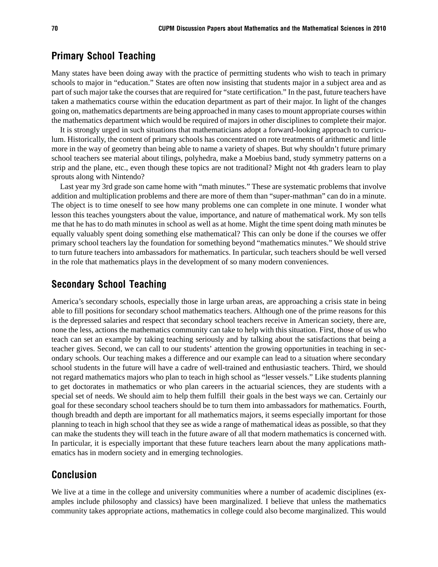#### Primary School Teaching

Many states have been doing away with the practice of permitting students who wish to teach in primary schools to major in "education." States are often now insisting that students major in a subject area and as part of such major take the courses that are required for "state certification." In the past, future teachers have taken a mathematics course within the education department as part of their major. In light of the changes going on, mathematics departments are being approached in many cases to mount appropriate courses within the mathematics department which would be required of majors in other disciplines to complete their major.

It is strongly urged in such situations that mathematicians adopt a forward-looking approach to curriculum. Historically, the content of primary schools has concentrated on rote treatments of arithmetic and little more in the way of geometry than being able to name a variety of shapes. But why shouldn't future primary school teachers see material about tilings, polyhedra, make a Moebius band, study symmetry patterns on a strip and the plane, etc., even though these topics are not traditional? Might not 4th graders learn to play sprouts along with Nintendo?

Last year my 3rd grade son came home with "math minutes." These are systematic problems that involve addition and multiplication problems and there are more of them than "super-mathman" can do in a minute. The object is to time oneself to see how many problems one can complete in one minute. I wonder what lesson this teaches youngsters about the value, importance, and nature of mathematical work. My son tells me that he has to do math minutes in school as well as at home. Might the time spent doing math minutes be equally valuably spent doing something else mathematical? This can only be done if the courses we offer primary school teachers lay the foundation for something beyond "mathematics minutes." We should strive to turn future teachers into ambassadors for mathematics. In particular, such teachers should be well versed in the role that mathematics plays in the development of so many modern conveniences.

#### Secondary School Teaching

America's secondary schools, especially those in large urban areas, are approaching a crisis state in being able to fill positions for secondary school mathematics teachers. Although one of the prime reasons for this is the depressed salaries and respect that secondary school teachers receive in American society, there are, none the less, actions the mathematics community can take to help with this situation. First, those of us who teach can set an example by taking teaching seriously and by talking about the satisfactions that being a teacher gives. Second, we can call to our students' attention the growing opportunities in teaching in secondary schools. Our teaching makes a difference and our example can lead to a situation where secondary school students in the future will have a cadre of well-trained and enthusiastic teachers. Third, we should not regard mathematics majors who plan to teach in high school as "lesser vessels." Like students planning to get doctorates in mathematics or who plan careers in the actuarial sciences, they are students with a special set of needs. We should aim to help them fulfill their goals in the best ways we can. Certainly our goal for these secondary school teachers should be to turn them into ambassadors for mathematics. Fourth, though breadth and depth are important for all mathematics majors, it seems especially important for those planning to teach in high school that they see as wide a range of mathematical ideas as possible, so that they can make the students they will teach in the future aware of all that modern mathematics is concerned with. In particular, it is especially important that these future teachers learn about the many applications mathematics has in modern society and in emerging technologies.

## Conclusion

We live at a time in the college and university communities where a number of academic disciplines (examples include philosophy and classics) have been marginalized. I believe that unless the mathematics community takes appropriate actions, mathematics in college could also become marginalized. This would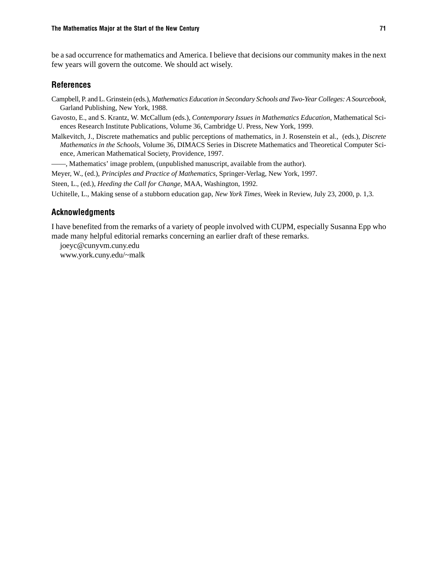be a sad occurrence for mathematics and America. I believe that decisions our community makes in the next few years will govern the outcome. We should act wisely.

#### **References**

- Campbell, P. and L. Grinstein (eds.), *Mathematics Education in Secondary Schools and Two-Year Colleges: A Sourcebook,* Garland Publishing, New York, 1988.
- Gavosto, E., and S. Krantz, W. McCallum (eds.), *Contemporary Issues in Mathematics Education*, Mathematical Sciences Research Institute Publications, Volume 36, Cambridge U. Press, New York, 1999.
- Malkevitch, J., Discrete mathematics and public perceptions of mathematics, in J. Rosenstein et al., (eds.), *Discrete Mathematics in the Schools,* Volume 36, DIMACS Series in Discrete Mathematics and Theoretical Computer Science, American Mathematical Society, Providence, 1997.
- ——, Mathematics' image problem, (unpublished manuscript, available from the author).
- Meyer, W., (ed.), *Principles and Practice of Mathematics*, Springer-Verlag, New York, 1997.

Steen, L., (ed.), *Heeding the Call for Change*, MAA, Washington, 1992.

Uchitelle, L., Making sense of a stubborn education gap, *New York Times*, Week in Review, July 23, 2000, p. 1,3.

#### Acknowledgments

I have benefited from the remarks of a variety of people involved with CUPM, especially Susanna Epp who made many helpful editorial remarks concerning an earlier draft of these remarks.

joeyc@cunyvm.cuny.edu www.york.cuny.edu/~malk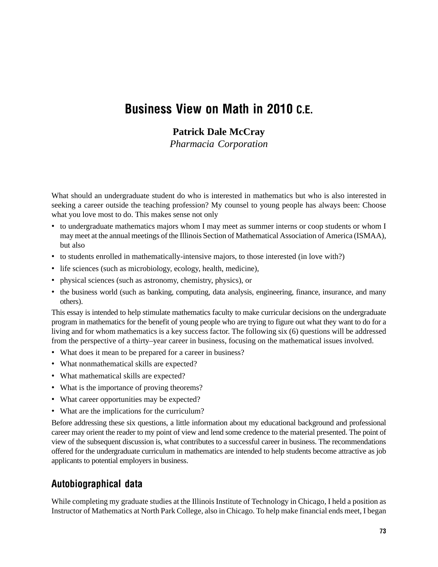# Business View on Math in 2010 C.E.

## **Patrick Dale McCray**

*Pharmacia Corporation*

What should an undergraduate student do who is interested in mathematics but who is also interested in seeking a career outside the teaching profession? My counsel to young people has always been: Choose what you love most to do. This makes sense not only

- to undergraduate mathematics majors whom I may meet as summer interns or coop students or whom I may meet at the annual meetings of the Illinois Section of Mathematical Association of America (ISMAA), but also
- to students enrolled in mathematically-intensive majors, to those interested (in love with?)
- life sciences (such as microbiology, ecology, health, medicine),
- physical sciences (such as astronomy, chemistry, physics), or
- the business world (such as banking, computing, data analysis, engineering, finance, insurance, and many others).

This essay is intended to help stimulate mathematics faculty to make curricular decisions on the undergraduate program in mathematics for the benefit of young people who are trying to figure out what they want to do for a living and for whom mathematics is a key success factor. The following six (6) questions will be addressed from the perspective of a thirty–year career in business, focusing on the mathematical issues involved.

- What does it mean to be prepared for a career in business?
- What nonmathematical skills are expected?
- What mathematical skills are expected?
- What is the importance of proving theorems?
- What career opportunities may be expected?
- What are the implications for the curriculum?

Before addressing these six questions, a little information about my educational background and professional career may orient the reader to my point of view and lend some credence to the material presented. The point of view of the subsequent discussion is, what contributes to a successful career in business. The recommendations offered for the undergraduate curriculum in mathematics are intended to help students become attractive as job applicants to potential employers in business.

## Autobiographical data

While completing my graduate studies at the Illinois Institute of Technology in Chicago, I held a position as Instructor of Mathematics at North Park College, also in Chicago. To help make financial ends meet, I began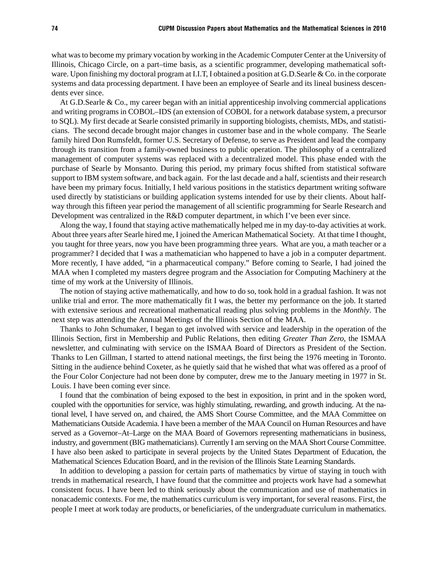what was to become my primary vocation by working in the Academic Computer Center at the University of Illinois, Chicago Circle, on a part–time basis, as a scientific programmer, developing mathematical software. Upon finishing my doctoral program at I.I.T, I obtained a position at G.D.Searle & Co. in the corporate systems and data processing department. I have been an employee of Searle and its lineal business descendents ever since.

At G.D.Searle & Co., my career began with an initial apprenticeship involving commercial applications and writing programs in COBOL–IDS (an extension of COBOL for a network database system, a precursor to SQL). My first decade at Searle consisted primarily in supporting biologists, chemists, MDs, and statisticians. The second decade brought major changes in customer base and in the whole company. The Searle family hired Don Rumsfeldt, former U.S. Secretary of Defense, to serve as President and lead the company through its transition from a family-owned business to public operation. The philosophy of a centralized management of computer systems was replaced with a decentralized model. This phase ended with the purchase of Searle by Monsanto. During this period, my primary focus shifted from statistical software support to IBM system software, and back again. For the last decade and a half, scientists and their research have been my primary focus. Initially, I held various positions in the statistics department writing software used directly by statisticians or building application systems intended for use by their clients. About halfway through this fifteen year period the management of all scientific programming for Searle Research and Development was centralized in the R&D computer department, in which I've been ever since.

Along the way, I found that staying active mathematically helped me in my day-to-day activities at work. About three years after Searle hired me, I joined the American Mathematical Society. At that time I thought, you taught for three years, now you have been programming three years. What are you, a math teacher or a programmer? I decided that I was a mathematician who happened to have a job in a computer department. More recently, I have added, "in a pharmaceutical company." Before coming to Searle, I had joined the MAA when I completed my masters degree program and the Association for Computing Machinery at the time of my work at the University of Illinois.

The notion of staying active mathematically, and how to do so, took hold in a gradual fashion. It was not unlike trial and error. The more mathematically fit I was, the better my performance on the job. It started with extensive serious and recreational mathematical reading plus solving problems in the *Monthly*. The next step was attending the Annual Meetings of the Illinois Section of the MAA.

Thanks to John Schumaker, I began to get involved with service and leadership in the operation of the Illinois Section, first in Membership and Public Relations, then editing *Greater Than Zero,* the ISMAA newsletter, and culminating with service on the ISMAA Board of Directors as President of the Section. Thanks to Len Gillman, I started to attend national meetings, the first being the 1976 meeting in Toronto. Sitting in the audience behind Coxeter, as he quietly said that he wished that what was offered as a proof of the Four Color Conjecture had not been done by computer, drew me to the January meeting in 1977 in St. Louis. I have been coming ever since.

I found that the combination of being exposed to the best in exposition, in print and in the spoken word, coupled with the opportunities for service, was highly stimulating, rewarding, and growth inducing. At the national level, I have served on, and chaired, the AMS Short Course Committee, and the MAA Committee on Mathematicians Outside Academia. I have been a member of the MAA Council on Human Resources and have served as a Governor–At–Large on the MAA Board of Governors representing mathematicians in business, industry, and government (BIG mathematicians). Currently I am serving on the MAA Short Course Committee. I have also been asked to participate in several projects by the United States Department of Education, the Mathematical Sciences Education Board, and in the revision of the Illinois State Learning Standards.

In addition to developing a passion for certain parts of mathematics by virtue of staying in touch with trends in mathematical research, I have found that the committee and projects work have had a somewhat consistent focus. I have been led to think seriously about the communication and use of mathematics in nonacademic contexts. For me, the mathematics curriculum is very important, for several reasons. First, the people I meet at work today are products, or beneficiaries, of the undergraduate curriculum in mathematics.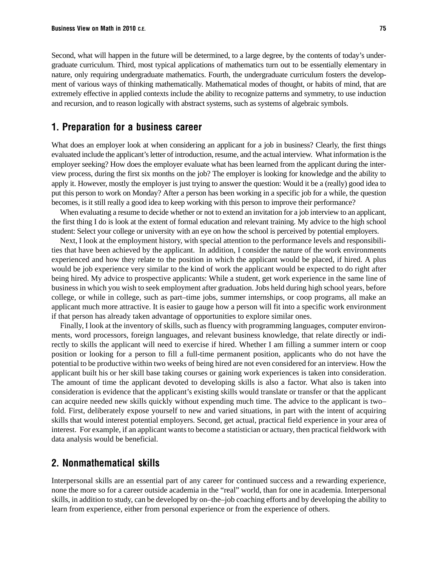Second, what will happen in the future will be determined, to a large degree, by the contents of today's undergraduate curriculum. Third, most typical applications of mathematics turn out to be essentially elementary in nature, only requiring undergraduate mathematics. Fourth, the undergraduate curriculum fosters the development of various ways of thinking mathematically. Mathematical modes of thought, or habits of mind, that are extremely effective in applied contexts include the ability to recognize patterns and symmetry, to use induction and recursion, and to reason logically with abstract systems, such as systems of algebraic symbols.

#### 1. Preparation for a business career

What does an employer look at when considering an applicant for a job in business? Clearly, the first things evaluated include the applicant's letter of introduction, resume, and the actual interview. What information is the employer seeking? How does the employer evaluate what has been learned from the applicant during the interview process, during the first six months on the job? The employer is looking for knowledge and the ability to apply it. However, mostly the employer is just trying to answer the question: Would it be a (really) good idea to put this person to work on Monday? After a person has been working in a specific job for a while, the question becomes, is it still really a good idea to keep working with this person to improve their performance?

When evaluating a resume to decide whether or not to extend an invitation for a job interview to an applicant, the first thing I do is look at the extent of formal education and relevant training. My advice to the high school student: Select your college or university with an eye on how the school is perceived by potential employers.

Next, I look at the employment history, with special attention to the performance levels and responsibilities that have been achieved by the applicant. In addition, I consider the nature of the work environments experienced and how they relate to the position in which the applicant would be placed, if hired. A plus would be job experience very similar to the kind of work the applicant would be expected to do right after being hired. My advice to prospective applicants: While a student, get work experience in the same line of business in which you wish to seek employment after graduation. Jobs held during high school years, before college, or while in college, such as part–time jobs, summer internships, or coop programs, all make an applicant much more attractive. It is easier to gauge how a person will fit into a specific work environment if that person has already taken advantage of opportunities to explore similar ones.

Finally, I look at the inventory of skills, such as fluency with programming languages, computer environments, word processors, foreign languages, and relevant business knowledge, that relate directly or indirectly to skills the applicant will need to exercise if hired. Whether I am filling a summer intern or coop position or looking for a person to fill a full-time permanent position, applicants who do not have the potential to be productive within two weeks of being hired are not even considered for an interview. How the applicant built his or her skill base taking courses or gaining work experiences is taken into consideration. The amount of time the applicant devoted to developing skills is also a factor. What also is taken into consideration is evidence that the applicant's existing skills would translate or transfer or that the applicant can acquire needed new skills quickly without expending much time. The advice to the applicant is two– fold. First, deliberately expose yourself to new and varied situations, in part with the intent of acquiring skills that would interest potential employers. Second, get actual, practical field experience in your area of interest. For example, if an applicant wants to become a statistician or actuary, then practical fieldwork with data analysis would be beneficial.

#### 2. Nonmathematical skills

Interpersonal skills are an essential part of any career for continued success and a rewarding experience, none the more so for a career outside academia in the "real" world, than for one in academia. Interpersonal skills, in addition to study, can be developed by on–the–job coaching efforts and by developing the ability to learn from experience, either from personal experience or from the experience of others.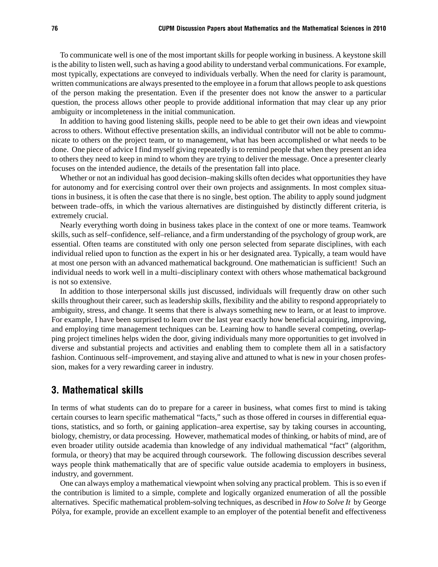To communicate well is one of the most important skills for people working in business. A keystone skill is the ability to listen well, such as having a good ability to understand verbal communications. For example, most typically, expectations are conveyed to individuals verbally. When the need for clarity is paramount, written communications are always presented to the employee in a forum that allows people to ask questions of the person making the presentation. Even if the presenter does not know the answer to a particular question, the process allows other people to provide additional information that may clear up any prior ambiguity or incompleteness in the initial communication.

In addition to having good listening skills, people need to be able to get their own ideas and viewpoint across to others. Without effective presentation skills, an individual contributor will not be able to communicate to others on the project team, or to management, what has been accomplished or what needs to be done. One piece of advice I find myself giving repeatedly is to remind people that when they present an idea to others they need to keep in mind to whom they are trying to deliver the message. Once a presenter clearly focuses on the intended audience, the details of the presentation fall into place.

Whether or not an individual has good decision–making skills often decides what opportunities they have for autonomy and for exercising control over their own projects and assignments. In most complex situations in business, it is often the case that there is no single, best option. The ability to apply sound judgment between trade–offs, in which the various alternatives are distinguished by distinctly different criteria, is extremely crucial.

Nearly everything worth doing in business takes place in the context of one or more teams. Teamwork skills, such as self–confidence, self–reliance, and a firm understanding of the psychology of group work, are essential. Often teams are constituted with only one person selected from separate disciplines, with each individual relied upon to function as the expert in his or her designated area. Typically, a team would have at most one person with an advanced mathematical background. One mathematician is sufficient! Such an individual needs to work well in a multi–disciplinary context with others whose mathematical background is not so extensive.

In addition to those interpersonal skills just discussed, individuals will frequently draw on other such skills throughout their career, such as leadership skills, flexibility and the ability to respond appropriately to ambiguity, stress, and change. It seems that there is always something new to learn, or at least to improve. For example, I have been surprised to learn over the last year exactly how beneficial acquiring, improving, and employing time management techniques can be. Learning how to handle several competing, overlapping project timelines helps widen the door, giving individuals many more opportunities to get involved in diverse and substantial projects and activities and enabling them to complete them all in a satisfactory fashion. Continuous self–improvement, and staying alive and attuned to what is new in your chosen profession, makes for a very rewarding career in industry.

#### 3. Mathematical skills

In terms of what students can do to prepare for a career in business, what comes first to mind is taking certain courses to learn specific mathematical "facts," such as those offered in courses in differential equations, statistics, and so forth, or gaining application–area expertise, say by taking courses in accounting, biology, chemistry, or data processing. However, mathematical modes of thinking, or habits of mind, are of even broader utility outside academia than knowledge of any individual mathematical "fact" (algorithm, formula, or theory) that may be acquired through coursework. The following discussion describes several ways people think mathematically that are of specific value outside academia to employers in business, industry, and government.

One can always employ a mathematical viewpoint when solving any practical problem. This is so even if the contribution is limited to a simple, complete and logically organized enumeration of all the possible alternatives. Specific mathematical problem-solving techniques, as described in *How to Solve It* by George Pólya, for example, provide an excellent example to an employer of the potential benefit and effectiveness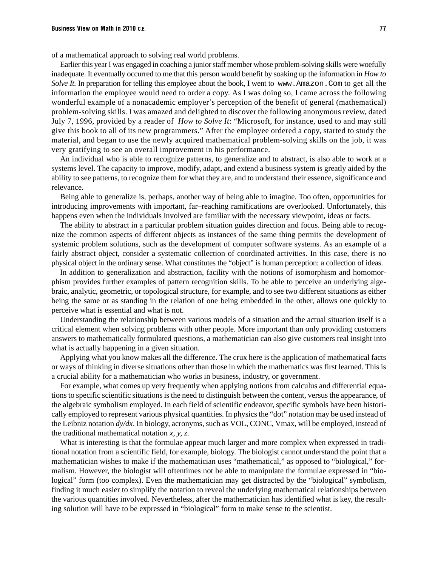of a mathematical approach to solving real world problems.

Earlier this year I was engaged in coaching a junior staff member whose problem-solving skills were woefully inadequate. It eventually occurred to me that this person would benefit by soaking up the information in *How to Solve It.* In preparation for telling this employee about the book, I went to www.Amazon.Com to get all the information the employee would need to order a copy. As I was doing so, I came across the following wonderful example of a nonacademic employer's perception of the benefit of general (mathematical) problem-solving skills. I was amazed and delighted to discover the following anonymous review, dated July 7, 1996, provided by a reader of *How to Solve It*: "Microsoft, for instance, used to and may still give this book to all of its new programmers." After the employee ordered a copy, started to study the material, and began to use the newly acquired mathematical problem-solving skills on the job, it was very gratifying to see an overall improvement in his performance.

An individual who is able to recognize patterns, to generalize and to abstract, is also able to work at a systems level. The capacity to improve, modify, adapt, and extend a business system is greatly aided by the ability to see patterns, to recognize them for what they are, and to understand their essence, significance and relevance.

Being able to generalize is, perhaps, another way of being able to imagine. Too often, opportunities for introducing improvements with important, far–reaching ramifications are overlooked. Unfortunately, this happens even when the individuals involved are familiar with the necessary viewpoint, ideas or facts.

The ability to abstract in a particular problem situation guides direction and focus. Being able to recognize the common aspects of different objects as instances of the same thing permits the development of systemic problem solutions, such as the development of computer software systems. As an example of a fairly abstract object, consider a systematic collection of coordinated activities. In this case, there is no physical object in the ordinary sense. What constitutes the "object" is human perception: a collection of ideas.

In addition to generalization and abstraction, facility with the notions of isomorphism and homomorphism provides further examples of pattern recognition skills. To be able to perceive an underlying algebraic, analytic, geometric, or topological structure, for example, and to see two different situations as either being the same or as standing in the relation of one being embedded in the other, allows one quickly to perceive what is essential and what is not.

Understanding the relationship between various models of a situation and the actual situation itself is a critical element when solving problems with other people. More important than only providing customers answers to mathematically formulated questions, a mathematician can also give customers real insight into what is actually happening in a given situation.

Applying what you know makes all the difference. The crux here is the application of mathematical facts or ways of thinking in diverse situations other than those in which the mathematics was first learned. This is a crucial ability for a mathematician who works in business, industry, or government.

For example, what comes up very frequently when applying notions from calculus and differential equations to specific scientific situations is the need to distinguish between the content, versus the appearance, of the algebraic symbolism employed. In each field of scientific endeavor, specific symbols have been historically employed to represent various physical quantities. In physics the "dot" notation may be used instead of the Leibniz notation *dy/dx*. In biology, acronyms, such as VOL, CONC, Vmax, will be employed, instead of the traditional mathematical notation *x, y, z*.

What is interesting is that the formulae appear much larger and more complex when expressed in traditional notation from a scientific field, for example, biology. The biologist cannot understand the point that a mathematician wishes to make if the mathematician uses "mathematical," as opposed to "biological," formalism. However, the biologist will oftentimes not be able to manipulate the formulae expressed in "biological" form (too complex). Even the mathematician may get distracted by the "biological" symbolism, finding it much easier to simplify the notation to reveal the underlying mathematical relationships between the various quantities involved. Nevertheless, after the mathematician has identified what is key, the resulting solution will have to be expressed in "biological" form to make sense to the scientist.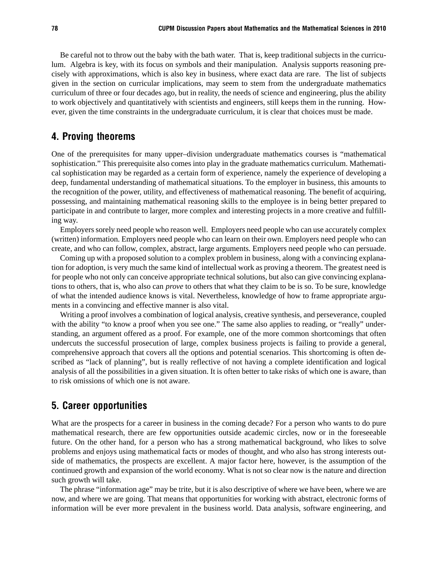Be careful not to throw out the baby with the bath water. That is, keep traditional subjects in the curriculum. Algebra is key, with its focus on symbols and their manipulation. Analysis supports reasoning precisely with approximations, which is also key in business, where exact data are rare. The list of subjects given in the section on curricular implications, may seem to stem from the undergraduate mathematics curriculum of three or four decades ago, but in reality, the needs of science and engineering, plus the ability to work objectively and quantitatively with scientists and engineers, still keeps them in the running. However, given the time constraints in the undergraduate curriculum, it is clear that choices must be made.

### 4. Proving theorems

One of the prerequisites for many upper–division undergraduate mathematics courses is "mathematical sophistication." This prerequisite also comes into play in the graduate mathematics curriculum. Mathematical sophistication may be regarded as a certain form of experience, namely the experience of developing a deep, fundamental understanding of mathematical situations. To the employer in business, this amounts to the recognition of the power, utility, and effectiveness of mathematical reasoning. The benefit of acquiring, possessing, and maintaining mathematical reasoning skills to the employee is in being better prepared to participate in and contribute to larger, more complex and interesting projects in a more creative and fulfilling way.

Employers sorely need people who reason well. Employers need people who can use accurately complex (written) information. Employers need people who can learn on their own. Employers need people who can create, and who can follow, complex, abstract, large arguments. Employers need people who can persuade.

Coming up with a proposed solution to a complex problem in business, along with a convincing explanation for adoption, is very much the same kind of intellectual work as proving a theorem. The greatest need is for people who not only can conceive appropriate technical solutions, but also can give convincing explanations to others, that is, who also can *prove* to others that what they claim to be is so. To be sure, knowledge of what the intended audience knows is vital. Nevertheless, knowledge of how to frame appropriate arguments in a convincing and effective manner is also vital.

Writing a proof involves a combination of logical analysis, creative synthesis, and perseverance, coupled with the ability "to know a proof when you see one." The same also applies to reading, or "really" understanding, an argument offered as a proof. For example, one of the more common shortcomings that often undercuts the successful prosecution of large, complex business projects is failing to provide a general, comprehensive approach that covers all the options and potential scenarios. This shortcoming is often described as "lack of planning", but is really reflective of not having a complete identification and logical analysis of all the possibilities in a given situation. It is often better to take risks of which one is aware, than to risk omissions of which one is not aware.

### 5. Career opportunities

What are the prospects for a career in business in the coming decade? For a person who wants to do pure mathematical research, there are few opportunities outside academic circles, now or in the foreseeable future. On the other hand, for a person who has a strong mathematical background, who likes to solve problems and enjoys using mathematical facts or modes of thought, and who also has strong interests outside of mathematics, the prospects are excellent. A major factor here, however, is the assumption of the continued growth and expansion of the world economy. What is not so clear now is the nature and direction such growth will take.

The phrase "information age" may be trite, but it is also descriptive of where we have been, where we are now, and where we are going. That means that opportunities for working with abstract, electronic forms of information will be ever more prevalent in the business world. Data analysis, software engineering, and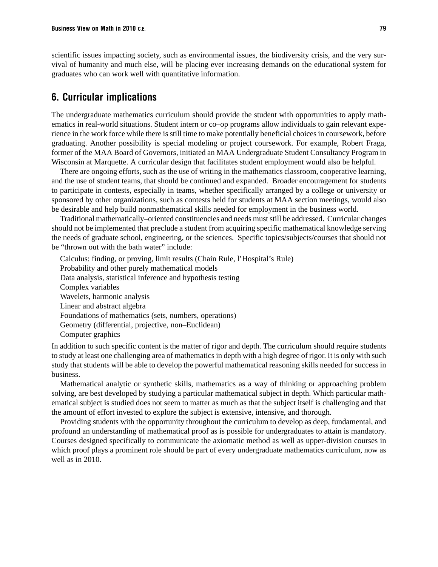scientific issues impacting society, such as environmental issues, the biodiversity crisis, and the very survival of humanity and much else, will be placing ever increasing demands on the educational system for graduates who can work well with quantitative information.

### 6. Curricular implications

The undergraduate mathematics curriculum should provide the student with opportunities to apply mathematics in real-world situations. Student intern or co–op programs allow individuals to gain relevant experience in the work force while there is still time to make potentially beneficial choices in coursework, before graduating. Another possibility is special modeling or project coursework. For example, Robert Fraga, former of the MAA Board of Governors, initiated an MAA Undergraduate Student Consultancy Program in Wisconsin at Marquette. A curricular design that facilitates student employment would also be helpful.

There are ongoing efforts, such as the use of writing in the mathematics classroom, cooperative learning, and the use of student teams, that should be continued and expanded. Broader encouragement for students to participate in contests, especially in teams, whether specifically arranged by a college or university or sponsored by other organizations, such as contests held for students at MAA section meetings, would also be desirable and help build nonmathematical skills needed for employment in the business world.

Traditional mathematically–oriented constituencies and needs must still be addressed. Curricular changes should not be implemented that preclude a student from acquiring specific mathematical knowledge serving the needs of graduate school, engineering, or the sciences. Specific topics/subjects/courses that should not be "thrown out with the bath water" include:

Calculus: finding, or proving, limit results (Chain Rule, l'Hospital's Rule) Probability and other purely mathematical models Data analysis, statistical inference and hypothesis testing Complex variables Wavelets, harmonic analysis Linear and abstract algebra Foundations of mathematics (sets, numbers, operations) Geometry (differential, projective, non–Euclidean) Computer graphics

In addition to such specific content is the matter of rigor and depth. The curriculum should require students to study at least one challenging area of mathematics in depth with a high degree of rigor. It is only with such study that students will be able to develop the powerful mathematical reasoning skills needed for success in business.

Mathematical analytic or synthetic skills, mathematics as a way of thinking or approaching problem solving, are best developed by studying a particular mathematical subject in depth. Which particular mathematical subject is studied does not seem to matter as much as that the subject itself is challenging and that the amount of effort invested to explore the subject is extensive, intensive, and thorough.

Providing students with the opportunity throughout the curriculum to develop as deep, fundamental, and profound an understanding of mathematical proof as is possible for undergraduates to attain is mandatory. Courses designed specifically to communicate the axiomatic method as well as upper-division courses in which proof plays a prominent role should be part of every undergraduate mathematics curriculum, now as well as in 2010.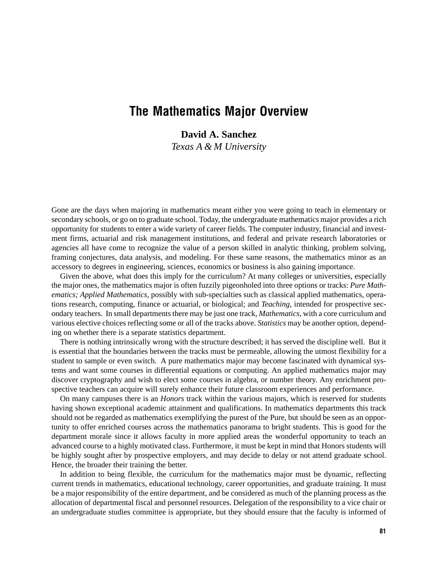## The Mathematics Major Overview

**David A. Sanchez** *Texas A & M University*

Gone are the days when majoring in mathematics meant either you were going to teach in elementary or secondary schools, or go on to graduate school. Today, the undergraduate mathematics major provides a rich opportunity for students to enter a wide variety of career fields. The computer industry, financial and investment firms, actuarial and risk management institutions, and federal and private research laboratories or agencies all have come to recognize the value of a person skilled in analytic thinking, problem solving, framing conjectures, data analysis, and modeling. For these same reasons, the mathematics minor as an accessory to degrees in engineering, sciences, economics or business is also gaining importance.

Given the above, what does this imply for the curriculum? At many colleges or universities, especially the major ones, the mathematics major is often fuzzily pigeonholed into three options or tracks: *Pure Mathematics; Applied Mathematics,* possibly with sub-specialties such as classical applied mathematics, operations research, computing, finance or actuarial, or biological; and *Teaching,* intended for prospective secondary teachers. In small departments there may be just one track, *Mathematics,* with a core curriculum and various elective choices reflecting some or all of the tracks above. *Statistics* may be another option, depending on whether there is a separate statistics department.

There is nothing intrinsically wrong with the structure described; it has served the discipline well. But it is essential that the boundaries between the tracks must be permeable, allowing the utmost flexibility for a student to sample or even switch. A pure mathematics major may become fascinated with dynamical systems and want some courses in differential equations or computing. An applied mathematics major may discover cryptography and wish to elect some courses in algebra, or number theory. Any enrichment prospective teachers can acquire will surely enhance their future classroom experiences and performance.

On many campuses there is an *Honors* track within the various majors, which is reserved for students having shown exceptional academic attainment and qualifications. In mathematics departments this track should not be regarded as mathematics exemplifying the purest of the Pure, but should be seen as an opportunity to offer enriched courses across the mathematics panorama to bright students. This is good for the department morale since it allows faculty in more applied areas the wonderful opportunity to teach an advanced course to a highly motivated class. Furthermore, it must be kept in mind that Honors students will be highly sought after by prospective employers, and may decide to delay or not attend graduate school. Hence, the broader their training the better.

In addition to being flexible, the curriculum for the mathematics major must be dynamic, reflecting current trends in mathematics, educational technology, career opportunities, and graduate training. It must be a major responsibility of the entire department, and be considered as much of the planning process as the allocation of departmental fiscal and personnel resources. Delegation of the responsibility to a vice chair or an undergraduate studies committee is appropriate, but they should ensure that the faculty is informed of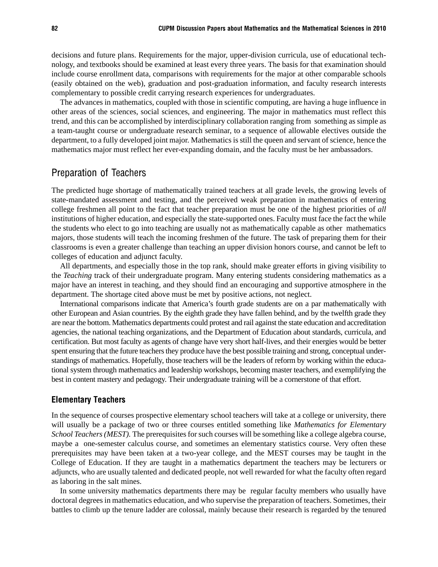decisions and future plans. Requirements for the major, upper-division curricula, use of educational technology, and textbooks should be examined at least every three years. The basis for that examination should include course enrollment data, comparisons with requirements for the major at other comparable schools (easily obtained on the web), graduation and post-graduation information, and faculty research interests complementary to possible credit carrying research experiences for undergraduates.

The advances in mathematics, coupled with those in scientific computing, are having a huge influence in other areas of the sciences, social sciences, and engineering. The major in mathematics must reflect this trend, and this can be accomplished by interdisciplinary collaboration ranging from something as simple as a team-taught course or undergraduate research seminar, to a sequence of allowable electives outside the department, to a fully developed joint major. Mathematics is still the queen and servant of science, hence the mathematics major must reflect her ever-expanding domain, and the faculty must be her ambassadors.

#### Preparation of Teachers

The predicted huge shortage of mathematically trained teachers at all grade levels, the growing levels of state-mandated assessment and testing, and the perceived weak preparation in mathematics of entering college freshmen all point to the fact that teacher preparation must be one of the highest priorities of *all* institutions of higher education, and especially the state-supported ones. Faculty must face the fact the while the students who elect to go into teaching are usually not as mathematically capable as other mathematics majors, those students will teach the incoming freshmen of the future. The task of preparing them for their classrooms is even a greater challenge than teaching an upper division honors course, and cannot be left to colleges of education and adjunct faculty.

All departments, and especially those in the top rank, should make greater efforts in giving visibility to the *Teaching* track of their undergraduate program. Many entering students considering mathematics as a major have an interest in teaching, and they should find an encouraging and supportive atmosphere in the department. The shortage cited above must be met by positive actions, not neglect.

International comparisons indicate that America's fourth grade students are on a par mathematically with other European and Asian countries. By the eighth grade they have fallen behind, and by the twelfth grade they are near the bottom. Mathematics departments could protest and rail against the state education and accreditation agencies, the national teaching organizations, and the Department of Education about standards, curricula, and certification. But most faculty as agents of change have very short half-lives, and their energies would be better spent ensuring that the future teachers they produce have the best possible training and strong, conceptual understandings of mathematics. Hopefully, those teachers will be the leaders of reform by working within the educational system through mathematics and leadership workshops, becoming master teachers, and exemplifying the best in content mastery and pedagogy. Their undergraduate training will be a cornerstone of that effort.

#### Elementary Teachers

In the sequence of courses prospective elementary school teachers will take at a college or university, there will usually be a package of two or three courses entitled something like *Mathematics for Elementary School Teachers (MEST).* The prerequisites for such courses will be something like a college algebra course, maybe a one-semester calculus course, and sometimes an elementary statistics course. Very often these prerequisites may have been taken at a two-year college, and the MEST courses may be taught in the College of Education. If they are taught in a mathematics department the teachers may be lecturers or adjuncts, who are usually talented and dedicated people, not well rewarded for what the faculty often regard as laboring in the salt mines.

In some university mathematics departments there may be regular faculty members who usually have doctoral degrees in mathematics education, and who supervise the preparation of teachers. Sometimes, their battles to climb up the tenure ladder are colossal, mainly because their research is regarded by the tenured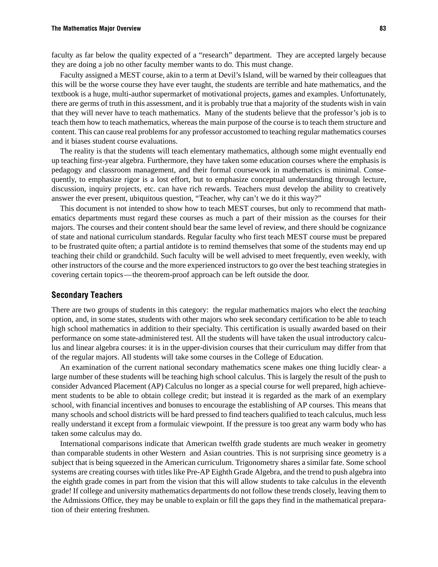faculty as far below the quality expected of a "research" department. They are accepted largely because they are doing a job no other faculty member wants to do. This must change.

Faculty assigned a MEST course, akin to a term at Devil's Island, will be warned by their colleagues that this will be the worse course they have ever taught, the students are terrible and hate mathematics, and the textbook is a huge, multi-author supermarket of motivational projects, games and examples. Unfortunately, there are germs of truth in this assessment, and it is probably true that a majority of the students wish in vain that they will never have to teach mathematics. Many of the students believe that the professor's job is to teach them how to teach mathematics, whereas the main purpose of the course is to teach them structure and content. This can cause real problems for any professor accustomed to teaching regular mathematics courses and it biases student course evaluations.

The reality is that the students will teach elementary mathematics, although some might eventually end up teaching first-year algebra. Furthermore, they have taken some education courses where the emphasis is pedagogy and classroom management, and their formal coursework in mathematics is minimal. Consequently, to emphasize rigor is a lost effort, but to emphasize conceptual understanding through lecture, discussion, inquiry projects, etc. can have rich rewards. Teachers must develop the ability to creatively answer the ever present, ubiquitous question, "Teacher, why can't we do it this way?"

This document is not intended to show how to teach MEST courses, but only to recommend that mathematics departments must regard these courses as much a part of their mission as the courses for their majors. The courses and their content should bear the same level of review, and there should be cognizance of state and national curriculum standards. Regular faculty who first teach MEST course must be prepared to be frustrated quite often; a partial antidote is to remind themselves that some of the students may end up teaching their child or grandchild. Such faculty will be well advised to meet frequently, even weekly, with other instructors of the course and the more experienced instructors to go over the best teaching strategies in covering certain topics—the theorem-proof approach can be left outside the door.

#### Secondary Teachers

There are two groups of students in this category: the regular mathematics majors who elect the *teaching* option, and, in some states, students with other majors who seek secondary certification to be able to teach high school mathematics in addition to their specialty. This certification is usually awarded based on their performance on some state-administered test. All the students will have taken the usual introductory calculus and linear algebra courses: it is in the upper-division courses that their curriculum may differ from that of the regular majors. All students will take some courses in the College of Education.

An examination of the current national secondary mathematics scene makes one thing lucidly clear- a large number of these students will be teaching high school calculus. This is largely the result of the push to consider Advanced Placement (AP) Calculus no longer as a special course for well prepared, high achievement students to be able to obtain college credit; but instead it is regarded as the mark of an exemplary school, with financial incentives and bonuses to encourage the establishing of AP courses. This means that many schools and school districts will be hard pressed to find teachers qualified to teach calculus, much less really understand it except from a formulaic viewpoint. If the pressure is too great any warm body who has taken some calculus may do.

International comparisons indicate that American twelfth grade students are much weaker in geometry than comparable students in other Western and Asian countries. This is not surprising since geometry is a subject that is being squeezed in the American curriculum. Trigonometry shares a similar fate. Some school systems are creating courses with titles like Pre-AP Eighth Grade Algebra, and the trend to push algebra into the eighth grade comes in part from the vision that this will allow students to take calculus in the eleventh grade! If college and university mathematics departments do not follow these trends closely, leaving them to the Admissions Office, they may be unable to explain or fill the gaps they find in the mathematical preparation of their entering freshmen.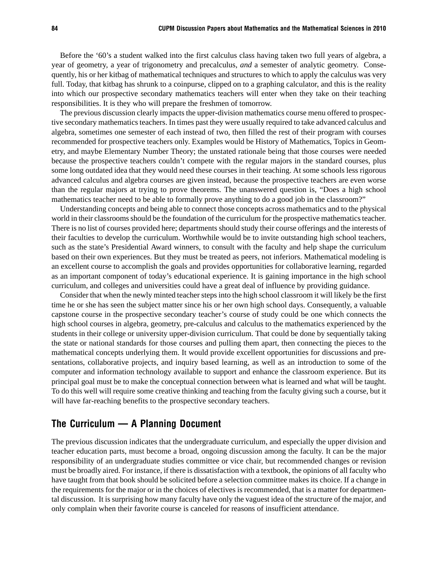Before the '60's a student walked into the first calculus class having taken two full years of algebra, a year of geometry, a year of trigonometry and precalculus, *and* a semester of analytic geometry. Consequently, his or her kitbag of mathematical techniques and structures to which to apply the calculus was very full. Today, that kitbag has shrunk to a coinpurse, clipped on to a graphing calculator, and this is the reality into which our prospective secondary mathematics teachers will enter when they take on their teaching responsibilities. It is they who will prepare the freshmen of tomorrow.

The previous discussion clearly impacts the upper-division mathematics course menu offered to prospective secondary mathematics teachers. In times past they were usually required to take advanced calculus and algebra, sometimes one semester of each instead of two, then filled the rest of their program with courses recommended for prospective teachers only. Examples would be History of Mathematics, Topics in Geometry, and maybe Elementary Number Theory; the unstated rationale being that those courses were needed because the prospective teachers couldn't compete with the regular majors in the standard courses, plus some long outdated idea that they would need these courses in their teaching. At some schools less rigorous advanced calculus and algebra courses are given instead, because the prospective teachers are even worse than the regular majors at trying to prove theorems. The unanswered question is, "Does a high school mathematics teacher need to be able to formally prove anything to do a good job in the classroom?"

Understanding concepts and being able to connect those concepts across mathematics and to the physical world in their classrooms should be the foundation of the curriculum for the prospective mathematics teacher. There is no list of courses provided here; departments should study their course offerings and the interests of their faculties to develop the curriculum. Worthwhile would be to invite outstanding high school teachers, such as the state's Presidential Award winners, to consult with the faculty and help shape the curriculum based on their own experiences. But they must be treated as peers, not inferiors. Mathematical modeling is an excellent course to accomplish the goals and provides opportunities for collaborative learning, regarded as an important component of today's educational experience. It is gaining importance in the high school curriculum, and colleges and universities could have a great deal of influence by providing guidance.

Consider that when the newly minted teacher steps into the high school classroom it will likely be the first time he or she has seen the subject matter since his or her own high school days. Consequently, a valuable capstone course in the prospective secondary teacher's course of study could be one which connects the high school courses in algebra, geometry, pre-calculus and calculus to the mathematics experienced by the students in their college or university upper-division curriculum. That could be done by sequentially taking the state or national standards for those courses and pulling them apart, then connecting the pieces to the mathematical concepts underlying them. It would provide excellent opportunities for discussions and presentations, collaborative projects, and inquiry based learning, as well as an introduction to some of the computer and information technology available to support and enhance the classroom experience. But its principal goal must be to make the conceptual connection between what is learned and what will be taught. To do this well will require some creative thinking and teaching from the faculty giving such a course, but it will have far-reaching benefits to the prospective secondary teachers.

### The Curriculum  $-$  A Planning Document

The previous discussion indicates that the undergraduate curriculum, and especially the upper division and teacher education parts, must become a broad, ongoing discussion among the faculty. It can be the major responsibility of an undergraduate studies committee or vice chair, but recommended changes or revision must be broadly aired. For instance, if there is dissatisfaction with a textbook, the opinions of all faculty who have taught from that book should be solicited before a selection committee makes its choice. If a change in the requirements for the major or in the choices of electives is recommended, that is a matter for departmental discussion. It is surprising how many faculty have only the vaguest idea of the structure of the major, and only complain when their favorite course is canceled for reasons of insufficient attendance.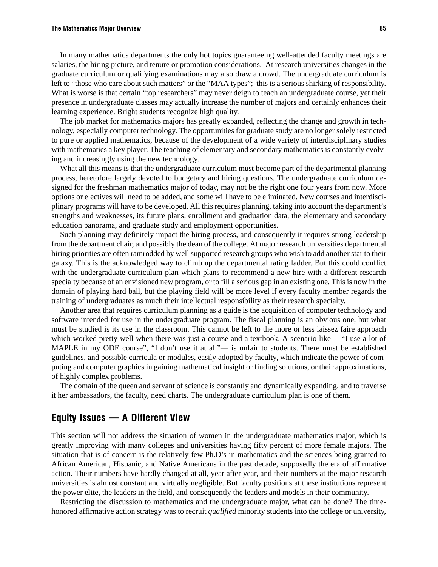#### The Mathematics Major Overview 85

In many mathematics departments the only hot topics guaranteeing well-attended faculty meetings are salaries, the hiring picture, and tenure or promotion considerations. At research universities changes in the graduate curriculum or qualifying examinations may also draw a crowd. The undergraduate curriculum is left to "those who care about such matters" or the "MAA types"; this is a serious shirking of responsibility. What is worse is that certain "top researchers" may never deign to teach an undergraduate course, yet their presence in undergraduate classes may actually increase the number of majors and certainly enhances their learning experience. Bright students recognize high quality.

The job market for mathematics majors has greatly expanded, reflecting the change and growth in technology, especially computer technology. The opportunities for graduate study are no longer solely restricted to pure or applied mathematics, because of the development of a wide variety of interdisciplinary studies with mathematics a key player. The teaching of elementary and secondary mathematics is constantly evolving and increasingly using the new technology.

What all this means is that the undergraduate curriculum must become part of the departmental planning process, heretofore largely devoted to budgetary and hiring questions. The undergraduate curriculum designed for the freshman mathematics major of today, may not be the right one four years from now. More options or electives will need to be added, and some will have to be eliminated. New courses and interdisciplinary programs will have to be developed. All this requires planning, taking into account the department's strengths and weaknesses, its future plans, enrollment and graduation data, the elementary and secondary education panorama, and graduate study and employment opportunities.

Such planning may definitely impact the hiring process, and consequently it requires strong leadership from the department chair, and possibly the dean of the college. At major research universities departmental hiring priorities are often ramrodded by well supported research groups who wish to add another star to their galaxy. This is the acknowledged way to climb up the departmental rating ladder. But this could conflict with the undergraduate curriculum plan which plans to recommend a new hire with a different research specialty because of an envisioned new program, or to fill a serious gap in an existing one. This is now in the domain of playing hard ball, but the playing field will be more level if every faculty member regards the training of undergraduates as much their intellectual responsibility as their research specialty.

Another area that requires curriculum planning as a guide is the acquisition of computer technology and software intended for use in the undergraduate program. The fiscal planning is an obvious one, but what must be studied is its use in the classroom. This cannot be left to the more or less laissez faire approach which worked pretty well when there was just a course and a textbook. A scenario like— "I use a lot of MAPLE in my ODE course", "I don't use it at all"— is unfair to students. There must be established guidelines, and possible curricula or modules, easily adopted by faculty, which indicate the power of computing and computer graphics in gaining mathematical insight or finding solutions, or their approximations, of highly complex problems.

The domain of the queen and servant of science is constantly and dynamically expanding, and to traverse it her ambassadors, the faculty, need charts. The undergraduate curriculum plan is one of them.

#### Equity Issues - A Different View

This section will not address the situation of women in the undergraduate mathematics major, which is greatly improving with many colleges and universities having fifty percent of more female majors. The situation that is of concern is the relatively few Ph.D's in mathematics and the sciences being granted to African American, Hispanic, and Native Americans in the past decade, supposedly the era of affirmative action. Their numbers have hardly changed at all, year after year, and their numbers at the major research universities is almost constant and virtually negligible. But faculty positions at these institutions represent the power elite, the leaders in the field, and consequently the leaders and models in their community.

Restricting the discussion to mathematics and the undergraduate major, what can be done? The timehonored affirmative action strategy was to recruit *qualified* minority students into the college or university,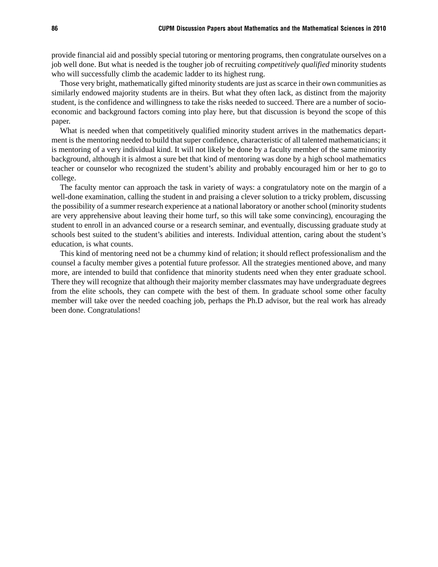provide financial aid and possibly special tutoring or mentoring programs, then congratulate ourselves on a job well done. But what is needed is the tougher job of recruiting *competitively qualified* minority students who will successfully climb the academic ladder to its highest rung.

Those very bright, mathematically gifted minority students are just as scarce in their own communities as similarly endowed majority students are in theirs. But what they often lack, as distinct from the majority student, is the confidence and willingness to take the risks needed to succeed. There are a number of socioeconomic and background factors coming into play here, but that discussion is beyond the scope of this paper.

What is needed when that competitively qualified minority student arrives in the mathematics department is the mentoring needed to build that super confidence, characteristic of all talented mathematicians; it is mentoring of a very individual kind. It will not likely be done by a faculty member of the same minority background, although it is almost a sure bet that kind of mentoring was done by a high school mathematics teacher or counselor who recognized the student's ability and probably encouraged him or her to go to college.

The faculty mentor can approach the task in variety of ways: a congratulatory note on the margin of a well-done examination, calling the student in and praising a clever solution to a tricky problem, discussing the possibility of a summer research experience at a national laboratory or another school (minority students are very apprehensive about leaving their home turf, so this will take some convincing), encouraging the student to enroll in an advanced course or a research seminar, and eventually, discussing graduate study at schools best suited to the student's abilities and interests. Individual attention, caring about the student's education, is what counts.

This kind of mentoring need not be a chummy kind of relation; it should reflect professionalism and the counsel a faculty member gives a potential future professor. All the strategies mentioned above, and many more, are intended to build that confidence that minority students need when they enter graduate school. There they will recognize that although their majority member classmates may have undergraduate degrees from the elite schools, they can compete with the best of them. In graduate school some other faculty member will take over the needed coaching job, perhaps the Ph.D advisor, but the real work has already been done. Congratulations!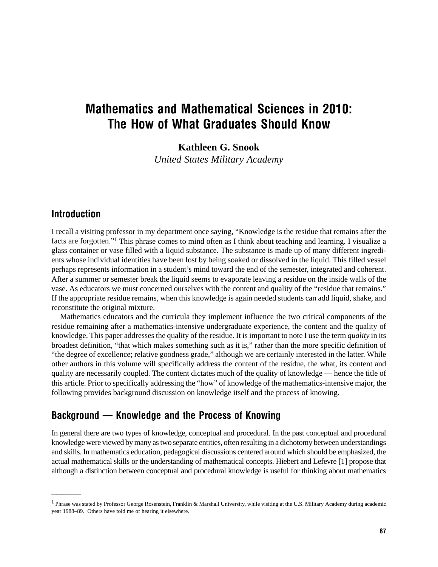# Mathematics and Mathematical Sciences in 2010: The How of What Graduates Should Know

**Kathleen G. Snook**

*United States Military Academy*

### Introduction

——————

I recall a visiting professor in my department once saying, "Knowledge is the residue that remains after the facts are forgotten."1 This phrase comes to mind often as I think about teaching and learning. I visualize a glass container or vase filled with a liquid substance. The substance is made up of many different ingredients whose individual identities have been lost by being soaked or dissolved in the liquid. This filled vessel perhaps represents information in a student's mind toward the end of the semester, integrated and coherent. After a summer or semester break the liquid seems to evaporate leaving a residue on the inside walls of the vase. As educators we must concerned ourselves with the content and quality of the "residue that remains." If the appropriate residue remains, when this knowledge is again needed students can add liquid, shake, and reconstitute the original mixture.

Mathematics educators and the curricula they implement influence the two critical components of the residue remaining after a mathematics-intensive undergraduate experience, the content and the quality of knowledge. This paper addresses the quality of the residue. It is important to note I use the term *quality* in its broadest definition, "that which makes something such as it is," rather than the more specific definition of "the degree of excellence; relative goodness grade," although we are certainly interested in the latter. While other authors in this volume will specifically address the content of the residue, the what, its content and quality are necessarily coupled. The content dictates much of the quality of knowledge — hence the title of this article. Prior to specifically addressing the "how" of knowledge of the mathematics-intensive major, the following provides background discussion on knowledge itself and the process of knowing.

## Background – Knowledge and the Process of Knowing

In general there are two types of knowledge, conceptual and procedural. In the past conceptual and procedural knowledge were viewed by many as two separate entities, often resulting in a dichotomy between understandings and skills. In mathematics education, pedagogical discussions centered around which should be emphasized, the actual mathematical skills or the understanding of mathematical concepts. Hiebert and Lefevre [1] propose that although a distinction between conceptual and procedural knowledge is useful for thinking about mathematics

<sup>&</sup>lt;sup>1</sup> Phrase was stated by Professor George Rosenstein, Franklin & Marshall University, while visiting at the U.S. Military Academy during academic year 1988–89. Others have told me of hearing it elsewhere.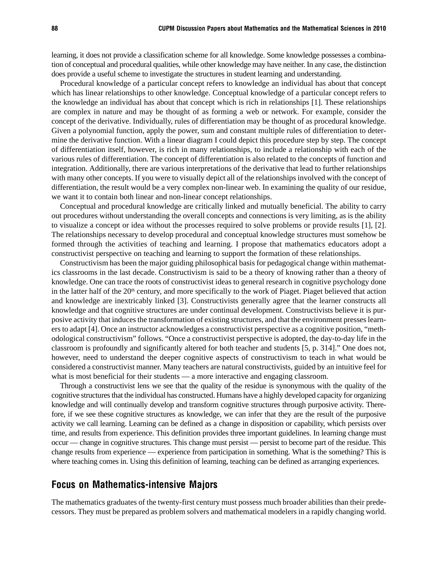learning, it does not provide a classification scheme for all knowledge. Some knowledge possesses a combination of conceptual and procedural qualities, while other knowledge may have neither. In any case, the distinction does provide a useful scheme to investigate the structures in student learning and understanding.

Procedural knowledge of a particular concept refers to knowledge an individual has about that concept which has linear relationships to other knowledge. Conceptual knowledge of a particular concept refers to the knowledge an individual has about that concept which is rich in relationships [1]. These relationships are complex in nature and may be thought of as forming a web or network. For example, consider the concept of the derivative. Individually, rules of differentiation may be thought of as procedural knowledge. Given a polynomial function, apply the power, sum and constant multiple rules of differentiation to determine the derivative function. With a linear diagram I could depict this procedure step by step. The concept of differentiation itself, however, is rich in many relationships, to include a relationship with each of the various rules of differentiation. The concept of differentiation is also related to the concepts of function and integration. Additionally, there are various interpretations of the derivative that lead to further relationships with many other concepts. If you were to visually depict all of the relationships involved with the concept of differentiation, the result would be a very complex non-linear web. In examining the quality of our residue, we want it to contain both linear and non-linear concept relationships.

Conceptual and procedural knowledge are critically linked and mutually beneficial. The ability to carry out procedures without understanding the overall concepts and connections is very limiting, as is the ability to visualize a concept or idea without the processes required to solve problems or provide results [1], [2]. The relationships necessary to develop procedural and conceptual knowledge structures must somehow be formed through the activities of teaching and learning. I propose that mathematics educators adopt a constructivist perspective on teaching and learning to support the formation of these relationships.

Constructivism has been the major guiding philosophical basis for pedagogical change within mathematics classrooms in the last decade. Constructivism is said to be a theory of knowing rather than a theory of knowledge. One can trace the roots of constructivist ideas to general research in cognitive psychology done in the latter half of the 20<sup>th</sup> century, and more specifically to the work of Piaget. Piaget believed that action and knowledge are inextricably linked [3]. Constructivists generally agree that the learner constructs all knowledge and that cognitive structures are under continual development. Constructivists believe it is purposive activity that induces the transformation of existing structures, and that the environment presses learners to adapt [4]. Once an instructor acknowledges a constructivist perspective as a cognitive position, "methodological constructivism" follows. "Once a constructivist perspective is adopted, the day-to-day life in the classroom is profoundly and significantly altered for both teacher and students [5, p. 314]." One does not, however, need to understand the deeper cognitive aspects of constructivism to teach in what would be considered a constructivist manner. Many teachers are natural constructivists, guided by an intuitive feel for what is most beneficial for their students — a more interactive and engaging classroom.

Through a constructivist lens we see that the quality of the residue is synonymous with the quality of the cognitive structures that the individual has constructed. Humans have a highly developed capacity for organizing knowledge and will continually develop and transform cognitive structures through purposive activity. Therefore, if we see these cognitive structures as knowledge, we can infer that they are the result of the purposive activity we call learning. Learning can be defined as a change in disposition or capability, which persists over time, and results from experience. This definition provides three important guidelines. In learning change must occur — change in cognitive structures. This change must persist — persist to become part of the residue. This change results from experience — experience from participation in something. What is the something? This is where teaching comes in. Using this definition of learning, teaching can be defined as arranging experiences.

#### Focus on Mathematics-intensive Majors

The mathematics graduates of the twenty-first century must possess much broader abilities than their predecessors. They must be prepared as problem solvers and mathematical modelers in a rapidly changing world.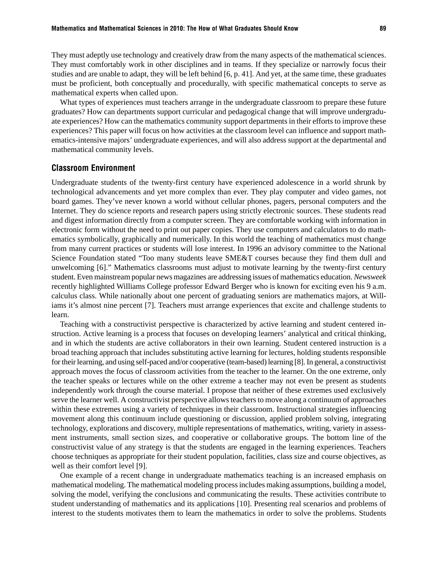They must adeptly use technology and creatively draw from the many aspects of the mathematical sciences. They must comfortably work in other disciplines and in teams. If they specialize or narrowly focus their studies and are unable to adapt, they will be left behind [6, p. 41]. And yet, at the same time, these graduates must be proficient, both conceptually and procedurally, with specific mathematical concepts to serve as mathematical experts when called upon.

What types of experiences must teachers arrange in the undergraduate classroom to prepare these future graduates? How can departments support curricular and pedagogical change that will improve undergraduate experiences? How can the mathematics community support departments in their efforts to improve these experiences? This paper will focus on how activities at the classroom level can influence and support mathematics-intensive majors' undergraduate experiences, and will also address support at the departmental and mathematical community levels.

#### Classroom Environment

Undergraduate students of the twenty-first century have experienced adolescence in a world shrunk by technological advancements and yet more complex than ever. They play computer and video games, not board games. They've never known a world without cellular phones, pagers, personal computers and the Internet. They do science reports and research papers using strictly electronic sources. These students read and digest information directly from a computer screen. They are comfortable working with information in electronic form without the need to print out paper copies. They use computers and calculators to do mathematics symbolically, graphically and numerically. In this world the teaching of mathematics must change from many current practices or students will lose interest. In 1996 an advisory committee to the National Science Foundation stated "Too many students leave SME&T courses because they find them dull and unwelcoming [6]." Mathematics classrooms must adjust to motivate learning by the twenty-first century student. Even mainstream popular news magazines are addressing issues of mathematics education. *Newsweek* recently highlighted Williams College professor Edward Berger who is known for exciting even his 9 a.m. calculus class. While nationally about one percent of graduating seniors are mathematics majors, at Williams it's almost nine percent [7]. Teachers must arrange experiences that excite and challenge students to learn.

Teaching with a constructivist perspective is characterized by active learning and student centered instruction. Active learning is a process that focuses on developing learners' analytical and critical thinking, and in which the students are active collaborators in their own learning. Student centered instruction is a broad teaching approach that includes substituting active learning for lectures, holding students responsible for their learning, and using self-paced and/or cooperative (team-based) learning [8]. In general, a constructivist approach moves the focus of classroom activities from the teacher to the learner. On the one extreme, only the teacher speaks or lectures while on the other extreme a teacher may not even be present as students independently work through the course material. I propose that neither of these extremes used exclusively serve the learner well. A constructivist perspective allows teachers to move along a continuum of approaches within these extremes using a variety of techniques in their classroom. Instructional strategies influencing movement along this continuum include questioning or discussion, applied problem solving, integrating technology, explorations and discovery, multiple representations of mathematics, writing, variety in assessment instruments, small section sizes, and cooperative or collaborative groups. The bottom line of the constructivist value of any strategy is that the students are engaged in the learning experiences. Teachers choose techniques as appropriate for their student population, facilities, class size and course objectives, as well as their comfort level [9].

One example of a recent change in undergraduate mathematics teaching is an increased emphasis on mathematical modeling. The mathematical modeling process includes making assumptions, building a model, solving the model, verifying the conclusions and communicating the results. These activities contribute to student understanding of mathematics and its applications [10]. Presenting real scenarios and problems of interest to the students motivates them to learn the mathematics in order to solve the problems. Students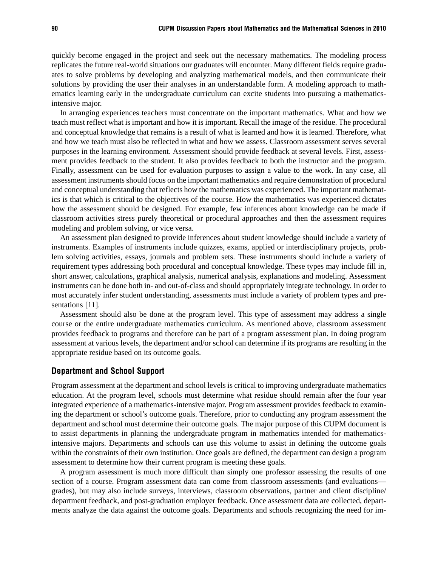quickly become engaged in the project and seek out the necessary mathematics. The modeling process replicates the future real-world situations our graduates will encounter. Many different fields require graduates to solve problems by developing and analyzing mathematical models, and then communicate their solutions by providing the user their analyses in an understandable form. A modeling approach to mathematics learning early in the undergraduate curriculum can excite students into pursuing a mathematicsintensive major.

In arranging experiences teachers must concentrate on the important mathematics. What and how we teach must reflect what is important and how it is important. Recall the image of the residue. The procedural and conceptual knowledge that remains is a result of what is learned and how it is learned. Therefore, what and how we teach must also be reflected in what and how we assess. Classroom assessment serves several purposes in the learning environment. Assessment should provide feedback at several levels. First, assessment provides feedback to the student. It also provides feedback to both the instructor and the program. Finally, assessment can be used for evaluation purposes to assign a value to the work. In any case, all assessment instruments should focus on the important mathematics and require demonstration of procedural and conceptual understanding that reflects how the mathematics was experienced. The important mathematics is that which is critical to the objectives of the course. How the mathematics was experienced dictates how the assessment should be designed. For example, few inferences about knowledge can be made if classroom activities stress purely theoretical or procedural approaches and then the assessment requires modeling and problem solving, or vice versa.

An assessment plan designed to provide inferences about student knowledge should include a variety of instruments. Examples of instruments include quizzes, exams, applied or interdisciplinary projects, problem solving activities, essays, journals and problem sets. These instruments should include a variety of requirement types addressing both procedural and conceptual knowledge. These types may include fill in, short answer, calculations, graphical analysis, numerical analysis, explanations and modeling. Assessment instruments can be done both in- and out-of-class and should appropriately integrate technology. In order to most accurately infer student understanding, assessments must include a variety of problem types and presentations [11].

Assessment should also be done at the program level. This type of assessment may address a single course or the entire undergraduate mathematics curriculum. As mentioned above, classroom assessment provides feedback to programs and therefore can be part of a program assessment plan. In doing program assessment at various levels, the department and/or school can determine if its programs are resulting in the appropriate residue based on its outcome goals.

#### Department and School Support

Program assessment at the department and school levels is critical to improving undergraduate mathematics education. At the program level, schools must determine what residue should remain after the four year integrated experience of a mathematics-intensive major. Program assessment provides feedback to examining the department or school's outcome goals. Therefore, prior to conducting any program assessment the department and school must determine their outcome goals. The major purpose of this CUPM document is to assist departments in planning the undergraduate program in mathematics intended for mathematicsintensive majors. Departments and schools can use this volume to assist in defining the outcome goals within the constraints of their own institution. Once goals are defined, the department can design a program assessment to determine how their current program is meeting these goals.

A program assessment is much more difficult than simply one professor assessing the results of one section of a course. Program assessment data can come from classroom assessments (and evaluations grades), but may also include surveys, interviews, classroom observations, partner and client discipline/ department feedback, and post-graduation employer feedback. Once assessment data are collected, departments analyze the data against the outcome goals. Departments and schools recognizing the need for im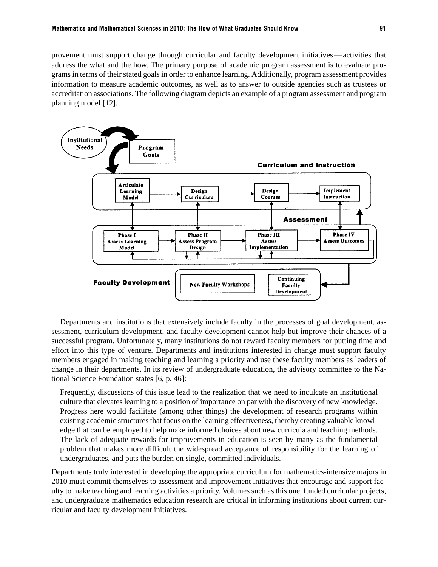provement must support change through curricular and faculty development initiatives— activities that address the what and the how. The primary purpose of academic program assessment is to evaluate programs in terms of their stated goals in order to enhance learning. Additionally, program assessment provides information to measure academic outcomes, as well as to answer to outside agencies such as trustees or accreditation associations. The following diagram depicts an example of a program assessment and program planning model [12].



Departments and institutions that extensively include faculty in the processes of goal development, assessment, curriculum development, and faculty development cannot help but improve their chances of a successful program. Unfortunately, many institutions do not reward faculty members for putting time and effort into this type of venture. Departments and institutions interested in change must support faculty members engaged in making teaching and learning a priority and use these faculty members as leaders of change in their departments. In its review of undergraduate education, the advisory committee to the National Science Foundation states [6, p. 46]:

Frequently, discussions of this issue lead to the realization that we need to inculcate an institutional culture that elevates learning to a position of importance on par with the discovery of new knowledge. Progress here would facilitate (among other things) the development of research programs within existing academic structures that focus on the learning effectiveness, thereby creating valuable knowledge that can be employed to help make informed choices about new curricula and teaching methods. The lack of adequate rewards for improvements in education is seen by many as the fundamental problem that makes more difficult the widespread acceptance of responsibility for the learning of undergraduates, and puts the burden on single, committed individuals.

Departments truly interested in developing the appropriate curriculum for mathematics-intensive majors in 2010 must commit themselves to assessment and improvement initiatives that encourage and support faculty to make teaching and learning activities a priority. Volumes such as this one, funded curricular projects, and undergraduate mathematics education research are critical in informing institutions about current curricular and faculty development initiatives.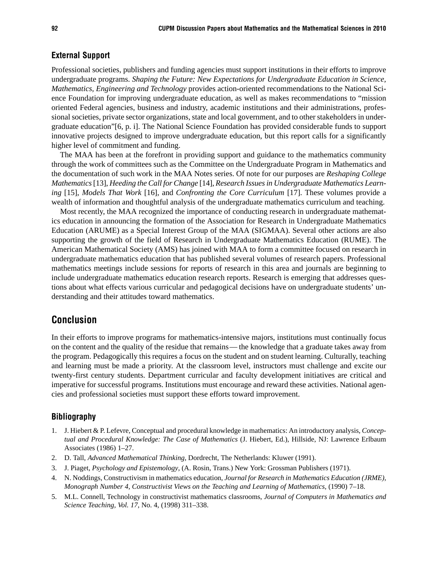#### External Support

Professional societies, publishers and funding agencies must support institutions in their efforts to improve undergraduate programs. *Shaping the Future: New Expectations for Undergraduate Education in Science, Mathematics, Engineering and Technology* provides action-oriented recommendations to the National Science Foundation for improving undergraduate education, as well as makes recommendations to "mission oriented Federal agencies, business and industry, academic institutions and their administrations, professional societies, private sector organizations, state and local government, and to other stakeholders in undergraduate education"[6, p. i]. The National Science Foundation has provided considerable funds to support innovative projects designed to improve undergraduate education, but this report calls for a significantly higher level of commitment and funding.

The MAA has been at the forefront in providing support and guidance to the mathematics community through the work of committees such as the Committee on the Undergraduate Program in Mathematics and the documentation of such work in the MAA Notes series. Of note for our purposes are *Reshaping College Mathematics* [13], *Heeding the Call for Change* [14], *Research Issues in Undergraduate Mathematics Learning* [15], *Models That Work* [16], and *Confronting the Core Curriculum* [17]. These volumes provide a wealth of information and thoughtful analysis of the undergraduate mathematics curriculum and teaching.

Most recently, the MAA recognized the importance of conducting research in undergraduate mathematics education in announcing the formation of the Association for Research in Undergraduate Mathematics Education (ARUME) as a Special Interest Group of the MAA (SIGMAA). Several other actions are also supporting the growth of the field of Research in Undergraduate Mathematics Education (RUME). The American Mathematical Society (AMS) has joined with MAA to form a committee focused on research in undergraduate mathematics education that has published several volumes of research papers. Professional mathematics meetings include sessions for reports of research in this area and journals are beginning to include undergraduate mathematics education research reports. Research is emerging that addresses questions about what effects various curricular and pedagogical decisions have on undergraduate students' understanding and their attitudes toward mathematics.

#### Conclusion

In their efforts to improve programs for mathematics-intensive majors, institutions must continually focus on the content and the quality of the residue that remains— the knowledge that a graduate takes away from the program. Pedagogically this requires a focus on the student and on student learning. Culturally, teaching and learning must be made a priority. At the classroom level, instructors must challenge and excite our twenty-first century students. Department curricular and faculty development initiatives are critical and imperative for successful programs. Institutions must encourage and reward these activities. National agencies and professional societies must support these efforts toward improvement.

#### Bibliography

- 1. J. Hiebert & P. Lefevre, Conceptual and procedural knowledge in mathematics: An introductory analysis, *Conceptual and Procedural Knowledge: The Case of Mathematics* (J. Hiebert, Ed.), Hillside, NJ: Lawrence Erlbaum Associates (1986) 1–27.
- 2. D. Tall, *Advanced Mathematical Thinking*, Dordrecht, The Netherlands: Kluwer (1991).
- 3. J. Piaget, *Psychology and Epistemology*, (A. Rosin, Trans.) New York: Grossman Publishers (1971).
- 4. N. Noddings, Constructivism in mathematics education, *Journal for Research in Mathematics Education (JRME), Monograph Number 4, Constructivist Views on the Teaching and Learning of Mathematics,* (1990) 7–18.
- 5. M.L. Connell, Technology in constructivist mathematics classrooms, *Journal of Computers in Mathematics and Science Teaching, Vol. 17*, No. 4, (1998) 311–338.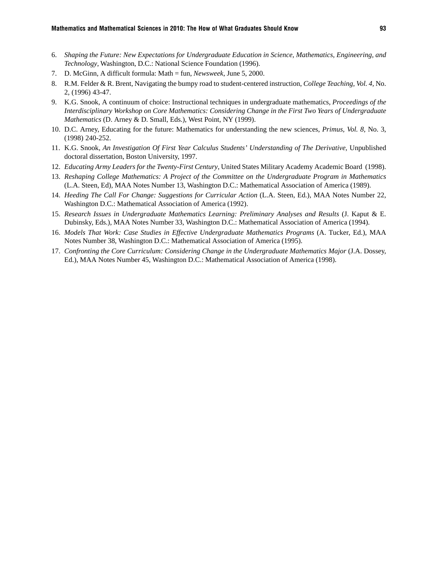- 6. *Shaping the Future: New Expectations for Undergraduate Education in Science, Mathematics, Engineering, and Technology*, Washington, D.C.: National Science Foundation (1996).
- 7. D. McGinn, A difficult formula: Math = fun, *Newsweek*, June 5, 2000.
- 8. R.M. Felder & R. Brent, Navigating the bumpy road to student-centered instruction, *College Teaching, Vol. 4,* No. 2, (1996) 43-47.
- 9. K.G. Snook, A continuum of choice: Instructional techniques in undergraduate mathematics, *Proceedings of the Interdisciplinary Workshop on Core Mathematics: Considering Change in the First Two Years of Undergraduate Mathematics* (D. Arney & D. Small, Eds.), West Point, NY (1999).
- 10. D.C. Arney, Educating for the future: Mathematics for understanding the new sciences, *Primus, Vol. 8,* No. 3, (1998) 240-252.
- 11. K.G. Snook, *An Investigation Of First Year Calculus Students' Understanding of The Derivative*, Unpublished doctoral dissertation, Boston University, 1997.
- 12. *Educating Army Leaders for the Twenty-First Century*, United States Military Academy Academic Board (1998).
- 13. *Reshaping College Mathematics: A Project of the Committee on the Undergraduate Program in Mathematics* (L.A. Steen, Ed)*,* MAA Notes Number 13, Washington D.C.: Mathematical Association of America (1989).
- 14. *Heeding The Call For Change: Suggestions for Curricular Action* (L.A. Steen, Ed.), MAA Notes Number 22*,* Washington D.C.: Mathematical Association of America (1992).
- 15. *Research Issues in Undergraduate Mathematics Learning: Preliminary Analyses and Results* (J. Kaput & E. Dubinsky, Eds.), MAA Notes Number 33, Washington D.C.: Mathematical Association of America (1994).
- 16. *Models That Work: Case Studies in Effective Undergraduate Mathematics Programs* (A. Tucker, Ed.), MAA Notes Number 38, Washington D.C.: Mathematical Association of America (1995).
- 17. *Confronting the Core Curriculum: Considering Change in the Undergraduate Mathematics Major* (J.A. Dossey, Ed.), MAA Notes Number 45, Washington D.C.: Mathematical Association of America (1998).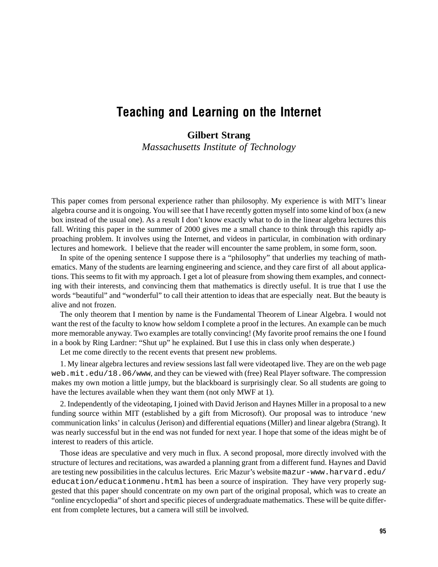## Teaching and Learning on the Internet

**Gilbert Strang**

*Massachusetts Institute of Technology*

This paper comes from personal experience rather than philosophy. My experience is with MIT's linear algebra course and it is ongoing. You will see that I have recently gotten myself into some kind of box (a new box instead of the usual one). As a result I don't know exactly what to do in the linear algebra lectures this fall. Writing this paper in the summer of 2000 gives me a small chance to think through this rapidly approaching problem. It involves using the Internet, and videos in particular, in combination with ordinary lectures and homework. I believe that the reader will encounter the same problem, in some form, soon.

In spite of the opening sentence I suppose there is a "philosophy" that underlies my teaching of mathematics. Many of the students are learning engineering and science, and they care first of all about applications. This seems to fit with my approach. I get a lot of pleasure from showing them examples, and connecting with their interests, and convincing them that mathematics is directly useful. It is true that I use the words "beautiful" and "wonderful" to call their attention to ideas that are especially neat. But the beauty is alive and not frozen.

The only theorem that I mention by name is the Fundamental Theorem of Linear Algebra. I would not want the rest of the faculty to know how seldom I complete a proof in the lectures. An example can be much more memorable anyway. Two examples are totally convincing! (My favorite proof remains the one I found in a book by Ring Lardner: "Shut up" he explained. But I use this in class only when desperate.)

Let me come directly to the recent events that present new problems.

1. My linear algebra lectures and review sessions last fall were videotaped live. They are on the web page web.mit.edu/18.06/www, and they can be viewed with (free) Real Player software. The compression makes my own motion a little jumpy, but the blackboard is surprisingly clear. So all students are going to have the lectures available when they want them (not only MWF at 1).

2. Independently of the videotaping, I joined with David Jerison and Haynes Miller in a proposal to a new funding source within MIT (established by a gift from Microsoft). Our proposal was to introduce 'new communication links' in calculus (Jerison) and differential equations (Miller) and linear algebra (Strang). It was nearly successful but in the end was not funded for next year. I hope that some of the ideas might be of interest to readers of this article.

Those ideas are speculative and very much in flux. A second proposal, more directly involved with the structure of lectures and recitations, was awarded a planning grant from a different fund. Haynes and David are testing new possibilities in the calculus lectures. Eric Mazur's website mazur-www.harvard.edu/ education/educationmenu.html has been a source of inspiration. They have very properly suggested that this paper should concentrate on my own part of the original proposal, which was to create an "online encyclopedia" of short and specific pieces of undergraduate mathematics. These will be quite different from complete lectures, but a camera will still be involved.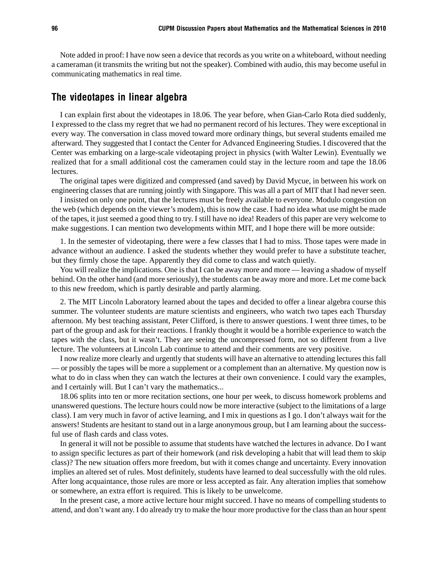Note added in proof: I have now seen a device that records as you write on a whiteboard, without needing a cameraman (it transmits the writing but not the speaker). Combined with audio, this may become useful in communicating mathematics in real time.

#### The videotapes in linear algebra

I can explain first about the videotapes in 18.06. The year before, when Gian-Carlo Rota died suddenly, I expressed to the class my regret that we had no permanent record of his lectures. They were exceptional in every way. The conversation in class moved toward more ordinary things, but several students emailed me afterward. They suggested that I contact the Center for Advanced Engineering Studies. I discovered that the Center was embarking on a large-scale videotaping project in physics (with Walter Lewin). Eventually we realized that for a small additional cost the cameramen could stay in the lecture room and tape the 18.06 lectures.

The original tapes were digitized and compressed (and saved) by David Mycue, in between his work on engineering classes that are running jointly with Singapore. This was all a part of MIT that I had never seen.

I insisted on only one point, that the lectures must be freely available to everyone. Modulo congestion on the web (which depends on the viewer's modem), this is now the case. I had no idea what use might be made of the tapes, it just seemed a good thing to try. I still have no idea! Readers of this paper are very welcome to make suggestions. I can mention two developments within MIT, and I hope there will be more outside:

1. In the semester of videotaping, there were a few classes that I had to miss. Those tapes were made in advance without an audience. I asked the students whether they would prefer to have a substitute teacher, but they firmly chose the tape. Apparently they did come to class and watch quietly.

You will realize the implications. One is that I can be away more and more — leaving a shadow of myself behind. On the other hand (and more seriously), the students can be away more and more. Let me come back to this new freedom, which is partly desirable and partly alarming.

2. The MIT Lincoln Laboratory learned about the tapes and decided to offer a linear algebra course this summer. The volunteer students are mature scientists and engineers, who watch two tapes each Thursday afternoon. My best teaching assistant, Peter Clifford, is there to answer questions. I went three times, to be part of the group and ask for their reactions. I frankly thought it would be a horrible experience to watch the tapes with the class, but it wasn't. They are seeing the uncompressed form, not so different from a live lecture. The volunteers at Lincoln Lab continue to attend and their comments are very positive.

I now realize more clearly and urgently that students will have an alternative to attending lectures this fall — or possibly the tapes will be more a supplement or a complement than an alternative. My question now is what to do in class when they can watch the lectures at their own convenience. I could vary the examples, and I certainly will. But I can't vary the mathematics...

18.06 splits into ten or more recitation sections, one hour per week, to discuss homework problems and unanswered questions. The lecture hours could now be more interactive (subject to the limitations of a large class). I am very much in favor of active learning, and I mix in questions as I go. I don't always wait for the answers! Students are hesitant to stand out in a large anonymous group, but I am learning about the successful use of flash cards and class votes.

In general it will not be possible to assume that students have watched the lectures in advance. Do I want to assign specific lectures as part of their homework (and risk developing a habit that will lead them to skip class)? The new situation offers more freedom, but with it comes change and uncertainty. Every innovation implies an altered set of rules. Most definitely, students have learned to deal successfully with the old rules. After long acquaintance, those rules are more or less accepted as fair. Any alteration implies that somehow or somewhere, an extra effort is required. This is likely to be unwelcome.

In the present case, a more active lecture hour might succeed. I have no means of compelling students to attend, and don't want any. I do already try to make the hour more productive for the class than an hour spent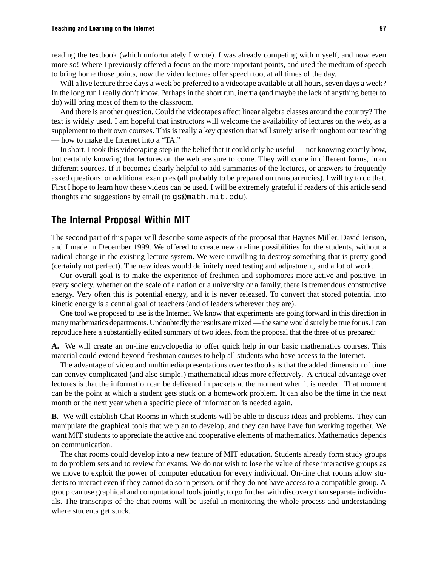reading the textbook (which unfortunately I wrote). I was already competing with myself, and now even more so! Where I previously offered a focus on the more important points, and used the medium of speech to bring home those points, now the video lectures offer speech too, at all times of the day.

Will a live lecture three days a week be preferred to a videotape available at all hours, seven days a week? In the long run I really don't know. Perhaps in the short run, inertia (and maybe the lack of anything better to do) will bring most of them to the classroom.

And there is another question. Could the videotapes affect linear algebra classes around the country? The text is widely used. I am hopeful that instructors will welcome the availability of lectures on the web, as a supplement to their own courses. This is really a key question that will surely arise throughout our teaching — how to make the Internet into a "TA."

In short, I took this videotaping step in the belief that it could only be useful — not knowing exactly how, but certainly knowing that lectures on the web are sure to come. They will come in different forms, from different sources. If it becomes clearly helpful to add summaries of the lectures, or answers to frequently asked questions, or additional examples (all probably to be prepared on transparencies), I will try to do that. First I hope to learn how these videos can be used. I will be extremely grateful if readers of this article send thoughts and suggestions by email (to gs@math.mit.edu).

## The Internal Proposal Within MIT

The second part of this paper will describe some aspects of the proposal that Haynes Miller, David Jerison, and I made in December 1999. We offered to create new on-line possibilities for the students, without a radical change in the existing lecture system. We were unwilling to destroy something that is pretty good (certainly not perfect). The new ideas would definitely need testing and adjustment, and a lot of work.

Our overall goal is to make the experience of freshmen and sophomores more active and positive. In every society, whether on the scale of a nation or a university or a family, there is tremendous constructive energy. Very often this is potential energy, and it is never released. To convert that stored potential into kinetic energy is a central goal of teachers (and of leaders wherever they are).

One tool we proposed to use is the Internet. We know that experiments are going forward in this direction in many mathematics departments. Undoubtedly the results are mixed — the same would surely be true for us. I can reproduce here a substantially edited summary of two ideas, from the proposal that the three of us prepared:

**A.** We will create an on-line encyclopedia to offer quick help in our basic mathematics courses. This material could extend beyond freshman courses to help all students who have access to the Internet.

The advantage of video and multimedia presentations over textbooks is that the added dimension of time can convey complicated (and also simple!) mathematical ideas more effectively. A critical advantage over lectures is that the information can be delivered in packets at the moment when it is needed. That moment can be the point at which a student gets stuck on a homework problem. It can also be the time in the next month or the next year when a specific piece of information is needed again.

**B.** We will establish Chat Rooms in which students will be able to discuss ideas and problems. They can manipulate the graphical tools that we plan to develop, and they can have have fun working together. We want MIT students to appreciate the active and cooperative elements of mathematics. Mathematics depends on communication.

The chat rooms could develop into a new feature of MIT education. Students already form study groups to do problem sets and to review for exams. We do not wish to lose the value of these interactive groups as we move to exploit the power of computer education for every individual. On-line chat rooms allow students to interact even if they cannot do so in person, or if they do not have access to a compatible group. A group can use graphical and computational tools jointly, to go further with discovery than separate individuals. The transcripts of the chat rooms will be useful in monitoring the whole process and understanding where students get stuck.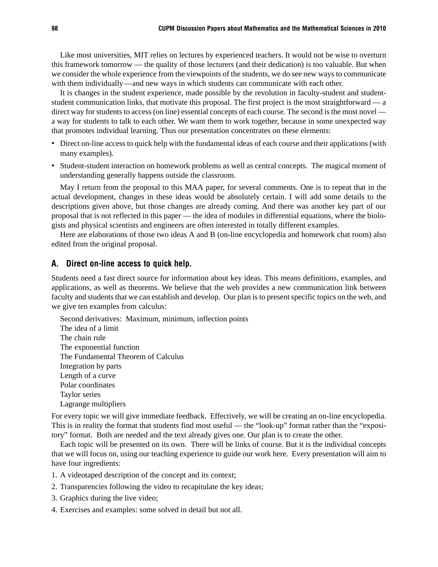Like most universities, MIT relies on lectures by experienced teachers. It would not be wise to overturn this framework tomorrow — the quality of those lecturers (and their dedication) is too valuable. But when we consider the whole experience from the viewpoints of the students, we do see new ways to communicate with them individually—and new ways in which students can communicate with each other.

It is changes in the student experience, made possible by the revolution in faculty-student and studentstudent communication links, that motivate this proposal. The first project is the most straightforward — a direct way for students to access (on line) essential concepts of each course. The second is the most novel a way for students to talk to each other. We want them to work together, because in some unexpected way that promotes individual learning. Thus our presentation concentrates on these elements:

- Direct on-line access to quick help with the fundamental ideas of each course and their applications (with many examples).
- Student-student interaction on homework problems as well as central concepts. The magical moment of understanding generally happens outside the classroom.

May I return from the proposal to this MAA paper, for several comments. One is to repeat that in the actual development, changes in these ideas would be absolutely certain. I will add some details to the descriptions given above, but those changes are already coming. And there was another key part of our proposal that is not reflected in this paper — the idea of modules in differential equations, where the biologists and physical scientists and engineers are often interested in totally different examples.

Here are elaborations of those two ideas A and B (on-line encyclopedia and homework chat room) also edited from the original proposal.

#### A. Direct on-line access to quick help.

Students need a fast direct source for information about key ideas. This means definitions, examples, and applications, as well as theorems. We believe that the web provides a new communication link between faculty and students that we can establish and develop. Our plan is to present specific topics on the web, and we give ten examples from calculus:

Second derivatives: Maximum, minimum, inflection points The idea of a limit The chain rule The exponential function The Fundamental Theorem of Calculus Integration by parts Length of a curve Polar coordinates Taylor series Lagrange multipliers

For every topic we will give immediate feedback. Effectively, we will be creating an on-line encyclopedia. This is in reality the format that students find most useful — the "look-up" format rather than the "expository" format. Both are needed and the text already gives one. Our plan is to create the other.

Each topic will be presented on its own. There will be links of course. But it is the individual concepts that we will focus on, using our teaching experience to guide our work here. Every presentation will aim to have four ingredients:

- 1. A videotaped description of the concept and its context;
- 2. Transparencies following the video to recapitulate the key ideas;
- 3. Graphics during the live video;
- 4. Exercises and examples: some solved in detail but not all.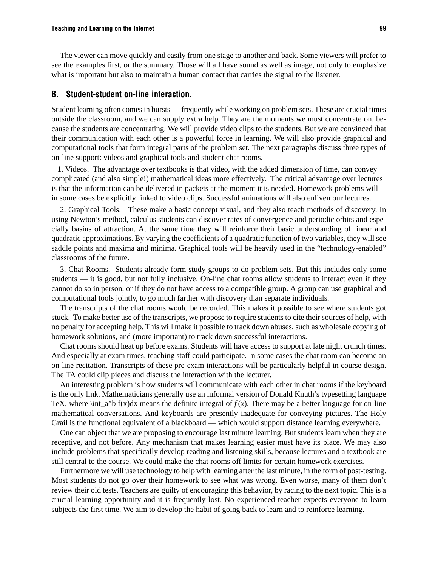The viewer can move quickly and easily from one stage to another and back. Some viewers will prefer to see the examples first, or the summary. Those will all have sound as well as image, not only to emphasize what is important but also to maintain a human contact that carries the signal to the listener.

#### B. Student-student on-line interaction.

Student learning often comes in bursts — frequently while working on problem sets. These are crucial times outside the classroom, and we can supply extra help. They are the moments we must concentrate on, because the students are concentrating. We will provide video clips to the students. But we are convinced that their communication with each other is a powerful force in learning. We will also provide graphical and computational tools that form integral parts of the problem set. The next paragraphs discuss three types of on-line support: videos and graphical tools and student chat rooms.

 1. Videos. The advantage over textbooks is that video, with the added dimension of time, can convey complicated (and also simple!) mathematical ideas more effectively. The critical advantage over lectures is that the information can be delivered in packets at the moment it is needed. Homework problems will in some cases be explicitly linked to video clips. Successful animations will also enliven our lectures.

2. Graphical Tools. These make a basic concept visual, and they also teach methods of discovery. In using Newton's method, calculus students can discover rates of convergence and periodic orbits and especially basins of attraction. At the same time they will reinforce their basic understanding of linear and quadratic approximations. By varying the coefficients of a quadratic function of two variables, they will see saddle points and maxima and minima. Graphical tools will be heavily used in the "technology-enabled" classrooms of the future.

3. Chat Rooms. Students already form study groups to do problem sets. But this includes only some students — it is good, but not fully inclusive. On-line chat rooms allow students to interact even if they cannot do so in person, or if they do not have access to a compatible group. A group can use graphical and computational tools jointly, to go much farther with discovery than separate individuals.

The transcripts of the chat rooms would be recorded. This makes it possible to see where students got stuck. To make better use of the transcripts, we propose to require students to cite their sources of help, with no penalty for accepting help. This will make it possible to track down abuses, such as wholesale copying of homework solutions, and (more important) to track down successful interactions.

Chat rooms should heat up before exams. Students will have access to support at late night crunch times. And especially at exam times, teaching staff could participate. In some cases the chat room can become an on-line recitation. Transcripts of these pre-exam interactions will be particularly helpful in course design. The TA could clip pieces and discuss the interaction with the lecturer.

An interesting problem is how students will communicate with each other in chat rooms if the keyboard is the only link. Mathematicians generally use an informal version of Donald Knuth's typesetting language TeX, where \int\_a^b f(x)dx means the definite integral of  $f(x)$ . There may be a better language for on-line mathematical conversations. And keyboards are presently inadequate for conveying pictures. The Holy Grail is the functional equivalent of a blackboard — which would support distance learning everywhere.

One can object that we are proposing to encourage last minute learning. But students learn when they are receptive, and not before. Any mechanism that makes learning easier must have its place. We may also include problems that specifically develop reading and listening skills, because lectures and a textbook are still central to the course. We could make the chat rooms off limits for certain homework exercises.

Furthermore we will use technology to help with learning after the last minute, in the form of post-testing. Most students do not go over their homework to see what was wrong. Even worse, many of them don't review their old tests. Teachers are guilty of encouraging this behavior, by racing to the next topic. This is a crucial learning opportunity and it is frequently lost. No experienced teacher expects everyone to learn subjects the first time. We aim to develop the habit of going back to learn and to reinforce learning.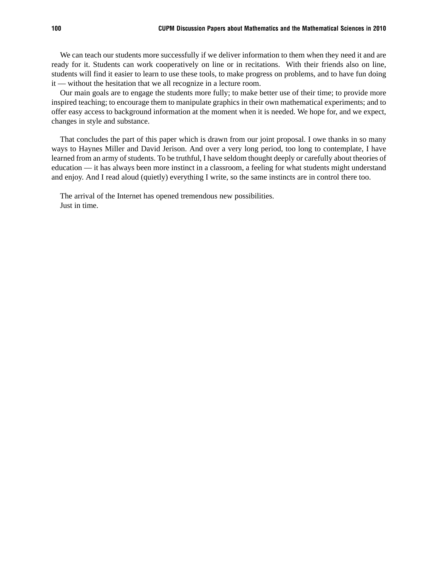We can teach our students more successfully if we deliver information to them when they need it and are ready for it. Students can work cooperatively on line or in recitations. With their friends also on line, students will find it easier to learn to use these tools, to make progress on problems, and to have fun doing it — without the hesitation that we all recognize in a lecture room.

Our main goals are to engage the students more fully; to make better use of their time; to provide more inspired teaching; to encourage them to manipulate graphics in their own mathematical experiments; and to offer easy access to background information at the moment when it is needed. We hope for, and we expect, changes in style and substance.

That concludes the part of this paper which is drawn from our joint proposal. I owe thanks in so many ways to Haynes Miller and David Jerison. And over a very long period, too long to contemplate, I have learned from an army of students. To be truthful, I have seldom thought deeply or carefully about theories of education — it has always been more instinct in a classroom, a feeling for what students might understand and enjoy. And I read aloud (quietly) everything I write, so the same instincts are in control there too.

The arrival of the Internet has opened tremendous new possibilities. Just in time.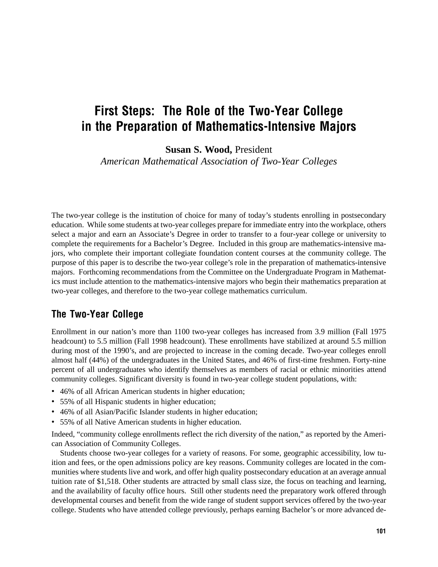# First Steps: The Role of the Two-Year College in the Preparation of Mathematics-Intensive Majors

**Susan S. Wood,** President

*American Mathematical Association of Two-Year Colleges*

The two-year college is the institution of choice for many of today's students enrolling in postsecondary education. While some students at two-year colleges prepare for immediate entry into the workplace, others select a major and earn an Associate's Degree in order to transfer to a four-year college or university to complete the requirements for a Bachelor's Degree. Included in this group are mathematics-intensive majors, who complete their important collegiate foundation content courses at the community college. The purpose of this paper is to describe the two-year college's role in the preparation of mathematics-intensive majors. Forthcoming recommendations from the Committee on the Undergraduate Program in Mathematics must include attention to the mathematics-intensive majors who begin their mathematics preparation at two-year colleges, and therefore to the two-year college mathematics curriculum.

### The Two-Year College

Enrollment in our nation's more than 1100 two-year colleges has increased from 3.9 million (Fall 1975 headcount) to 5.5 million (Fall 1998 headcount). These enrollments have stabilized at around 5.5 million during most of the 1990's, and are projected to increase in the coming decade. Two-year colleges enroll almost half (44%) of the undergraduates in the United States, and 46% of first-time freshmen. Forty-nine percent of all undergraduates who identify themselves as members of racial or ethnic minorities attend community colleges. Significant diversity is found in two-year college student populations, with:

- 46% of all African American students in higher education;
- 55% of all Hispanic students in higher education;
- 46% of all Asian/Pacific Islander students in higher education;
- 55% of all Native American students in higher education.

Indeed, "community college enrollments reflect the rich diversity of the nation," as reported by the American Association of Community Colleges.

Students choose two-year colleges for a variety of reasons. For some, geographic accessibility, low tuition and fees, or the open admissions policy are key reasons. Community colleges are located in the communities where students live and work, and offer high quality postsecondary education at an average annual tuition rate of \$1,518. Other students are attracted by small class size, the focus on teaching and learning, and the availability of faculty office hours. Still other students need the preparatory work offered through developmental courses and benefit from the wide range of student support services offered by the two-year college. Students who have attended college previously, perhaps earning Bachelor's or more advanced de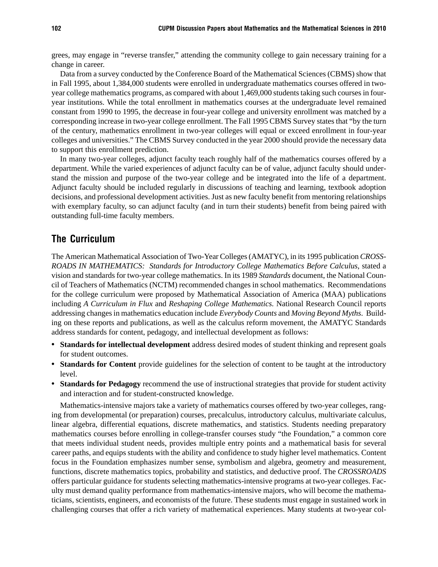grees, may engage in "reverse transfer," attending the community college to gain necessary training for a change in career.

Data from a survey conducted by the Conference Board of the Mathematical Sciences (CBMS) show that in Fall 1995, about 1,384,000 students were enrolled in undergraduate mathematics courses offered in twoyear college mathematics programs, as compared with about 1,469,000 students taking such courses in fouryear institutions. While the total enrollment in mathematics courses at the undergraduate level remained constant from 1990 to 1995, the decrease in four-year college and university enrollment was matched by a corresponding increase in two-year college enrollment. The Fall 1995 CBMS Survey states that "by the turn of the century, mathematics enrollment in two-year colleges will equal or exceed enrollment in four-year colleges and universities." The CBMS Survey conducted in the year 2000 should provide the necessary data to support this enrollment prediction.

In many two-year colleges, adjunct faculty teach roughly half of the mathematics courses offered by a department. While the varied experiences of adjunct faculty can be of value, adjunct faculty should understand the mission and purpose of the two-year college and be integrated into the life of a department. Adjunct faculty should be included regularly in discussions of teaching and learning, textbook adoption decisions, and professional development activities. Just as new faculty benefit from mentoring relationships with exemplary faculty, so can adjunct faculty (and in turn their students) benefit from being paired with outstanding full-time faculty members.

#### The Curriculum

The American Mathematical Association of Two-Year Colleges (AMATYC), in its 1995 publication *CROSS-ROADS IN MATHEMATICS: Standards for Introductory College Mathematics Before Calculus*, stated a vision and standards for two-year college mathematics. In its 1989 *Standards* document, the National Council of Teachers of Mathematics (NCTM) recommended changes in school mathematics. Recommendations for the college curriculum were proposed by Mathematical Association of America (MAA) publications including *A Curriculum in Flux* and *Reshaping College Mathematics.* National Research Council reports addressing changes in mathematics education include *Everybody Counts* and *Moving Beyond Myths*. Building on these reports and publications, as well as the calculus reform movement, the AMATYC Standards address standards for content, pedagogy, and intellectual development as follows:

- **• Standards for intellectual development** address desired modes of student thinking and represent goals for student outcomes.
- **Standards for Content** provide guidelines for the selection of content to be taught at the introductory level.
- **• Standards for Pedagogy** recommend the use of instructional strategies that provide for student activity and interaction and for student-constructed knowledge.

Mathematics-intensive majors take a variety of mathematics courses offered by two-year colleges, ranging from developmental (or preparation) courses, precalculus, introductory calculus, multivariate calculus, linear algebra, differential equations, discrete mathematics, and statistics. Students needing preparatory mathematics courses before enrolling in college-transfer courses study "the Foundation," a common core that meets individual student needs, provides multiple entry points and a mathematical basis for several career paths, and equips students with the ability and confidence to study higher level mathematics. Content focus in the Foundation emphasizes number sense, symbolism and algebra, geometry and measurement, functions, discrete mathematics topics, probability and statistics, and deductive proof. The *CROSSROADS* offers particular guidance for students selecting mathematics-intensive programs at two-year colleges. Faculty must demand quality performance from mathematics-intensive majors, who will become the mathematicians, scientists, engineers, and economists of the future. These students must engage in sustained work in challenging courses that offer a rich variety of mathematical experiences. Many students at two-year col-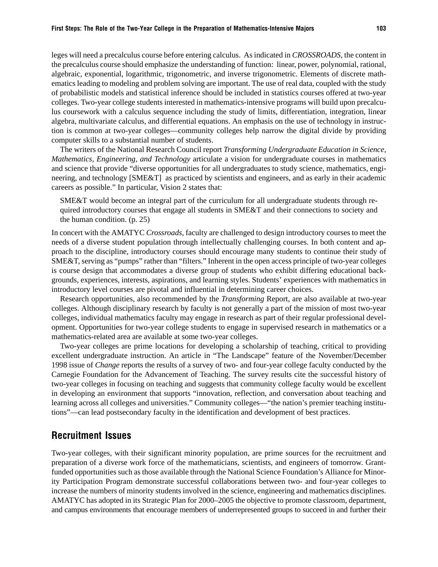leges will need a precalculus course before entering calculus. As indicated in *CROSSROADS*, the content in the precalculus course should emphasize the understanding of function: linear, power, polynomial, rational, algebraic, exponential, logarithmic, trigonometric, and inverse trigonometric. Elements of discrete mathematics leading to modeling and problem solving are important. The use of real data, coupled with the study of probabilistic models and statistical inference should be included in statistics courses offered at two-year colleges. Two-year college students interested in mathematics-intensive programs will build upon precalculus coursework with a calculus sequence including the study of limits, differentiation, integration, linear algebra, multivariate calculus, and differential equations. An emphasis on the use of technology in instruction is common at two-year colleges—community colleges help narrow the digital divide by providing computer skills to a substantial number of students.

The writers of the National Research Council report *Transforming Undergraduate Education in Science, Mathematics, Engineering, and Technology* articulate a vision for undergraduate courses in mathematics and science that provide "diverse opportunities for all undergraduates to study science, mathematics, engineering, and technology [SME&T] as practiced by scientists and engineers, and as early in their academic careers as possible." In particular, Vision 2 states that:

SME&T would become an integral part of the curriculum for all undergraduate students through required introductory courses that engage all students in SME&T and their connections to society and the human condition. (p. 25)

In concert with the AMATYC *Crossroads*, faculty are challenged to design introductory courses to meet the needs of a diverse student population through intellectually challenging courses. In both content and approach to the discipline, introductory courses should encourage many students to continue their study of SME&T, serving as "pumps" rather than "filters." Inherent in the open access principle of two-year colleges is course design that accommodates a diverse group of students who exhibit differing educational backgrounds, experiences, interests, aspirations, and learning styles. Students' experiences with mathematics in introductory level courses are pivotal and influential in determining career choices.

Research opportunities, also recommended by the *Transforming* Report, are also available at two-year colleges. Although disciplinary research by faculty is not generally a part of the mission of most two-year colleges, individual mathematics faculty may engage in research as part of their regular professional development. Opportunities for two-year college students to engage in supervised research in mathematics or a mathematics-related area are available at some two-year colleges.

Two-year colleges are prime locations for developing a scholarship of teaching, critical to providing excellent undergraduate instruction. An article in "The Landscape" feature of the November/December 1998 issue of *Change* reports the results of a survey of two- and four-year college faculty conducted by the Carnegie Foundation for the Advancement of Teaching. The survey results cite the successful history of two-year colleges in focusing on teaching and suggests that community college faculty would be excellent in developing an environment that supports "innovation, reflection, and conversation about teaching and learning across all colleges and universities." Community colleges—"the nation's premier teaching institutions"—can lead postsecondary faculty in the identification and development of best practices.

#### Recruitment Issues

Two-year colleges, with their significant minority population, are prime sources for the recruitment and preparation of a diverse work force of the mathematicians, scientists, and engineers of tomorrow. Grantfunded opportunities such as those available through the National Science Foundation's Alliance for Minority Participation Program demonstrate successful collaborations between two- and four-year colleges to increase the numbers of minority students involved in the science, engineering and mathematics disciplines. AMATYC has adopted in its Strategic Plan for 2000–2005 the objective to promote classroom, department, and campus environments that encourage members of underrepresented groups to succeed in and further their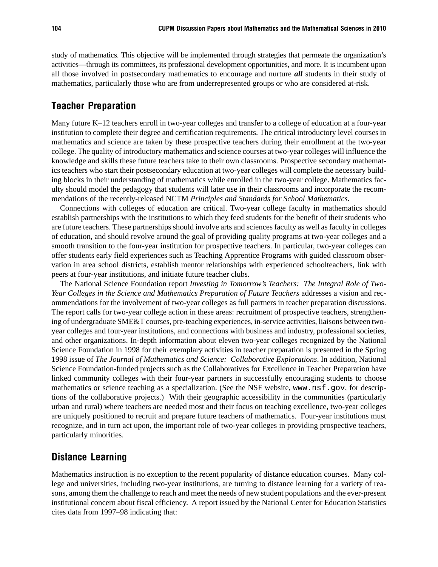study of mathematics. This objective will be implemented through strategies that permeate the organization's activities—through its committees, its professional development opportunities, and more. It is incumbent upon all those involved in postsecondary mathematics to encourage and nurture *all* students in their study of mathematics, particularly those who are from underrepresented groups or who are considered at-risk.

### Teacher Preparation

Many future K–12 teachers enroll in two-year colleges and transfer to a college of education at a four-year institution to complete their degree and certification requirements. The critical introductory level courses in mathematics and science are taken by these prospective teachers during their enrollment at the two-year college. The quality of introductory mathematics and science courses at two-year colleges will influence the knowledge and skills these future teachers take to their own classrooms. Prospective secondary mathematics teachers who start their postsecondary education at two-year colleges will complete the necessary building blocks in their understanding of mathematics while enrolled in the two-year college. Mathematics faculty should model the pedagogy that students will later use in their classrooms and incorporate the recommendations of the recently-released NCTM *Principles and Standards for School Mathematics*.

Connections with colleges of education are critical. Two-year college faculty in mathematics should establish partnerships with the institutions to which they feed students for the benefit of their students who are future teachers. These partnerships should involve arts and sciences faculty as well as faculty in colleges of education, and should revolve around the goal of providing quality programs at two-year colleges and a smooth transition to the four-year institution for prospective teachers. In particular, two-year colleges can offer students early field experiences such as Teaching Apprentice Programs with guided classroom observation in area school districts, establish mentor relationships with experienced schoolteachers, link with peers at four-year institutions, and initiate future teacher clubs.

The National Science Foundation report *Investing in Tomorrow's Teachers: The Integral Role of Two-Year Colleges in the Science and Mathematics Preparation of Future Teachers* addresses a vision and recommendations for the involvement of two-year colleges as full partners in teacher preparation discussions. The report calls for two-year college action in these areas: recruitment of prospective teachers, strengthening of undergraduate SME&T courses, pre-teaching experiences, in-service activities, liaisons between twoyear colleges and four-year institutions, and connections with business and industry, professional societies, and other organizations. In-depth information about eleven two-year colleges recognized by the National Science Foundation in 1998 for their exemplary activities in teacher preparation is presented in the Spring 1998 issue of *The Journal of Mathematics and Science: Collaborative Explorations*. In addition, National Science Foundation-funded projects such as the Collaboratives for Excellence in Teacher Preparation have linked community colleges with their four-year partners in successfully encouraging students to choose mathematics or science teaching as a specialization. (See the NSF website, www.nsf.gov, for descriptions of the collaborative projects.) With their geographic accessibility in the communities (particularly urban and rural) where teachers are needed most and their focus on teaching excellence, two-year colleges are uniquely positioned to recruit and prepare future teachers of mathematics. Four-year institutions must recognize, and in turn act upon, the important role of two-year colleges in providing prospective teachers, particularly minorities.

# Distance Learning

Mathematics instruction is no exception to the recent popularity of distance education courses. Many college and universities, including two-year institutions, are turning to distance learning for a variety of reasons, among them the challenge to reach and meet the needs of new student populations and the ever-present institutional concern about fiscal efficiency. A report issued by the National Center for Education Statistics cites data from 1997–98 indicating that: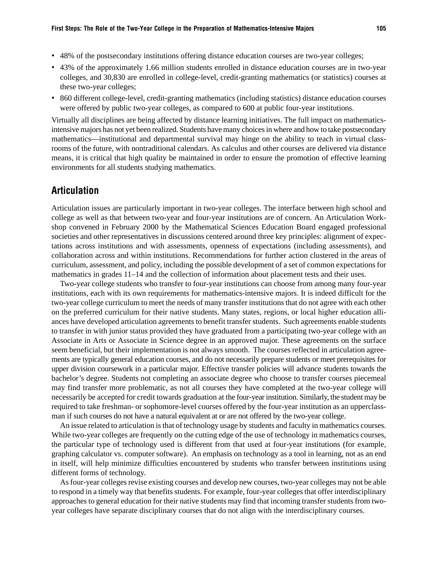- 48% of the postsecondary institutions offering distance education courses are two-year colleges;
- 43% of the approximately 1.66 million students enrolled in distance education courses are in two-year colleges, and 30,830 are enrolled in college-level, credit-granting mathematics (or statistics) courses at these two-year colleges;
- 860 different college-level, credit-granting mathematics (including statistics) distance education courses were offered by public two-year colleges, as compared to 600 at public four-year institutions.

Virtually all disciplines are being affected by distance learning initiatives. The full impact on mathematicsintensive majors has not yet been realized. Students have many choices in where and how to take postsecondary mathematics—institutional and departmental survival may hinge on the ability to teach in virtual classrooms of the future, with nontraditional calendars. As calculus and other courses are delivered via distance means, it is critical that high quality be maintained in order to ensure the promotion of effective learning environments for all students studying mathematics.

## Articulation

Articulation issues are particularly important in two-year colleges. The interface between high school and college as well as that between two-year and four-year institutions are of concern. An Articulation Workshop convened in February 2000 by the Mathematical Sciences Education Board engaged professional societies and other representatives in discussions centered around three key principles: alignment of expectations across institutions and with assessments, openness of expectations (including assessments), and collaboration across and within institutions. Recommendations for further action clustered in the areas of curriculum, assessment, and policy, including the possible development of a set of common expectations for mathematics in grades 11–14 and the collection of information about placement tests and their uses.

Two-year college students who transfer to four-year institutions can choose from among many four-year institutions, each with its own requirements for mathematics-intensive majors. It is indeed difficult for the two-year college curriculum to meet the needs of many transfer institutions that do not agree with each other on the preferred curriculum for their native students. Many states, regions, or local higher education alliances have developed articulation agreements to benefit transfer students. Such agreements enable students to transfer in with junior status provided they have graduated from a participating two-year college with an Associate in Arts or Associate in Science degree in an approved major. These agreements on the surface seem beneficial, but their implementation is not always smooth. The courses reflected in articulation agreements are typically general education courses, and do not necessarily prepare students or meet prerequisites for upper division coursework in a particular major. Effective transfer policies will advance students towards the bachelor's degree. Students not completing an associate degree who choose to transfer courses piecemeal may find transfer more problematic, as not all courses they have completed at the two-year college will necessarily be accepted for credit towards graduation at the four-year institution. Similarly, the student may be required to take freshman- or sophomore-level courses offered by the four-year institution as an upperclassman if such courses do not have a natural equivalent at or are not offered by the two-year college.

An issue related to articulation is that of technology usage by students and faculty in mathematics courses. While two-year colleges are frequently on the cutting edge of the use of technology in mathematics courses, the particular type of technology used is different from that used at four-year institutions (for example, graphing calculator vs. computer software). An emphasis on technology as a tool in learning, not as an end in itself, will help minimize difficulties encountered by students who transfer between institutions using different forms of technology.

As four-year colleges revise existing courses and develop new courses, two-year colleges may not be able to respond in a timely way that benefits students. For example, four-year colleges that offer interdisciplinary approaches to general education for their native students may find that incoming transfer students from twoyear colleges have separate disciplinary courses that do not align with the interdisciplinary courses.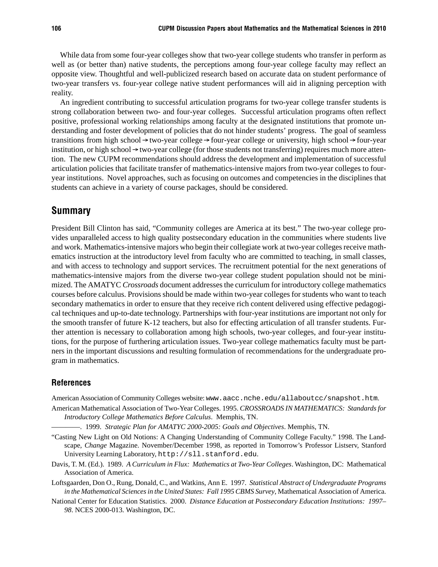While data from some four-year colleges show that two-year college students who transfer in perform as well as (or better than) native students, the perceptions among four-year college faculty may reflect an opposite view. Thoughtful and well-publicized research based on accurate data on student performance of two-year transfers vs. four-year college native student performances will aid in aligning perception with reality.

An ingredient contributing to successful articulation programs for two-year college transfer students is strong collaboration between two- and four-year colleges. Successful articulation programs often reflect positive, professional working relationships among faculty at the designated institutions that promote understanding and foster development of policies that do not hinder students' progress. The goal of seamless transitions from high school  $\rightarrow$  two-year college  $\rightarrow$  four-year college or university, high school  $\rightarrow$  four-year institution, or high school  $\rightarrow$  two-year college (for those students not transferring) requires much more attention. The new CUPM recommendations should address the development and implementation of successful articulation policies that facilitate transfer of mathematics-intensive majors from two-year colleges to fouryear institutions. Novel approaches, such as focusing on outcomes and competencies in the disciplines that students can achieve in a variety of course packages, should be considered.

#### Summary

President Bill Clinton has said, "Community colleges are America at its best." The two-year college provides unparalleled access to high quality postsecondary education in the communities where students live and work. Mathematics-intensive majors who begin their collegiate work at two-year colleges receive mathematics instruction at the introductory level from faculty who are committed to teaching, in small classes, and with access to technology and support services. The recruitment potential for the next generations of mathematics-intensive majors from the diverse two-year college student population should not be minimized. The AMATYC *Crossroads* document addresses the curriculum for introductory college mathematics courses before calculus. Provisions should be made within two-year colleges for students who want to teach secondary mathematics in order to ensure that they receive rich content delivered using effective pedagogical techniques and up-to-date technology. Partnerships with four-year institutions are important not only for the smooth transfer of future K-12 teachers, but also for effecting articulation of all transfer students. Further attention is necessary to collaboration among high schools, two-year colleges, and four-year institutions, for the purpose of furthering articulation issues. Two-year college mathematics faculty must be partners in the important discussions and resulting formulation of recommendations for the undergraduate program in mathematics.

#### References

American Association of Community Colleges website: www.aacc.nche.edu/allaboutcc/snapshot.htm.

American Mathematical Association of Two-Year Colleges. 1995. *CROSSROADS IN MATHEMATICS: Standards for Introductory College Mathematics Before Calculus*. Memphis, TN.

————. 1999. *Strategic Plan for AMATYC 2000-2005: Goals and Objectives*. Memphis, TN.

- "Casting New Light on Old Notions: A Changing Understanding of Community College Faculty." 1998. The Landscape, *Change* Magazine. November/December 1998, as reported in Tomorrow's Professor Listserv, Stanford University Learning Laboratory, http://sll.stanford.edu.
- Davis, T. M. (Ed.). 1989. *A Curriculum in Flux: Mathematics at Two-Year Colleges*. Washington, DC: Mathematical Association of America.
- Loftsgaarden, Don O., Rung, Donald, C., and Watkins, Ann E. 1997. *Statistical Abstract of Undergraduate Programs in the Mathematical Sciences in the United States: Fall 1995 CBMS Survey*, Mathematical Association of America.
- National Center for Education Statistics. 2000. *Distance Education at Postsecondary Education Institutions: 1997– 98*. NCES 2000-013. Washington, DC.